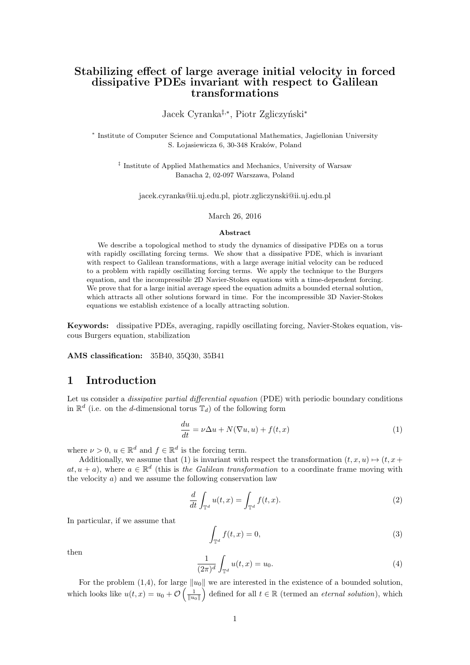# **Stabilizing effect of large average initial velocity in forced dissipative PDEs invariant with respect to Galilean transformations**

Jacek Cyranka<sup>‡,</sup><sup>\*</sup>, Piotr Zgliczyński<sup>\*</sup>

*∗* Institute of Computer Science and Computational Mathematics, Jagiellonian University S. Lojasiewicza 6, 30-348 Kraków, Poland

*‡* Institute of Applied Mathematics and Mechanics, University of Warsaw Banacha 2, 02-097 Warszawa, Poland

jacek.cyranka@ii.uj.edu.pl, piotr.zgliczynski@ii.uj.edu.pl

#### March 26, 2016

#### **Abstract**

We describe a topological method to study the dynamics of dissipative PDEs on a torus with rapidly oscillating forcing terms. We show that a dissipative PDE, which is invariant with respect to Galilean transformations, with a large average initial velocity can be reduced to a problem with rapidly oscillating forcing terms. We apply the technique to the Burgers equation, and the incompressible 2D Navier-Stokes equations with a time-dependent forcing. We prove that for a large initial average speed the equation admits a bounded eternal solution, which attracts all other solutions forward in time. For the incompressible 3D Navier-Stokes equations we establish existence of a locally attracting solution.

**Keywords:** dissipative PDEs, averaging, rapidly oscillating forcing, Navier-Stokes equation, viscous Burgers equation, stabilization

**AMS classification:** 35B40, 35Q30, 35B41

## **1 Introduction**

Let us consider a *dissipative partial differential equation* (PDE) with periodic boundary conditions in  $\mathbb{R}^d$  (i.e. on the *d*-dimensional torus  $\mathbb{T}_d$ ) of the following form

$$
\frac{du}{dt} = \nu \Delta u + N(\nabla u, u) + f(t, x) \tag{1}
$$

where  $\nu > 0$ ,  $u \in \mathbb{R}^d$  and  $f \in \mathbb{R}^d$  is the forcing term.

Additionally, we assume that (1) is invariant with respect the transformation  $(t, x, u) \mapsto (t, x +$  $at, u + a$ ), where  $a \in \mathbb{R}^d$  (this is *the Galilean transformation* to a coordinate frame moving with the velocity *a*) and we assume the following conservation law

$$
\frac{d}{dt} \int_{\mathbb{T}^d} u(t, x) = \int_{\mathbb{T}^d} f(t, x). \tag{2}
$$

In particular, if we assume that

$$
\int_{\mathbb{T}^d} f(t, x) = 0,\tag{3}
$$

then

$$
\frac{1}{(2\pi)^d} \int_{\mathbb{T}^d} u(t, x) = u_0.
$$
 (4)

For the problem (1,4), for large *∥u*0*∥* we are interested in the existence of a bounded solution, which looks like  $u(t, x) = u_0 + \mathcal{O}\left(\frac{1}{||u_0||}\right)$  defined for all  $t \in \mathbb{R}$  (termed an *eternal solution*), which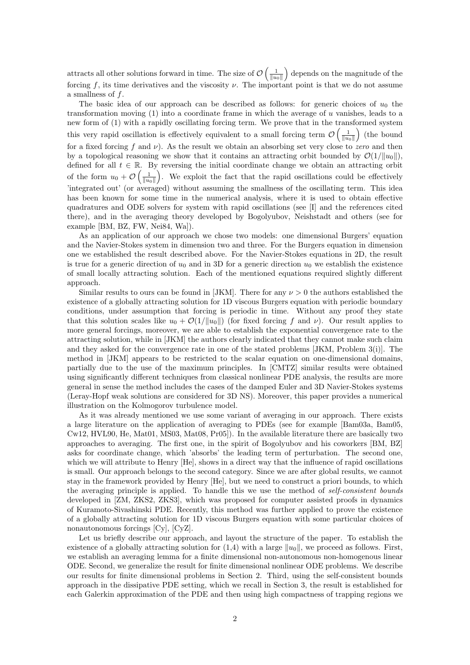attracts all other solutions forward in time. The size of  $\mathcal{O}\left(\frac{1}{\|u_0\|}\right)$  depends on the magnitude of the forcing f, its time derivatives and the viscosity  $\nu$ . The important point is that we do not assume a smallness of *f*.

The basic idea of our approach can be described as follows: for generic choices of  $u_0$  the transformation moving (1) into a coordinate frame in which the average of *u* vanishes, leads to a new form of (1) with a rapidly oscillating forcing term. We prove that in the transformed system this very rapid oscillation is effectively equivalent to a small forcing term  $\mathcal{O}\left(\frac{1}{\|u_0\|}\right)$  (the bound for a fixed forcing *f* and *ν*). As the result we obtain an absorbing set very close to *zero* and then by a topological reasoning we show that it contains an attracting orbit bounded by  $\mathcal{O}(1/\Vert u_0 \Vert)$ , defined for all  $t \in \mathbb{R}$ . By reversing the initial coordinate change we obtain an attracting orbit of the form  $u_0 + \mathcal{O}\left(\frac{1}{\|u_0\|}\right)$ . We exploit the fact that the rapid oscillations could be effectively 'integrated out' (or averaged) without assuming the smallness of the oscillating term. This idea has been known for some time in the numerical analysis, where it is used to obtain effective quadratures and ODE solvers for system with rapid oscillations (see [I] and the references cited there), and in the averaging theory developed by Bogolyubov, Neishstadt and others (see for example [BM, BZ, FW, Nei84, Wa]).

As an application of our approach we chose two models: one dimensional Burgers' equation and the Navier-Stokes system in dimension two and three. For the Burgers equation in dimension one we established the result described above. For the Navier-Stokes equations in 2D, the result is true for a generic direction of  $u_0$  and in 3D for a generic direction  $u_0$  we establish the existence of small locally attracting solution. Each of the mentioned equations required slightly different approach.

Similar results to ours can be found in [JKM]. There for any  $\nu > 0$  the authors established the existence of a globally attracting solution for 1D viscous Burgers equation with periodic boundary conditions, under assumption that forcing is periodic in time. Without any proof they state that this solution scales like  $u_0 + \mathcal{O}(1/\|u_0\|)$  (for fixed forcing f and *v*). Our result applies to more general forcings, moreover, we are able to establish the exponential convergence rate to the attracting solution, while in [JKM] the authors clearly indicated that they cannot make such claim and they asked for the convergence rate in one of the stated problems [JKM, Problem 3(i)]. The method in [JKM] appears to be restricted to the scalar equation on one-dimensional domains, partially due to the use of the maximum principles. In [CMTZ] similar results were obtained using significantly different techniques from classical nonlinear PDE analysis, the results are more general in sense the method includes the cases of the damped Euler and 3D Navier-Stokes systems (Leray-Hopf weak solutions are considered for 3D NS). Moreover, this paper provides a numerical illustration on the Kolmogorov turbulence model.

As it was already mentioned we use some variant of averaging in our approach. There exists a large literature on the application of averaging to PDEs (see for example [Bam03a, Bam05, Cw12, HVL90, He, Mat01, MS03, Mat08, Pr05]). In the available literature there are basically two approaches to averaging. The first one, in the spirit of Bogolyubov and his coworkers [BM, BZ] asks for coordinate change, which 'absorbs' the leading term of perturbation. The second one, which we will attribute to Henry [He], shows in a direct way that the influence of rapid oscillations is small. Our approach belongs to the second category. Since we are after global results, we cannot stay in the framework provided by Henry [He], but we need to construct a priori bounds, to which the averaging principle is applied. To handle this we use the method of *self-consistent bounds* developed in [ZM, ZKS2, ZKS3], which was proposed for computer assisted proofs in dynamics of Kuramoto-Sivashinski PDE. Recently, this method was further applied to prove the existence of a globally attracting solution for 1D viscous Burgers equation with some particular choices of nonautonomous forcings [Cy], [CyZ].

Let us briefly describe our approach, and layout the structure of the paper. To establish the existence of a globally attracting solution for  $(1,4)$  with a large  $||u_0||$ , we proceed as follows. First, we establish an averaging lemma for a finite dimensional non-autonomous non-homogenous linear ODE. Second, we generalize the result for finite dimensional nonlinear ODE problems. We describe our results for finite dimensional problems in Section 2. Third, using the self-consistent bounds approach in the dissipative PDE setting, which we recall in Section 3, the result is established for each Galerkin approximation of the PDE and then using high compactness of trapping regions we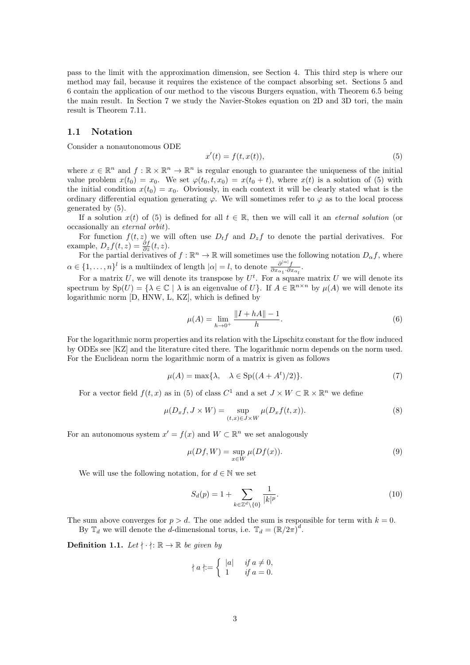pass to the limit with the approximation dimension, see Section 4. This third step is where our method may fail, because it requires the existence of the compact absorbing set. Sections 5 and 6 contain the application of our method to the viscous Burgers equation, with Theorem 6.5 being the main result. In Section 7 we study the Navier-Stokes equation on 2D and 3D tori, the main result is Theorem 7.11.

### **1.1 Notation**

Consider a nonautonomous ODE

$$
x'(t) = f(t, x(t)),\tag{5}
$$

where  $x \in \mathbb{R}^n$  and  $f : \mathbb{R} \times \mathbb{R}^n \to \mathbb{R}^n$  is regular enough to guarantee the uniqueness of the initial value problem  $x(t_0) = x_0$ . We set  $\varphi(t_0, t, x_0) = x(t_0 + t)$ , where  $x(t)$  is a solution of (5) with the initial condition  $x(t_0) = x_0$ . Obviously, in each context it will be clearly stated what is the ordinary differential equation generating  $\varphi$ . We will sometimes refer to  $\varphi$  as to the local process generated by (5).

If a solution  $x(t)$  of (5) is defined for all  $t \in \mathbb{R}$ , then we will call it an *eternal solution* (or occasionally an *eternal orbit*).

For function  $f(t, z)$  we will often use  $D_t f$  and  $D_z f$  to denote the partial derivatives. For example,  $D_z f(t, z) = \frac{\partial f}{\partial z}(t, z)$ .

For the partial derivatives of  $f : \mathbb{R}^n \to \mathbb{R}$  will sometimes use the following notation  $D_{\alpha} f$ , where  $\alpha \in \{1, \ldots, n\}^l$  is a multiindex of length  $|\alpha| = l$ , to denote  $\frac{\partial^{|\alpha|} f}{\partial x_{\alpha_1} \cdot \partial x_{\alpha_l}}$ .

For a matrix  $U$ , we will denote its transpose by  $U^t$ . For a square matrix  $U$  we will denote its spectrum by  $\text{Sp}(U) = \{ \lambda \in \mathbb{C} \mid \lambda \text{ is an eigenvalue of } U \}.$  If  $A \in \mathbb{R}^{n \times n}$  by  $\mu(A)$  we will denote its logarithmic norm [D, HNW, L, KZ], which is defined by

$$
\mu(A) = \lim_{h \to 0^+} \frac{\|I + hA\| - 1}{h}.\tag{6}
$$

For the logarithmic norm properties and its relation with the Lipschitz constant for the flow induced by ODEs see [KZ] and the literature cited there. The logarithmic norm depends on the norm used. For the Euclidean norm the logarithmic norm of a matrix is given as follows

$$
\mu(A) = \max\{\lambda, \quad \lambda \in \text{Sp}((A + A^t)/2)\}.
$$
 (7)

For a vector field  $f(t, x)$  as in (5) of class  $C^1$  and a set  $J \times W \subset \mathbb{R} \times \mathbb{R}^n$  we define

$$
\mu(D_x f, J \times W) = \sup_{(t,x) \in J \times W} \mu(D_x f(t,x)).
$$
\n(8)

For an autonomous system  $x' = f(x)$  and  $W \subset \mathbb{R}^n$  we set analogously

$$
\mu(Df, W) = \sup_{x \in W} \mu(Df(x)).
$$
\n(9)

We will use the following notation, for  $d \in \mathbb{N}$  we set

$$
S_d(p) = 1 + \sum_{k \in \mathbb{Z}^d \backslash \{0\}} \frac{1}{|k|^p}.
$$
\n
$$
(10)
$$

The sum above converges for  $p > d$ . The one added the sum is responsible for term with  $k = 0$ . By  $\mathbb{T}_d$  we will denote the *d*-dimensional torus, i.e.  $\mathbb{T}_d = (\mathbb{R}/2\pi)^d$ .

**Definition 1.1.** Let  $\dagger \cdot \dagger$ :  $\mathbb{R} \to \mathbb{R}$  be given by

$$
\nmid a \nmid := \n\begin{cases} |a| & \text{if } a \neq 0, \\ 1 & \text{if } a = 0. \end{cases}
$$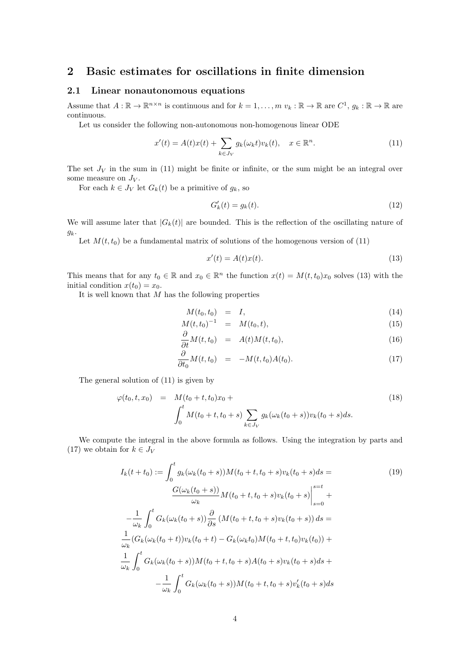## **2 Basic estimates for oscillations in finite dimension**

### **2.1 Linear nonautonomous equations**

Assume that  $A: \mathbb{R} \to \mathbb{R}^{n \times n}$  is continuous and for  $k = 1, \ldots, m \ v_k : \mathbb{R} \to \mathbb{R}$  are  $C^1, g_k : \mathbb{R} \to \mathbb{R}$  are continuous.

Let us consider the following non-autonomous non-homogenous linear ODE

$$
x'(t) = A(t)x(t) + \sum_{k \in J_V} g_k(\omega_k t) v_k(t), \quad x \in \mathbb{R}^n.
$$
\n(11)

The set  $J_V$  in the sum in (11) might be finite or infinite, or the sum might be an integral over some measure on  $J_V$ .

For each  $k \in J_V$  let  $G_k(t)$  be a primitive of  $g_k$ , so

$$
G'_k(t) = g_k(t). \tag{12}
$$

We will assume later that  $|G_k(t)|$  are bounded. This is the reflection of the oscillating nature of *gk*.

Let  $M(t, t_0)$  be a fundamental matrix of solutions of the homogenous version of  $(11)$ 

$$
x'(t) = A(t)x(t). \tag{13}
$$

This means that for any  $t_0 \in \mathbb{R}$  and  $x_0 \in \mathbb{R}^n$  the function  $x(t) = M(t, t_0)x_0$  solves (13) with the initial condition  $x(t_0) = x_0$ .

It is well known that *M* has the following properties

$$
M(t_0, t_0) = I, \tag{14}
$$

$$
M(t, t_0)^{-1} = M(t_0, t), \tag{15}
$$

$$
\frac{\partial}{\partial t}M(t,t_0) = A(t)M(t,t_0), \qquad (16)
$$

$$
\frac{\partial}{\partial t_0} M(t, t_0) = -M(t, t_0) A(t_0). \tag{17}
$$

The general solution of (11) is given by

$$
\varphi(t_0, t, x_0) = M(t_0 + t, t_0)x_0 + \int_0^t M(t_0 + t, t_0 + s) \sum_{k \in J_V} g_k(\omega_k(t_0 + s)) v_k(t_0 + s) ds.
$$
\n(18)

We compute the integral in the above formula as follows. Using the integration by parts and (17) we obtain for  $k \in J_V$ 

$$
I_k(t+t_0) := \int_0^t g_k(\omega_k(t_0+s))M(t_0+t,t_0+s)v_k(t_0+s)ds =
$$
\n
$$
\frac{G(\omega_k(t_0+s))}{\omega_k}M(t_0+t,t_0+s)v_k(t_0+s)\Big|_{s=0}^{s=t} +
$$
\n
$$
-\frac{1}{\omega_k} \int_0^t G_k(\omega_k(t_0+s))\frac{\partial}{\partial s}(M(t_0+t,t_0+s)v_k(t_0+s))ds =
$$
\n
$$
\frac{1}{\omega_k} (G_k(\omega_k(t_0+t))v_k(t_0+t) - G_k(\omega_k t_0)M(t_0+t,t_0)v_k(t_0)) +
$$
\n
$$
\frac{1}{\omega_k} \int_0^t G_k(\omega_k(t_0+s))M(t_0+t,t_0+s)A(t_0+s)v_k(t_0+s)ds +
$$
\n
$$
-\frac{1}{\omega_k} \int_0^t G_k(\omega_k(t_0+s))M(t_0+t,t_0+s)v_k'(t_0+s)ds
$$
\n(19)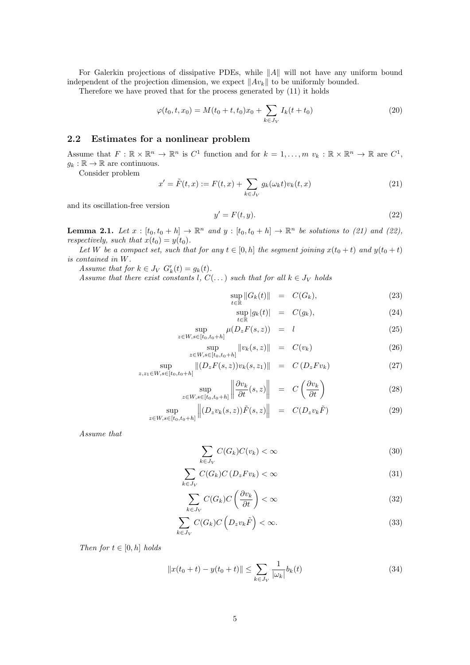For Galerkin projections of dissipative PDEs, while *∥A∥* will not have any uniform bound independent of the projection dimension, we expect *∥Avk∥* to be uniformly bounded.

Therefore we have proved that for the process generated by (11) it holds

$$
\varphi(t_0, t, x_0) = M(t_0 + t, t_0)x_0 + \sum_{k \in J_V} I_k(t + t_0)
$$
\n(20)

### **2.2 Estimates for a nonlinear problem**

Assume that  $F: \mathbb{R} \times \mathbb{R}^n \to \mathbb{R}^n$  is  $C^1$  function and for  $k = 1, \ldots, m \ v_k : \mathbb{R} \times \mathbb{R}^n \to \mathbb{R}$  are  $C^1$ ,  $g_k : \mathbb{R} \to \mathbb{R}$  are continuous.

Consider problem

$$
x' = \tilde{F}(t, x) := F(t, x) + \sum_{k \in J_V} g_k(\omega_k t) v_k(t, x)
$$
\n(21)

and its oscillation-free version

$$
y' = F(t, y). \tag{22}
$$

**Lemma 2.1.** Let  $x : [t_0, t_0 + h] \to \mathbb{R}^n$  and  $y : [t_0, t_0 + h] \to \mathbb{R}^n$  be solutions to (21) and (22), *respectively, such that*  $x(t_0) = y(t_0)$ *.* 

*Let W be a compact set, such that for any*  $t \in [0, h]$  *the segment joining*  $x(t_0 + t)$  *and*  $y(t_0 + t)$ *is contained in W.*

*Assume that for*  $k \in J_V$   $G'_{k}(t) = g_{k}(t)$ .

*Assume that there exist constants l*,  $C(\ldots)$  *such that for all*  $k \in J_V$  *holds* 

sup  $\sup_{t \in \mathbb{R}} \|G_k(t)\| = C(G_k),$  (23)

$$
\sup_{t \in \mathbb{R}} |g_k(t)| = C(g_k), \tag{24}
$$

$$
\sup_{z \in W, s \in [t_0, t_0 + h]} \mu(D_z F(s, z)) = l \tag{25}
$$

$$
\sup_{z \in W, s \in [t_0, t_0 + h]} \|v_k(s, z)\| = C(v_k)
$$
\n(26)

$$
\sup_{z,z_1 \in W, s \in [t_0, t_0 + h]} \| (D_z F(s, z)) v_k(s, z_1) \| = C (D_z F v_k)
$$
\n(27)

$$
\sup_{z \in W, s \in [t_0, t_0 + h]} \left\| \frac{\partial v_k}{\partial t}(s, z) \right\| = C \left( \frac{\partial v_k}{\partial t} \right)
$$
(28)

$$
\sup_{z \in W, s \in [t_0, t_0 + h]} \left\| (D_z v_k(s, z)) \tilde{F}(s, z) \right\| = C(D_z v_k \tilde{F}) \tag{29}
$$

*Assume that*

$$
\sum_{k \in J_V} C(G_k) C(v_k) < \infty \tag{30}
$$

$$
\sum_{k \in J_V} C(G_k) C(D_z F v_k) < \infty \tag{31}
$$

$$
\sum_{k \in J_V} C(G_k) C\left(\frac{\partial v_k}{\partial t}\right) < \infty \tag{32}
$$

$$
\sum_{k \in J_V} C(G_k) C\left(D_z v_k \tilde{F}\right) < \infty. \tag{33}
$$

*Then for*  $t \in [0, h]$  *holds* 

$$
||x(t_0 + t) - y(t_0 + t)|| \le \sum_{k \in J_V} \frac{1}{|\omega_k|} b_k(t)
$$
\n(34)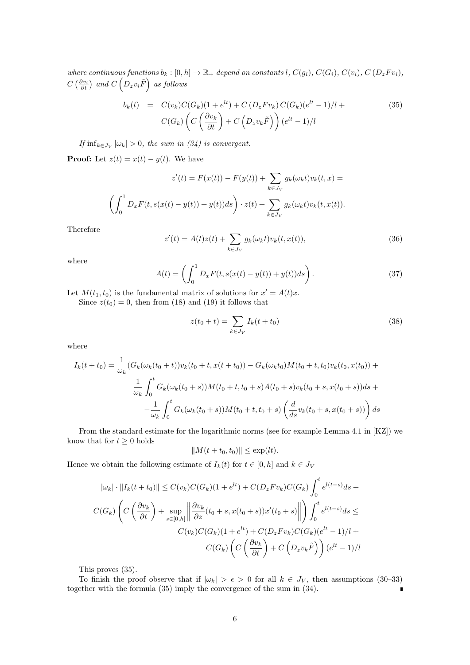where continuous functions  $b_k : [0, h] \to \mathbb{R}_+$  depend on constants l,  $C(g_i)$ ,  $C(G_i)$ ,  $C(v_i)$ ,  $C(D_z F v_i)$ ,  $C\left(\frac{\partial v_i}{\partial t}\right)$  and  $C\left(D_z v_i \tilde{F}\right)$  as follows

$$
b_k(t) = C(v_k)C(G_k)(1+e^{lt}) + C(D_zFv_k)C(G_k)(e^{lt}-1)/l + C(G_k)\left(C\left(\frac{\partial v_k}{\partial t}\right) + C\left(D_zv_k\tilde{F}\right)\right)(e^{lt}-1)/l
$$
\n
$$
(35)
$$

*If*  $\inf_{k \in J_V} |\omega_k| > 0$ , the sum in (34) is convergent.

**Proof:** Let  $z(t) = x(t) - y(t)$ . We have

$$
z'(t) = F(x(t)) - F(y(t)) + \sum_{k \in J_V} g_k(\omega_k t) v_k(t, x) =
$$

$$
\left(\int_0^1 D_x F(t, s(x(t) - y(t)) + y(t)) ds\right) \cdot z(t) + \sum_{k \in J_V} g_k(\omega_k t) v_k(t, x(t)).
$$

Therefore

$$
z'(t) = A(t)z(t) + \sum_{k \in J_V} g_k(\omega_k t) v_k(t, x(t)),
$$
\n(36)

where

$$
A(t) = \left(\int_0^1 D_x F(t, s(x(t) - y(t)) + y(t))ds\right).
$$
 (37)

Let  $M(t_1, t_0)$  is the fundamental matrix of solutions for  $x' = A(t)x$ .

Since  $z(t_0) = 0$ , then from (18) and (19) it follows that

$$
z(t_0 + t) = \sum_{k \in J_V} I_k(t + t_0)
$$
\n(38)

where

$$
I_k(t+t_0) = \frac{1}{\omega_k} (G_k(\omega_k(t_0+t))v_k(t_0+t, x(t+t_0)) - G_k(\omega_k t_0)M(t_0+t, t_0)v_k(t_0, x(t_0)) +
$$
  

$$
\frac{1}{\omega_k} \int_0^t G_k(\omega_k(t_0+s))M(t_0+t, t_0+s)A(t_0+s)v_k(t_0+s, x(t_0+s))ds +
$$
  

$$
-\frac{1}{\omega_k} \int_0^t G_k(\omega_k(t_0+s))M(t_0+t, t_0+s) \left(\frac{d}{ds}v_k(t_0+s, x(t_0+s))\right)ds
$$

From the standard estimate for the logarithmic norms (see for example Lemma 4.1 in [KZ]) we know that for  $t \geq 0$  holds

$$
||M(t+t_0,t_0)|| \le \exp(lt).
$$

Hence we obtain the following estimate of  $I_k(t)$  for  $t \in [0, h]$  and  $k \in J_V$ 

$$
|\omega_k| \cdot ||I_k(t+t_0)|| \le C(v_k)C(G_k)(1+e^{lt}) + C(D_zFv_k)C(G_k)\int_0^t e^{l(t-s)}ds + C(G_k)\left(C\left(\frac{\partial v_k}{\partial t}\right) + \sup_{s \in [0,h]} \left\|\frac{\partial v_k}{\partial z}(t_0+s, x(t_0+s))x'(t_0+s)\right\|\right) \int_0^t e^{l(t-s)}ds \le C(v_k)C(G_k)(1+e^{lt}) + C(D_zFv_k)C(G_k)(e^{lt}-1)/l + C(G_k)\left(C\left(\frac{\partial v_k}{\partial t}\right) + C\left(D_zv_k\tilde{F}\right)\right)(e^{lt}-1)/l
$$

This proves (35).

To finish the proof observe that if  $|\omega_k| > \epsilon > 0$  for all  $k \in J_V$ , then assumptions (30–33) together with the formula (35) imply the convergence of the sum in (34).  $\blacksquare$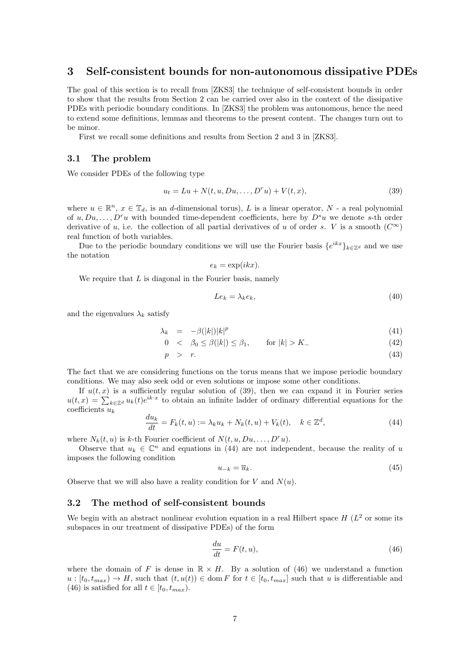## **3 Self-consistent bounds for non-autonomous dissipative PDEs**

The goal of this section is to recall from [ZKS3] the technique of self-consistent bounds in order to show that the results from Section 2 can be carried over also in the context of the dissipative PDEs with periodic boundary conditions. In [ZKS3] the problem was autonomous, hence the need to extend some definitions, lemmas and theorems to the present content. The changes turn out to be minor.

First we recall some definitions and results from Section 2 and 3 in [ZKS3].

### **3.1 The problem**

We consider PDEs of the following type

$$
u_t = Lu + N(t, u, Du, ..., D^r u) + V(t, x),
$$
\n(39)

where  $u \in \mathbb{R}^n$ ,  $x \in \mathbb{T}_d$ , is an *d*-dimensional torus), *L* is a linear operator, *N* - a real polynomial of  $u, Du, \ldots, D^r u$  with bounded time-dependent coefficients, here by  $D^s u$  we denote *s*-th order derivative of *u*, i.e. the collection of all partial derivatives of *u* of order *s*. *V* is a smooth  $(C^{\infty})$ real function of both variables.

Due to the periodic boundary conditions we will use the Fourier basis  ${e^{ikx}}_{k \in \mathbb{Z}^d}$  and we use the notation

$$
e_k = \exp(ikx).
$$

We require that *L* is diagonal in the Fourier basis, namely

$$
Le_k = \lambda_k e_k,\tag{40}
$$

and the eigenvalues  $\lambda_k$  satisfy

$$
\lambda_k = -\beta(|k|)|k|^p \tag{41}
$$

$$
0 < \beta_0 \le \beta(|k|) \le \beta_1, \qquad \text{for } |k| > K. \tag{42}
$$

$$
p > r. \tag{43}
$$

The fact that we are considering functions on the torus means that we impose periodic boundary conditions. We may also seek odd or even solutions or impose some other conditions.

If  $u(t, x)$  is a sufficiently regular solution of (39), then we can expand it in Fourier series  $u(t,x) = \sum_{k \in \mathbb{Z}^d} u_k(t) e^{ik \cdot x}$  to obtain an infinite ladder of ordinary differential equations for the coefficients *u<sup>k</sup>*

$$
\frac{du_k}{dt} = F_k(t, u) := \lambda_k u_k + N_k(t, u) + V_k(t), \quad k \in \mathbb{Z}^d,
$$
\n(44)

where  $N_k(t, u)$  is *k*-th Fourier coefficient of  $N(t, u, Du, \ldots, D^r u)$ .

Observe that  $u_k \in \mathbb{C}^n$  and equations in (44) are not independent, because the reality of *u* imposes the following condition

$$
u_{-k} = \overline{u}_k. \tag{45}
$$

Observe that we will also have a reality condition for  $V$  and  $N(u)$ .

### **3.2 The method of self-consistent bounds**

We begin with an abstract nonlinear evolution equation in a real Hilbert space  $H(L^2)$  or some its subspaces in our treatment of dissipative PDEs) of the form

$$
\frac{du}{dt} = F(t, u),\tag{46}
$$

where the domain of *F* is dense in  $\mathbb{R} \times H$ . By a solution of (46) we understand a function  $u : [t_0, t_{max}) \to H$ , such that  $(t, u(t)) \in \text{dom } F$  for  $t \in [t_0, t_{max}]$  such that *u* is differentiable and (46) is satisfied for all  $t \in [t_0, t_{max})$ .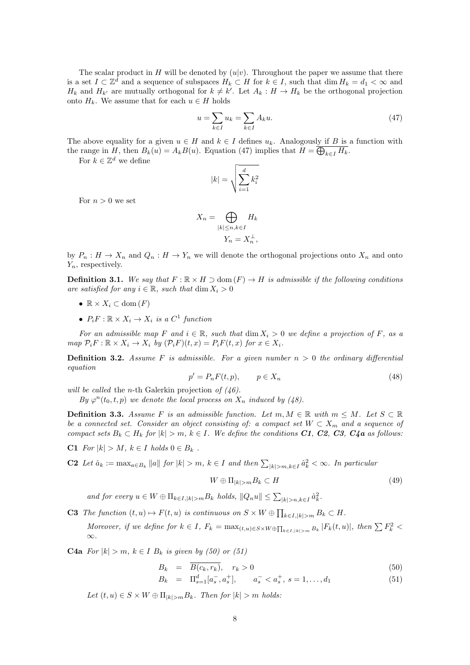The scalar product in *H* will be denoted by  $(u|v)$ . Throughout the paper we assume that there is a set  $I \subset \mathbb{Z}^d$  and a sequence of subspaces  $H_k \subset H$  for  $k \in I$ , such that  $\dim H_k = d_1 < \infty$  and *H*<sub>*k*</sub> and *H*<sub>*k*<sup>*'*</sup> are mutually orthogonal for  $k \neq k'$ . Let  $A_k : H \to H_k$  be the orthogonal projection</sub> onto  $H_k$ . We assume that for each  $u \in H$  holds

$$
u = \sum_{k \in I} u_k = \sum_{k \in I} A_k u. \tag{47}
$$

The above equality for a given  $u \in H$  and  $k \in I$  defines  $u_k$ . Analogously if B is a function with the range in *H*, then  $B_k(u) = A_k B(u)$ . Equation (47) implies that  $H = \bigoplus_{k \in I} H_k$ .

For  $k \in \mathbb{Z}^d$  we define

$$
|k| = \sqrt{\sum_{i=1}^{d} k_i^2}
$$

For  $n > 0$  we set

$$
X_n = \bigoplus_{|k| \le n, k \in I} H_k
$$
  

$$
Y_n = X_n^{\perp},
$$

by  $P_n: H \to X_n$  and  $Q_n: H \to Y_n$  we will denote the orthogonal projections onto  $X_n$  and onto *Yn*, respectively.

**Definition 3.1.** We say that  $F : \mathbb{R} \times H \supset \text{dom}(F) \to H$  is admissible if the following conditions *are satisfied for any*  $i \in \mathbb{R}$ *, such that* dim  $X_i > 0$ 

- $\mathbb{R} \times X_i \subset \text{dom}(F)$
- $P_i F : \mathbb{R} \times X_i \to X_i$  *is a*  $C^1$  *function*

*For an admissible map F and*  $i \in \mathbb{R}$ *, such that* dim  $X_i > 0$  *we define a projection of F, as a* map  $\mathcal{P}_i F : \mathbb{R} \times X_i \to X_i$  by  $(\mathcal{P}_i F)(t, x) = P_i F(t, x)$  for  $x \in X_i$ .

**Definition 3.2.** *Assume F is admissible. For a given number n >* 0 *the ordinary differential equation*

$$
p' = P_n F(t, p), \qquad p \in X_n \tag{48}
$$

*will be called* the *n*-th Galerkin projection *of (46).*

*By*  $\varphi^{n}(t_0, t, p)$  *we denote the local process on*  $X_n$  *induced by* (48).

**Definition 3.3.** *Assume F is an admissible function. Let*  $m, M \in \mathbb{R}$  *with*  $m \leq M$ *. Let*  $S \subset \mathbb{R}$ *be a connected set. Consider an object consisting of: a compact set*  $W \subset X_m$  *and a sequence of* compact sets  $B_k \subset H_k$  for  $|k| > m$ ,  $k \in I$ . We define the conditions C1, C2, C3, C4a as follows:

C1 *For*  $|k| > M$ *,*  $k \in I$  *holds* 0 ∈  $B_k$ .

**C2** Let  $\hat{a}_k := \max_{a \in B_k} \|a\|$  for  $|k| > m$ ,  $k \in I$  and then  $\sum_{|k| > m, k \in I} \hat{a}_k^2 < \infty$ . In particular

$$
W \oplus \Pi_{|k|>m} B_k \subset H \tag{49}
$$

and for every  $u \in W \oplus \Pi_{k \in I, |k| > m} B_k$  holds,  $||Q_n u|| \leq \sum_{|k| > n, k \in I} \hat{a}_k^2$ .

**C3** The function  $(t, u) \mapsto F(t, u)$  is continuous on  $S \times W \oplus \prod_{k \in I, |k| > m} B_k \subset H$ .

Moreover, if we define for  $k \in I$ ,  $F_k = \max_{(t,u) \in S \times W \oplus \prod_{k \in I, |k| > m} B_k} |F_k(t,u)|$ , then  $\sum F_k^2$ *∞.*

**C4a** *For*  $|k| > m$ ,  $k \in I$  *B*<sub>*k*</sub> *is given by (50) or (51)* 

$$
B_k = \overline{B(c_k, r_k)}, \quad r_k > 0 \tag{50}
$$

$$
B_k = \Pi_{s=1}^d [a_s^-, a_s^+], \qquad a_s^- < a_s^+, \ s = 1, \dots, d_1 \tag{51}
$$

 $Let (t, u) \in S \times W \oplus \Pi_{|k| > m} B_k$ . Then for  $|k| > m$  holds: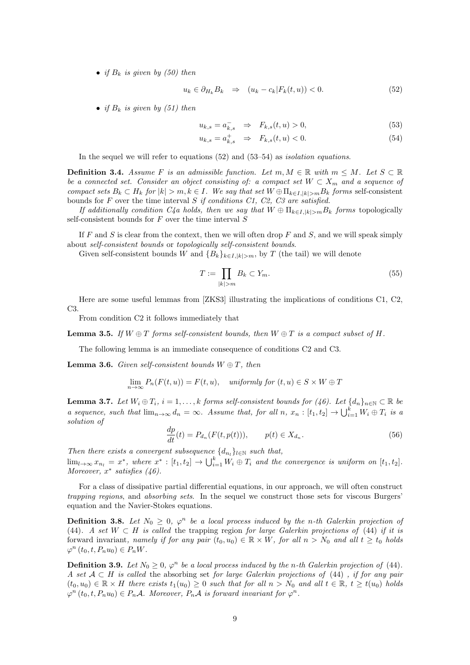• *if*  $B_k$  *is given by (50) then* 

$$
u_k \in \partial_{H_k} B_k \quad \Rightarrow \quad (u_k - c_k | F_k(t, u)) < 0. \tag{52}
$$

• *if*  $B_k$  *is given by (51) then* 

$$
u_{k,s} = a_{k,s}^- \Rightarrow F_{k,s}(t,u) > 0,\tag{53}
$$

$$
u_{k,s} = a_{k,s}^+ \quad \Rightarrow \quad F_{k,s}(t,u) < 0. \tag{54}
$$

In the sequel we will refer to equations (52) and (53–54) as *isolation equations*.

**Definition 3.4.** *Assume F is an admissible function. Let*  $m, M \in \mathbb{R}$  *with*  $m \leq M$ *. Let*  $S \subset \mathbb{R}$ *be a connected set. Consider an object consisting of: a compact set*  $W \subset X_m$  *and a sequence of* compact sets  $B_k \subset H_k$  for  $|k| > m, k \in I$ . We say that set  $W \oplus \Pi_{k \in I, |k| > m} B_k$  forms self-consistent bounds for *F* over the time interval *S if conditions C1, C2, C3 are satisfied.*

*If additionally condition C4a holds, then we say that*  $W \oplus \Pi_{k \in I, |k| > m} B_k$  *forms* topologically self-consistent bounds for *F* over the time interval *S*

If *F* and *S* is clear from the context, then we will often drop *F* and *S*, and we will speak simply about *self-consistent bounds* or *topologically self-consistent bounds*.

Given self-consistent bounds *W* and  ${B_k}_{k \in I, |k| > m}$ , by *T* (the tail) we will denote

$$
T := \prod_{|k|>m} B_k \subset Y_m. \tag{55}
$$

Here are some useful lemmas from [ZKS3] illustrating the implications of conditions C1, C2, C3.

From condition C2 it follows immediately that

**Lemma 3.5.** If  $W \oplus T$  forms self-consistent bounds, then  $W \oplus T$  is a compact subset of H.

The following lemma is an immediate consequence of conditions C2 and C3.

**Lemma 3.6.** *Given self-consistent bounds*  $W \oplus T$ *, then* 

$$
\lim_{n \to \infty} P_n(F(t, u)) = F(t, u), \quad \text{uniformly for } (t, u) \in S \times W \oplus T
$$

**Lemma 3.7.** Let  $W_i \oplus T_i$ ,  $i = 1, ..., k$  forms self-consistent bounds for (46). Let  $\{d_n\}_{n \in \mathbb{N}} \subset \mathbb{R}$  be a sequence, such that  $\lim_{n\to\infty} d_n = \infty$ . Assume that, for all n,  $x_n : [t_1, t_2] \to \bigcup_{i=1}^k W_i \oplus T_i$  is a *solution of*

$$
\frac{dp}{dt}(t) = P_{d_n}(F(t, p(t))), \qquad p(t) \in X_{d_n}.
$$
\n(56)

*Then there exists a convergent subsequence*  $\{d_{n_l}\}_{l \in \mathbb{N}}$  *such that,* 

 $\lim_{l\to\infty}x_{n_l}=x^*$ , where  $x^*: [t_1,t_2]\to\bigcup_{i=1}^k W_i\oplus T_i$  and the convergence is uniform on  $[t_1,t_2]$ . *Moreover, x ∗ satisfies (46).*

For a class of dissipative partial differential equations, in our approach, we will often construct *trapping regions*, and *absorbing sets*. In the sequel we construct those sets for viscous Burgers' equation and the Navier-Stokes equations.

**Definition 3.8.** Let  $N_0 \geq 0$ ,  $\varphi^n$  be a local process induced by the *n*-th Galerkin projection of (44)*. A set W ⊂ H is called* the trapping region *for large Galerkin projections of* (44) *if it is* forward invariant, namely if for any pair  $(t_0, u_0) \in \mathbb{R} \times W$ , for all  $n > N_0$  and all  $t \geq t_0$  holds  $\varphi^{n}(t_0, t, P_n u_0) \in P_n W$ .

**Definition 3.9.** Let  $N_0 \geq 0$ ,  $\varphi^n$  be a local process induced by the *n*-th Galerkin projection of (44). *A set A ⊂ H is called* the absorbing set *for large Galerkin projections of* (44) *, if for any pair*  $(t_0, u_0) \in \mathbb{R} \times H$  there exists  $t_1(u_0) \geq 0$  such that for all  $n > N_0$  and all  $t \in \mathbb{R}$ ,  $t \geq t(u_0)$  holds  $\varphi^{n}(t_{0}, t, P_{n}u_{0}) \in P_{n}A$ *. Moreover,*  $P_{n}A$  *is forward invariant for*  $\varphi^{n}$ *.*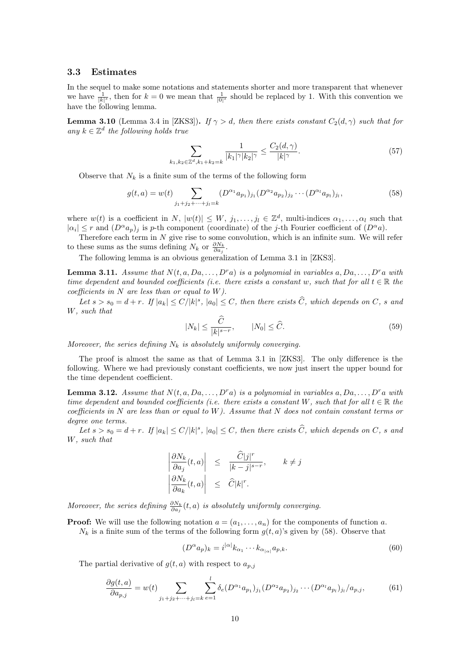### **3.3 Estimates**

In the sequel to make some notations and statements shorter and more transparent that whenever we have  $\frac{1}{|k|^s}$ , then for  $k = 0$  we mean that  $\frac{1}{|0|^s}$  should be replaced by 1. With this convention we have the following lemma.

**Lemma 3.10** (Lemma 3.4 in [ZKS3]). *If*  $\gamma > d$ , then there exists constant  $C_2(d, \gamma)$  such that for *any*  $k \in \mathbb{Z}^d$  *the following holds true* 

$$
\sum_{k_1, k_2 \in \mathbb{Z}^d, k_1 + k_2 = k} \frac{1}{|k_1|^\gamma |k_2|^\gamma} \le \frac{C_2(d, \gamma)}{|k|^\gamma}.
$$
\n(57)

Observe that  $N_k$  is a finite sum of the terms of the following form

$$
g(t,a) = w(t) \sum_{j_1+j_2+\dots+j_l=k} (D^{\alpha_1} a_{p_1})_{j_1} (D^{\alpha_2} a_{p_2})_{j_2} \cdots (D^{\alpha_l} a_{p_l})_{j_l},
$$
\n(58)

where  $w(t)$  is a coefficient in *N*,  $|w(t)| \leq W$ ,  $j_1, \ldots, j_l \in \mathbb{Z}^d$ , multi-indices  $\alpha_1, \ldots, \alpha_l$  such that  $|a_i| \leq r$  and  $(D^{\alpha}a_p)_j$  is *p*-th component (coordinate) of the *j*-th Fourier coefficient of  $(D^{\alpha}a)$ .

Therefore each term in *N* give rise to some convolution, which is an infinite sum. We will refer to these sums as the sums defining  $N_k$  or  $\frac{\partial N_k}{\partial a_j}$ .

The following lemma is an obvious generalization of Lemma 3.1 in [ZKS3].

**Lemma 3.11.** *Assume that*  $N(t, a, Da, \ldots, D^r a)$  *is a polynomial in variables*  $a, Da, \ldots, D^r a$  *with time dependent and bounded coefficients (i.e. there exists a constant w, such that for all*  $t \in \mathbb{R}$  *the coefficients in N are less than or equal to W).*

Let  $s > s_0 = d + r$ . If  $|a_k| \le C/|k|^s$ ,  $|a_0| \le C$ , then there exists  $\hat{C}$ , which depends on  $C$ , s and *W, such that*

$$
|N_k| \le \frac{\widehat{C}}{|k|^{s-r}}, \qquad |N_0| \le \widehat{C}.\tag{59}
$$

*Moreover, the series defining*  $N_k$  *is absolutely uniformly converging.* 

The proof is almost the same as that of Lemma 3.1 in [ZKS3]. The only difference is the following. Where we had previously constant coefficients, we now just insert the upper bound for the time dependent coefficient.

**Lemma 3.12.** *Assume that*  $N(t, a, Da, \ldots, D^r a)$  *is a polynomial in variables*  $a, Da, \ldots, D^r a$  *with time dependent and bounded coefficients (i.e. there exists a constant*  $W$ *, such that for all*  $t \in \mathbb{R}$  *the coefficients in N are less than or equal to W). Assume that N does not contain constant terms or degree one terms.*

Let  $s > s_0 = d + r$ . If  $|a_k| \le C/|k|^s$ ,  $|a_0| \le C$ , then there exists  $\widehat{C}$ , which depends on C, s and *W, such that*

$$
\begin{array}{rcl}\n\left| \frac{\partial N_k}{\partial a_j}(t, a) \right| & \leq & \frac{\widehat{C}|j|^r}{|k - j|^{s - r}}, \qquad k \neq j \\
\left| \frac{\partial N_k}{\partial a_k}(t, a) \right| & \leq & \widehat{C}|k|^r.\n\end{array}
$$

*Moreover, the series defining*  $\frac{\partial N_k}{\partial a_j}(t, a)$  *is absolutely uniformly converging.* 

**Proof:** We will use the following notation  $a = (a_1, \ldots, a_n)$  for the components of function a.  $N_k$  is a finite sum of the terms of the following form  $g(t, a)$ 's given by (58). Observe that

$$
(D^{\alpha}a_p)_k = i^{|\alpha|} k_{\alpha_1} \cdots k_{\alpha_{|\alpha|}} a_{p,k}.\tag{60}
$$

The partial derivative of  $g(t, a)$  with respect to  $a_{p,i}$ 

$$
\frac{\partial g(t,a)}{\partial a_{p,j}} = w(t) \sum_{j_1 + j_2 + \dots + j_l = k} \sum_{e=1}^l \delta_e(D^{\alpha_1} a_{p_1})_{j_1} (D^{\alpha_2} a_{p_2})_{j_2} \cdots (D^{\alpha_l} a_{p_l})_{j_l} / a_{p,j},\tag{61}
$$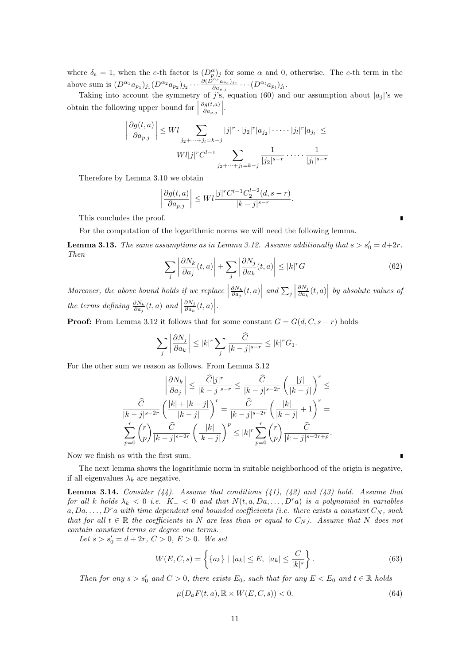where  $\delta_e = 1$ , when the *e*-th factor is  $(D_p^{\alpha})_j$  for some  $\alpha$  and 0, otherwise. The *e*-th term in the *p* above sum is  $(D^{\alpha_1}a_{p_1})_{j_1}(D^{\alpha_2}a_{p_2})_{j_2}\cdots \frac{\partial (\hat{D}^{\alpha_e}a_{p_e})_{j_e}}{\partial a_{p,j}}\cdots (D^{\alpha_l}a_{p_l})_{j_l}.$ 

Taking into account the symmetry of *j*'s, equation (60) and our assumption about  $|a_j|$ 's we obtain the following upper bound for  $\Big|$ *∂g*(*t,a*)  $\frac{\partial g(t,a)}{\partial a_{p,j}}\Bigg|$ .

$$
\left| \frac{\partial g(t, a)}{\partial a_{p,j}} \right| \le W l \sum_{j_2 + \dots + j_l = k - j} |j|^r \cdot |j_2|^r |a_{j_2}| \cdot \dots \cdot |j_l|^r |a_{j_l}| \le W l |j|^r C^{l-1} \sum_{j_2 + \dots + j_l = k - j} \frac{1}{|j_2|^{s-r}} \cdot \dots \cdot \frac{1}{|j_l|^{s-r}}
$$

Therefore by Lemma 3.10 we obtain

$$
\left| \frac{\partial g(t, a)}{\partial a_{p,j}} \right| \le W l \frac{|j|^r C^{l-1} C_2^{l-2} (d, s-r)}{|k-j|^{s-r}}.
$$

This concludes the proof.

For the computation of the logarithmic norms we will need the following lemma.

**Lemma 3.13.** *The same assumptions as in Lemma 3.12. Assume additionally that*  $s > s'_0 = d + 2r$ *. Then*

$$
\sum_{j} \left| \frac{\partial N_k}{\partial a_j}(t, a) \right| + \sum_{j} \left| \frac{\partial N_j}{\partial a_k}(t, a) \right| \le |k|^r G \tag{62}
$$

*Moreover, the above bound holds if we replace* |  $\left| \frac{\partial N_k}{\partial a_j}(t,a) \right|$  and  $\sum_j$ *∂N<sup>j</sup>*  $\frac{\partial N_j}{\partial a_k}(t,a)$  *by absolute values of the terms defining*  $\frac{\partial N_k}{\partial a_j}(t, a)$  *and ∂N<sup>j</sup>*  $\frac{\partial N_j}{\partial a_k}(t,a)\Big|$ .

**Proof:** From Lemma 3.12 it follows that for some constant  $G = G(d, C, s - r)$  holds

$$
\sum_{j} \left| \frac{\partial N_j}{\partial a_k} \right| \le |k|^r \sum_{j} \frac{\widehat{C}}{|k-j|^{s-r}} \le |k|^r G_1.
$$

For the other sum we reason as follows. From Lemma 3.12

$$
\left|\frac{\partial N_k}{\partial a_j}\right| \le \frac{\widehat{C}|j|^r}{|k-j|^{s-r}} \le \frac{\widehat{C}}{|k-j|^{s-2r}} \left(\frac{|j|}{|k-j|}\right)^r \le
$$
  

$$
\frac{\widehat{C}}{|k-j|^{s-2r}} \left(\frac{|k|+|k-j|}{|k-j|}\right)^r = \frac{\widehat{C}}{|k-j|^{s-2r}} \left(\frac{|k|}{|k-j|}+1\right)^r =
$$
  

$$
\sum_{p=0}^r {r \choose p} \frac{\widehat{C}}{|k-j|^{s-2r}} \left(\frac{|k|}{|k-j|}\right)^p \le |k|^r \sum_{p=0}^r {r \choose p} \frac{\widehat{C}}{|k-j|^{s-2r+p}}.
$$

Now we finish as with the first sum.

The next lemma shows the logarithmic norm in suitable neighborhood of the origin is negative, if all eigenvalues  $\lambda_k$  are negative.

**Lemma 3.14.** *Consider (44). Assume that conditions (41), (42) and (43) hold. Assume that for all k holds*  $\lambda_k < 0$  *i.e.*  $K_-\lt 0$  *and that*  $N(t, a, Da, \ldots, D^r a)$  *is a polynomial in variables*  $a, Da, \ldots, D^r a$  *with time dependent and bounded coefficients (i.e. there exists a constant*  $C_N$ *, such that for all*  $t \in \mathbb{R}$  *the coefficients in N* are less than or equal to  $C_N$ ). Assume that N does not *contain constant terms or degree one terms.*

*Let*  $s > s'_0 = d + 2r, C > 0, E > 0$ *. We set* 

$$
W(E, C, s) = \left\{ \{a_k\} \mid |a_k| \le E, \ |a_k| \le \frac{C}{|k|^s} \right\}.
$$
 (63)

*Then for any*  $s > s'_0$  *and*  $C > 0$ *, there exists*  $E_0$ *, such that for any*  $E < E_0$  *and*  $t \in \mathbb{R}$  *holds* 

$$
\mu(D_a F(t, a), \mathbb{R} \times W(E, C, s)) < 0. \tag{64}
$$

п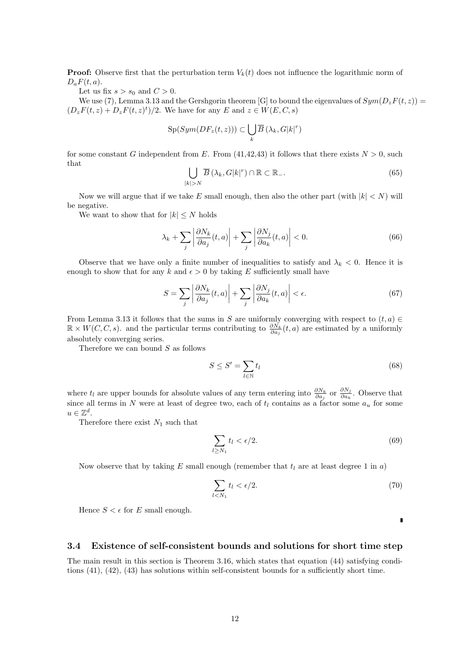**Proof:** Observe first that the perturbation term  $V_k(t)$  does not influence the logarithmic norm of  $D_a F(t, a)$ .

Let us fix  $s > s_0$  and  $C > 0$ .

We use (7), Lemma 3.13 and the Gershgorin theorem [G] to bound the eigenvalues of  $Sym(D_zF(t,z))$  =  $(D_zF(t, z) + D_zF(t, z)^t)/2$ . We have for any *E* and  $z \in W(E, C, s)$ 

$$
\mathrm{Sp}(Sym(DF_z(t,z)))\subset \bigcup_k \overline{B}\left(\lambda_k, G|k|^{r}\right)
$$

for some constant *G* independent from *E*. From (41,42,43) it follows that there exists  $N > 0$ , such that

$$
\bigcup_{|k|>N} \overline{B}\left(\lambda_k, G|k|^r\right) \cap \mathbb{R} \subset \mathbb{R}_-.
$$
\n(65)

Now we will argue that if we take  $E$  small enough, then also the other part (with  $|k| < N$ ) will be negative.

We want to show that for  $|k| \leq N$  holds

$$
\lambda_k + \sum_j \left| \frac{\partial N_k}{\partial a_j}(t, a) \right| + \sum_j \left| \frac{\partial N_j}{\partial a_k}(t, a) \right| < 0. \tag{66}
$$

Observe that we have only a finite number of inequalities to satisfy and  $\lambda_k < 0$ . Hence it is enough to show that for any  $k$  and  $\epsilon > 0$  by taking  $E$  sufficiently small have

$$
S = \sum_{j} \left| \frac{\partial N_k}{\partial a_j}(t, a) \right| + \sum_{j} \left| \frac{\partial N_j}{\partial a_k}(t, a) \right| < \epsilon. \tag{67}
$$

From Lemma 3.13 it follows that the sums in *S* are uniformly converging with respect to  $(t, a) \in$ R *× W*(*C, C, s*). and the particular terms contributing to *∂N<sup>k</sup> ∂a<sup>j</sup>* (*t, a*) are estimated by a uniformly absolutely converging series.

Therefore we can bound *S* as follows

$$
S \le S' = \sum_{l \in \mathbb{N}} t_l \tag{68}
$$

where  $t_l$  are upper bounds for absolute values of any term entering into  $\frac{\partial N_k}{\partial a_j}$  or  $\frac{\partial N_j}{\partial a_k}$  $\frac{\partial N_j}{\partial a_k}$ . Observe that since all terms in *N* were at least of degree two, each of  $t_l$  contains as a factor some  $a_u$  for some  $u \in \mathbb{Z}^d$ .

Therefore there exist *N*<sup>1</sup> such that

$$
\sum_{l \ge N_1} t_l < \epsilon/2. \tag{69}
$$

Now observe that by taking  $E$  small enough (remember that  $t_l$  are at least degree 1 in  $a$ )

$$
\sum_{l < N_1} t_l < \epsilon/2. \tag{70}
$$

Hence  $S \leq \epsilon$  for *E* small enough.

Г

### **3.4 Existence of self-consistent bounds and solutions for short time step**

The main result in this section is Theorem 3.16, which states that equation (44) satisfying conditions (41), (42), (43) has solutions within self-consistent bounds for a sufficiently short time.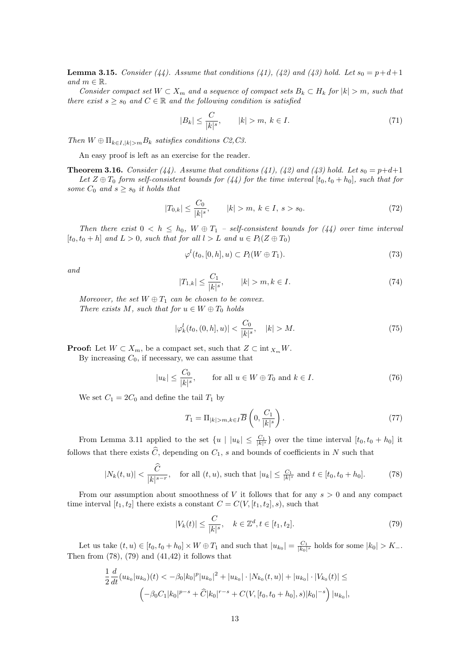**Lemma 3.15.** *Consider* (44). Assume that conditions (41), (42) and (43) hold. Let  $s_0 = p + d + 1$  $and m \in \mathbb{R}$ .

*Consider compact set*  $W \subset X_m$  *and a sequence of compact sets*  $B_k \subset H_k$  *for*  $|k| > m$ *, such that there exist*  $s \geq s_0$  *and*  $C \in \mathbb{R}$  *and the following condition is satisfied* 

$$
|B_k| \le \frac{C}{|k|^s}, \qquad |k| > m, \ k \in I. \tag{71}
$$

*Then*  $W \oplus \prod_{k \in I, |k| > m} B_k$  *satisfies conditions C2,C3.* 

An easy proof is left as an exercise for the reader.

**Theorem 3.16.** *Consider* (44). Assume that conditions (41), (42) and (43) hold. Let  $s_0 = p+d+1$ *Let*  $Z \oplus T_0$  *form self-consistent bounds for* (44) *for the time interval* [ $t_0, t_0 + h_0$ ]*, such that for some*  $C_0$  *and*  $s \geq s_0$  *it holds that* 

$$
|T_{0,k}| \le \frac{C_0}{|k|^s}, \qquad |k| > m, \ k \in I, \ s > s_0. \tag{72}
$$

*Then there exist*  $0 < h \leq h_0$ ,  $W \oplus T_1$  *– self-consistent bounds for* (44) over time interval  $[t_0, t_0 + h]$  and  $L > 0$ , such that for all  $l > L$  and  $u \in P_l(Z \oplus T_0)$ 

$$
\varphi^l(t_0, [0, h], u) \subset P_l(W \oplus T_1). \tag{73}
$$

*and*

$$
|T_{1,k}| \le \frac{C_1}{|k|^s}, \qquad |k| > m, k \in I.
$$
\n(74)

*Moreover, the set*  $W \oplus T_1$  *can be chosen to be convex. There exists*  $M$ *, such that for*  $u \in W \oplus T_0$  *holds* 

$$
|\varphi_k^l(t_0, (0, h], u)| < \frac{C_0}{|k|^s}, \quad |k| > M. \tag{75}
$$

**Proof:** Let  $W \subset X_m$ , be a compact set, such that  $Z \subset \text{int } X_m W$ .

By increasing  $C_0$ , if necessary, we can assume that

$$
|u_k| \le \frac{C_0}{|k|^s}, \qquad \text{for all } u \in W \oplus T_0 \text{ and } k \in I. \tag{76}
$$

We set  $C_1 = 2C_0$  and define the tail  $T_1$  by

$$
T_1 = \Pi_{|k|>m,k\in I} \overline{B}\left(0, \frac{C_1}{|k|^s}\right). \tag{77}
$$

From Lemma 3.11 applied to the set  $\{u \mid |u_k| \leq \frac{C_1}{|k|^s}\}$  over the time interval  $[t_0, t_0 + h_0]$  it follows that there exists  $\widehat{C}$ , depending on  $C_1$ , *s* and bounds of coefficients in *N* such that

$$
|N_k(t, u)| < \frac{\widehat{C}}{|k|^{s-r}}, \quad \text{for all } (t, u), \text{ such that } |u_k| \le \frac{C_1}{|k|^s} \text{ and } t \in [t_0, t_0 + h_0].\tag{78}
$$

From our assumption about smoothness of *V* it follows that for any *s >* 0 and any compact time interval  $[t_1, t_2]$  there exists a constant  $C = C(V, [t_1, t_2], s)$ , such that

$$
|V_k(t)| \le \frac{C}{|k|^s}, \quad k \in \mathbb{Z}^d, t \in [t_1, t_2].
$$
\n(79)

Let us take  $(t, u) \in [t_0, t_0 + h_0] \times W \oplus T_1$  and such that  $|u_{k_0}| = \frac{C_1}{|k_0|^s}$  holds for some  $|k_0| > K_-$ . Then from  $(78)$ ,  $(79)$  and  $(41,42)$  it follows that

$$
\frac{1}{2}\frac{d}{dt}(u_{k_0}|u_{k_0})(t) < -\beta_0|k_0|^p|u_{k_0}|^2 + |u_{k_0}|\cdot|N_{k_0}(t,u)| + |u_{k_0}|\cdot|V_{k_0}(t)| \le
$$
  

$$
\left(-\beta_0C_1|k_0|^{p-s} + \widehat{C}|k_0|^{r-s} + C(V,[t_0,t_0+h_0],s)|k_0|^{-s}\right)|u_{k_0}|,
$$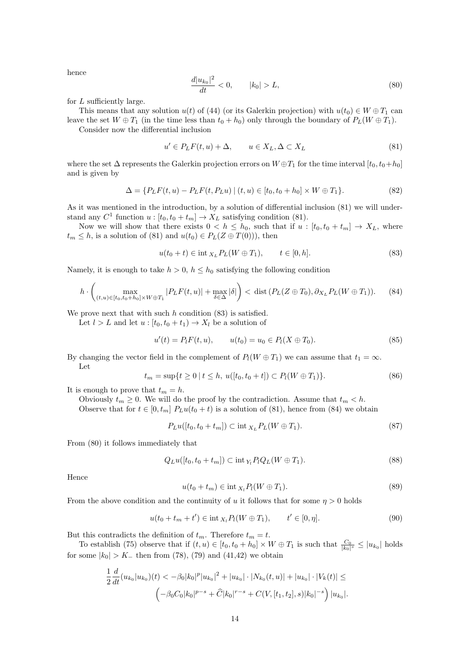hence

$$
\frac{d|u_{k_0}|^2}{dt} < 0, \qquad |k_0| > L,\tag{80}
$$

for *L* sufficiently large.

This means that any solution  $u(t)$  of (44) (or its Galerkin projection) with  $u(t_0) \in W \oplus T_1$  can leave the set  $W \oplus T_1$  (in the time less than  $t_0 + h_0$ ) only through the boundary of  $P_L(W \oplus T_1)$ .

Consider now the differential inclusion

$$
u' \in P_L F(t, u) + \Delta, \qquad u \in X_L, \Delta \subset X_L \tag{81}
$$

where the set  $\Delta$  represents the Galerkin projection errors on  $W \oplus T_1$  for the time interval  $[t_0, t_0+h_0]$ and is given by

$$
\Delta = \{ P_L F(t, u) - P_L F(t, P_L u) \mid (t, u) \in [t_0, t_0 + h_0] \times W \oplus T_1 \}.
$$
\n(82)

As it was mentioned in the introduction, by a solution of differential inclusion (81) we will understand any  $C^1$  function  $u : [t_0, t_0 + t_m] \to X_L$  satisfying condition (81).

Now we will show that there exists  $0 < h \leq h_0$ , such that if  $u : [t_0, t_0 + t_m] \rightarrow X_L$ , where  $t_m \leq h$ , is a solution of (81) and  $u(t_0) \in P_L(Z \oplus T(0))$ , then

$$
u(t_0 + t) \in \text{int}_{X_L} P_L(W \oplus T_1), \qquad t \in [0, h]. \tag{83}
$$

Namely, it is enough to take  $h > 0$ ,  $h < h_0$  satisfying the following condition

$$
h \cdot \left( \max_{(t,u) \in [t_0, t_0 + h_0] \times W \oplus T_1} |P_L F(t, u)| + \max_{\delta \in \Delta} |\delta| \right) < \text{dist}\left(P_L (Z \oplus T_0), \partial_{X_L} P_L (W \oplus T_1)\right). \tag{84}
$$

We prove next that with such *h* condition (83) is satisfied.

Let  $l > L$  and let  $u : [t_0, t_0 + t_1) \rightarrow X_l$  be a solution of

$$
u'(t) = P_l F(t, u), \qquad u(t_0) = u_0 \in P_l (X \oplus T_0).
$$
\n(85)

By changing the vector field in the complement of  $P_l(W \oplus T_1)$  we can assume that  $t_1 = \infty$ . Let

$$
t_m = \sup\{t \ge 0 \mid t \le h, \ u([t_0, t_0 + t]) \subset P_l(W \oplus T_1)\}.
$$
\n(86)

It is enough to prove that  $t_m = h$ .

Obviously  $t_m \geq 0$ . We will do the proof by the contradiction. Assume that  $t_m < h$ .

Observe that for  $t \in [0, t_m]$   $P_Lu(t_0 + t)$  is a solution of (81), hence from (84) we obtain

$$
P_L u([t_0, t_0 + t_m]) \subset \text{int}_{X_L} P_L(W \oplus T_1). \tag{87}
$$

From (80) it follows immediately that

$$
Q_L u([t_0, t_0 + t_m]) \subset \text{int}_{Y_l} P_l Q_L(W \oplus T_1). \tag{88}
$$

Hence

$$
u(t_0 + t_m) \in \text{int}_{X_l} P_l(W \oplus T_1). \tag{89}
$$

From the above condition and the continuity of *u* it follows that for some  $\eta > 0$  holds

$$
u(t_0 + t_m + t') \in \text{int}_{X_l} P_l(W \oplus T_1), \qquad t' \in [0, \eta].
$$
\n(90)

But this contradicts the definition of  $t_m$ . Therefore  $t_m = t$ .

To establish (75) observe that if  $(t, u) \in [t_0, t_0 + h_0] \times W \oplus T_1$  is such that  $\frac{C_0}{|k_0|^s} \leq |u_{k_0}|$  holds for some  $|k_0| > K_-\$  then from (78), (79) and (41,42) we obtain

$$
\frac{1}{2}\frac{d}{dt}(u_{k_0}|u_{k_0})(t) < -\beta_0|k_0|^p|u_{k_0}|^2 + |u_{k_0}|\cdot|N_{k_0}(t,u)| + |u_{k_0}|\cdot|V_k(t)| \le
$$
  

$$
\left(-\beta_0C_0|k_0|^{p-s} + \widehat{C}|k_0|^{r-s} + C(V,[t_1,t_2],s)|k_0|^{-s}\right)|u_{k_0}|.
$$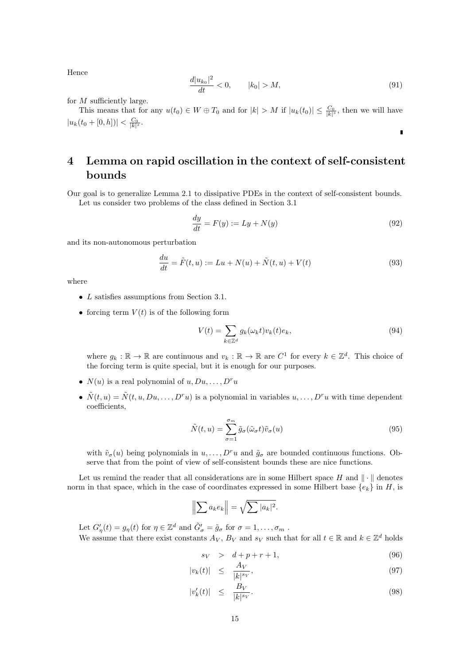Hence

$$
\frac{d|u_{k_0}|^2}{dt} < 0, \qquad |k_0| > M,\tag{91}
$$

 $\blacksquare$ 

for *M* sufficiently large.

This means that for any  $u(t_0) \in W \oplus T_0$  and for  $|k| > M$  if  $|u_k(t_0)| \leq \frac{C_0}{|k|^s}$ , then we will have  $|u_k(t_0 + [0, h])| < \frac{C_0}{|k|^s}.$ 

# **4 Lemma on rapid oscillation in the context of self-consistent bounds**

Our goal is to generalize Lemma 2.1 to dissipative PDEs in the context of self-consistent bounds. Let us consider two problems of the class defined in Section 3.1

$$
\frac{dy}{dt} = F(y) := Ly + N(y) \tag{92}
$$

and its non-autonomous perturbation

$$
\frac{du}{dt} = \tilde{F}(t, u) := Lu + N(u) + \tilde{N}(t, u) + V(t)
$$
\n(93)

where

- *• L* satisfies assumptions from Section 3.1.
- forcing term  $V(t)$  is of the following form

$$
V(t) = \sum_{k \in \mathbb{Z}^d} g_k(\omega_k t) v_k(t) e_k,
$$
\n(94)

where  $g_k : \mathbb{R} \to \mathbb{R}$  are continuous and  $v_k : \mathbb{R} \to \mathbb{R}$  are  $C^1$  for every  $k \in \mathbb{Z}^d$ . This choice of the forcing term is quite special, but it is enough for our purposes.

- $N(u)$  is a real polynomial of  $u, Du, \ldots, D^r u$
- $\tilde{N}(t, u) = \tilde{N}(t, u, Du, \dots, D^r u)$  is a polynomial in variables  $u, \dots, D^r u$  with time dependent coefficients,

$$
\tilde{N}(t, u) = \sum_{\sigma=1}^{\sigma_m} \tilde{g}_{\sigma}(\tilde{\omega}_{\sigma} t) \tilde{v}_{\sigma}(u)
$$
\n(95)

with  $\tilde{v}_{\sigma}(u)$  being polynomials in  $u, \ldots, D^r u$  and  $\tilde{g}_{\sigma}$  are bounded continuous functions. Observe that from the point of view of self-consistent bounds these are nice functions.

Let us remind the reader that all considerations are in some Hilbert space *H* and *∥ · ∥* denotes norm in that space, which in the case of coordinates expressed in some Hilbert base  $\{e_k\}$  in *H*, is

$$
\left\|\sum a_k e_k\right\| = \sqrt{\sum |a_k|^2}.
$$

Let  $G'_{\eta}(t) = g_{\eta}(t)$  for  $\eta \in \mathbb{Z}^d$  and  $\tilde{G}'_{\sigma} = \tilde{g}_{\sigma}$  for  $\sigma = 1, \ldots, \sigma_m$ . We assume that there exist constants  $A_V$ ,  $B_V$  and  $s_V$  such that for all  $t \in \mathbb{R}$  and  $k \in \mathbb{Z}^d$  holds

$$
s_V \quad > \quad d + p + r + 1,\tag{96}
$$

$$
|v_k(t)| \le \frac{A_V}{|k|^{s_V}},\tag{97}
$$

$$
|v_k'(t)| \le \frac{B_V}{|k|^{s_V}}.\tag{98}
$$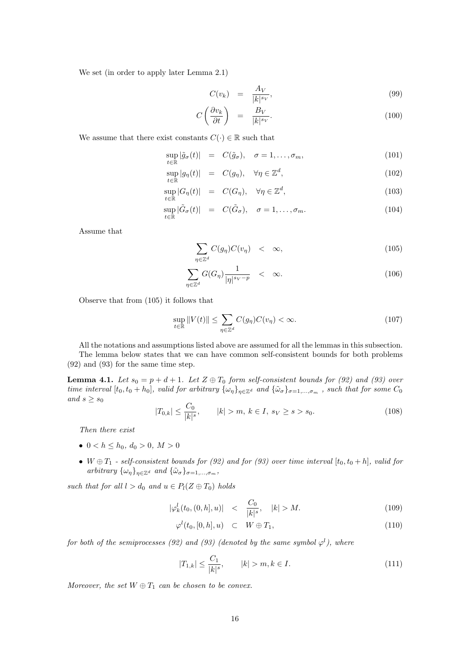We set (in order to apply later Lemma 2.1)

$$
C(v_k) = \frac{A_V}{|k|^{s_V}},\tag{99}
$$

$$
C\left(\frac{\partial v_k}{\partial t}\right) = \frac{B_V}{|k|^{s_V}}.\tag{100}
$$

We assume that there exist constants  $C(\cdot) \in \mathbb{R}$  such that

$$
\sup_{t \in \mathbb{R}} |\tilde{g}_{\sigma}(t)| = C(\tilde{g}_{\sigma}), \quad \sigma = 1, \dots, \sigma_m,
$$
\n(101)

$$
\sup_{t \in \mathbb{R}} |g_{\eta}(t)| = C(g_{\eta}), \quad \forall \eta \in \mathbb{Z}^{d}, \tag{102}
$$

$$
\sup_{t \in \mathbb{R}} |G_{\eta}(t)| = C(G_{\eta}), \quad \forall \eta \in \mathbb{Z}^{d}, \tag{103}
$$

$$
\sup_{t \in \mathbb{R}} |\tilde{G}_{\sigma}(t)| = C(\tilde{G}_{\sigma}), \quad \sigma = 1, \dots, \sigma_m.
$$
\n(104)

Assume that

$$
\sum_{\eta \in \mathbb{Z}^d} C(g_{\eta}) C(v_{\eta}) < \infty,\tag{105}
$$

$$
\sum_{\eta \in \mathbb{Z}^d} G(G_{\eta}) \frac{1}{|\eta|^{s_V - p}} \quad < \quad \infty. \tag{106}
$$

Observe that from (105) it follows that

$$
\sup_{t \in \mathbb{R}} \|V(t)\| \le \sum_{\eta \in \mathbb{Z}^d} C(g_\eta) C(v_\eta) < \infty. \tag{107}
$$

All the notations and assumptions listed above are assumed for all the lemmas in this subsection. The lemma below states that we can have common self-consistent bounds for both problems (92) and (93) for the same time step.

**Lemma 4.1.** *Let*  $s_0 = p + d + 1$ *. Let*  $Z \oplus T_0$  *form self-consistent bounds for* (92) *and* (93) *over* time interval  $[t_0, t_0 + h_0]$ , valid for arbitrary  $\{\omega_{\eta}\}_{\eta \in \mathbb{Z}^d}$  and  $\{\tilde{\omega}_{\sigma}\}_{\sigma=1,\dots,\sigma_m}$ , such that for some  $C_0$ *and*  $s \geq s_0$ 

$$
|T_{0,k}| \le \frac{C_0}{|k|^s}, \qquad |k| > m, \ k \in I, \ s_V \ge s > s_0. \tag{108}
$$

*Then there exist*

- $0 < h < h_0, d_0 > 0, M > 0$
- $W \oplus T_1$   *self-consistent bounds for (92) and for (93) over time interval*  $[t_0, t_0 + h]$ *, valid for*  $arbitrary \{\omega_n\}_{n \in \mathbb{Z}^d}$  *and*  $\{\tilde{\omega}_{\sigma}\}_{\sigma=1,\ldots,\sigma_m}$ *,*

*such that for all*  $l > d_0$  *and*  $u \in P_l(Z \oplus T_0)$  *holds* 

$$
|\varphi_k^l(t_0, (0, h], u)| \quad < \quad \frac{C_0}{|k|^s}, \quad |k| > M. \tag{109}
$$

$$
\varphi^l(t_0, [0, h], u) \quad \subset \quad W \oplus T_1,\tag{110}
$$

*for both of the semiprocesses* (92) and (93) (denoted by the same symbol  $\varphi^l$ ), where

$$
|T_{1,k}| \le \frac{C_1}{|k|^s}, \qquad |k| > m, k \in I.
$$
\n(111)

*Moreover, the set*  $W \oplus T_1$  *can be chosen to be convex.*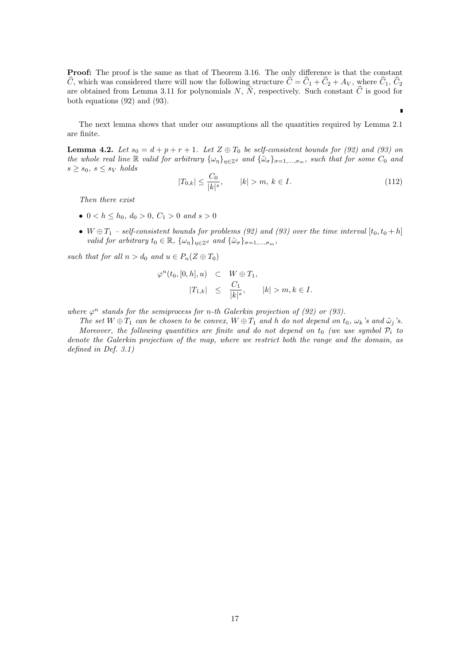**Proof:** The proof is the same as that of Theorem 3.16. The only difference is that the constant  $\hat{C}$ , which was considered there will now the following structure  $\hat{C} = \hat{C}_1 + \hat{C}_2 + A_V$ , where  $\hat{C}_1$ ,  $\hat{C}_2$ are obtained from Lemma 3.11 for polynomials *N*,  $\tilde{N}$ , respectively. Such constant  $\hat{C}$  is good for both equations (92) and (93).

The next lemma shows that under our assumptions all the quantities required by Lemma 2.1 are finite.

**Lemma 4.2.** Let  $s_0 = d + p + r + 1$ . Let  $Z \oplus T_0$  be self-consistent bounds for (92) and (93) on the whole real line R valid for arbitrary  $\{\omega_n\}_{n\in\mathbb{Z}^d}$  and  $\{\tilde{\omega}_{\sigma}\}_{\sigma=1,\dots,\sigma_m}$ , such that for some  $C_0$  and  $s \geq s_0, s \leq s_V$  *holds* 

$$
|T_{0,k}| \le \frac{C_0}{|k|^s}, \qquad |k| > m, \ k \in I. \tag{112}
$$

 $\blacksquare$ 

*Then there exist*

- $0 < h < h_0, d_0 > 0, C_1 > 0$  *and*  $s > 0$
- $W \oplus T_1$   *self-consistent bounds for problems (92) and (93) over the time interval*  $[t_0, t_0 + h]$ *valid for arbitrary*  $t_0 \in \mathbb{R}$ ,  $\{\omega_\eta\}_{\eta \in \mathbb{Z}^d}$  *and*  $\{\tilde{\omega}_\sigma\}_{\sigma=1,\dots,\sigma_m}$ ,

*such that for all*  $n > d_0$  *and*  $u \in P_n(Z \oplus T_0)$ 

$$
\varphi^{n}(t_{0},[0,h],u) \quad \subset \quad W \oplus T_{1},
$$

$$
|T_{1,k}| \quad \leq \quad \frac{C_{1}}{|k|^{s}}, \qquad |k| > m, k \in I.
$$

*where*  $\varphi^n$  *stands for the semiprocess for n-th Galerkin projection of (92) or (93).* 

The set  $W \oplus T_1$  can be chosen to be convex,  $W \oplus T_1$  and h do not depend on  $t_0$ ,  $\omega_k$ 's and  $\tilde{\omega}_j$ 's. *Moreover, the following quantities are finite and do not depend on*  $t_0$  *(we use symbol*  $P_i$  *to denote the Galerkin projection of the map, where we restrict both the range and the domain, as defined in Def. 3.1)*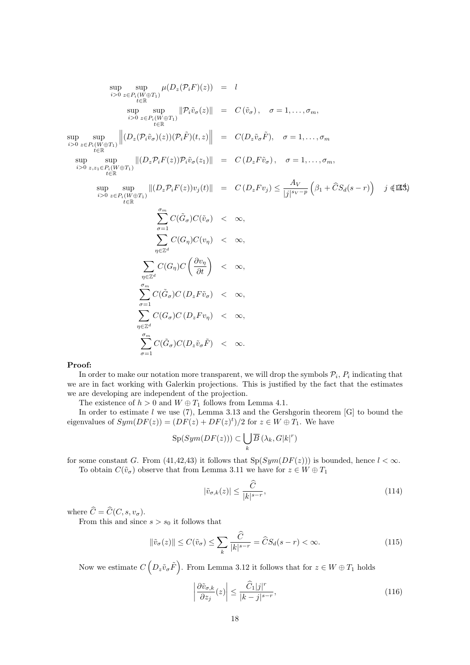$$
\sup_{i>0} \sup_{z \in P_i(W \oplus T_1)} \mu(D_z(\mathcal{P}_i F)(z)) = l
$$
\n
$$
\sup_{t \in \mathbb{R}} \sup_{z \in P_i(W \oplus T_1)} \|\mathcal{P}_i \tilde{v}_{\sigma}(z)\| = C(\tilde{v}_{\sigma}), \quad \sigma = 1, ..., \sigma_m,
$$
\n
$$
\sup_{t \in \mathbb{R}} \sup_{z \in P_i(W \oplus T_1)} \left\| (D_z(\mathcal{P}_i \tilde{v}_{\sigma})(z))(\mathcal{P}_i \tilde{F})(t, z) \right\| = C(D_z \tilde{v}_{\sigma} \tilde{F}), \quad \sigma = 1, ..., \sigma_m
$$
\n
$$
\sup_{z \in \mathbb{R}} \sup_{z \in P_i(W \oplus T_1)} \left\| (D_z \mathcal{P}_i F(z)) \mathcal{P}_i \tilde{v}_{\sigma}(z_1) \right\| = C(D_z F \tilde{v}_{\sigma}), \quad \sigma = 1, ..., \sigma_m,
$$
\n
$$
\sup_{z \in P_i(W \oplus T_1)} \sup_{z \in E} \left\| (D_z \mathcal{P}_i F(z)) \mathcal{P}_i \tilde{v}_{\sigma}(z_1) \right\| = C(D_z F v_j) \leq \frac{A_V}{|j|^{s_V - p}} \left( \beta_1 + \hat{C} S_d(s - r) \right) \quad j \notin \mathbb{Z}^4,
$$
\n
$$
\sup_{z \in \mathbb{R}} \sup_{t \in \mathbb{R}} \sum_{z \in P_i(W \oplus T_1)} C(\tilde{G}_{\sigma}) C(\tilde{v}_{\sigma}) < \infty,
$$
\n
$$
\sum_{\eta \in \mathbb{Z}^d} C(\tilde{G}_{\eta}) C \left( \frac{\partial v_{\eta}}{\partial t} \right) < \infty,
$$
\n
$$
\sum_{\eta \in \mathbb{Z}^d} C(\tilde{G}_{\sigma}) C(D_z F \tilde{v}_{\sigma}) < \infty,
$$
\n
$$
\sum_{\eta \in \mathbb{Z}^d} C(\tilde{G}_{\sigma}) C(D_z F v_{\eta}) < \infty,
$$
\n
$$
\sum_{\eta \in \mathbb{Z}} C(\tilde{G}_{\sigma}) C(D_z \tilde{v}_{\sigma} \tilde
$$

#### **Proof:**

In order to make our notation more transparent, we will drop the symbols  $\mathcal{P}_i$ ,  $P_i$  indicating that we are in fact working with Galerkin projections. This is justified by the fact that the estimates we are developing are independent of the projection.

The existence of  $h > 0$  and  $W \oplus T_1$  follows from Lemma 4.1.

In order to estimate *l* we use (7), Lemma 3.13 and the Gershgorin theorem [G] to bound the eigenvalues of  $Sym(DF(z)) = (DF(z) + DF(z)^t)/2$  for  $z \in W \oplus T_1$ . We have

$$
\mathrm{Sp}(Sym(DF(z))) \subset \bigcup_{k} \overline{B}\left(\lambda_k, G|k|^r\right)
$$

for some constant *G*. From (41,42,43) it follows that  $Sp(Sym(DF(z)))$  is bounded, hence  $l < \infty$ . To obtain  $C(\tilde{v}_\sigma)$  observe that from Lemma 3.11 we have for  $z \in W \oplus T_1$ 

$$
|\tilde{v}_{\sigma,k}(z)| \le \frac{\widehat{C}}{|k|^{s-r}},\tag{114}
$$

where  $\widehat{C} = \widehat{C}(C,s,v_{\sigma}).$ 

From this and since  $s > s_0$  it follows that

$$
\|\tilde{v}_{\sigma}(z)\| \le C(\tilde{v}_{\sigma}) \le \sum_{k} \frac{\widehat{C}}{|k|^{s-r}} = \widehat{C}S_d(s-r) < \infty. \tag{115}
$$

Now we estimate  $C\left(D_z\tilde{v}_\sigma\tilde{F}\right)$ . From Lemma 3.12 it follows that for  $z \in W \oplus T_1$  holds

$$
\left| \frac{\partial \tilde{v}_{\sigma,k}}{\partial z_j}(z) \right| \le \frac{\widehat{C}_1 |j|^r}{|k-j|^{s-r}},\tag{116}
$$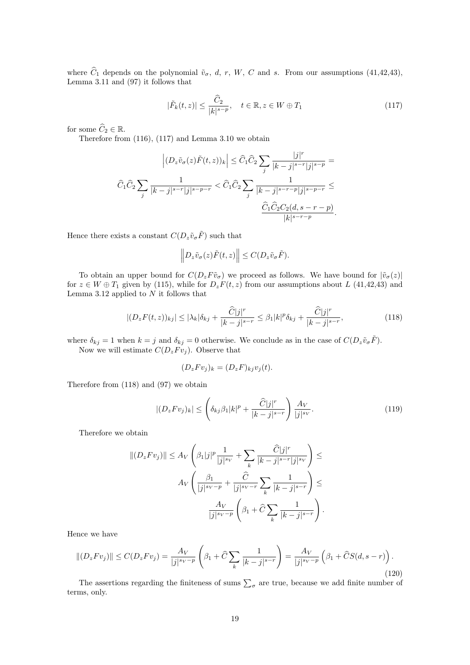where  $\hat{C}_1$  depends on the polynomial  $\tilde{v}_\sigma$ , *d*, *r*, *W*, *C* and *s*. From our assumptions (41,42,43), Lemma 3.11 and (97) it follows that

$$
|\tilde{F}_k(t,z)| \le \frac{\widehat{C}_2}{|k|^{s-p}}, \quad t \in \mathbb{R}, z \in W \oplus T_1 \tag{117}
$$

for some  $\widehat{C}_2 \in \mathbb{R}$ .

Therefore from (116), (117) and Lemma 3.10 we obtain

$$
\left| (D_z \tilde{v}_\sigma(z)\tilde{F}(t,z))_k \right| \leq \widehat{C}_1 \widehat{C}_2 \sum_j \frac{|j|^r}{|k-j|^{s-r} |j|^{s-p}} = \widehat{C}_1 \widehat{C}_2 \sum_j \frac{1}{|k-j|^{s-r} |j|^{s-p}} < \widehat{C}_1 \widehat{C}_2 \sum_j \frac{1}{|k-j|^{s-r-p} |j|^{s-p-r}} \leq \frac{\widehat{C}_1 \widehat{C}_2 C_2 (d, s-r-p)}{|k|^{s-r-p}}.
$$

Hence there exists a constant  $C(D_z\tilde{v}_\sigma\tilde{F})$  such that

$$
\left\| D_z \tilde{v}_\sigma(z) \tilde{F}(t,z) \right\| \le C(D_z \tilde{v}_\sigma \tilde{F}).
$$

To obtain an upper bound for  $C(D_z F\tilde{v}_{\sigma})$  we proceed as follows. We have bound for  $|\tilde{v}_{\sigma}(z)|$ for  $z \in W \oplus T_1$  given by (115), while for  $D_z F(t, z)$  from our assumptions about *L* (41,42,43) and Lemma 3.12 applied to *N* it follows that

$$
|(D_z F(t,z))_{kj}| \le |\lambda_k|\delta_{kj} + \frac{\widehat{C}|j|^r}{|k-j|^{s-r}} \le \beta_1 |k|^p \delta_{kj} + \frac{\widehat{C}|j|^r}{|k-j|^{s-r}},\tag{118}
$$

where  $\delta_{kj} = 1$  when  $k = j$  and  $\delta_{kj} = 0$  otherwise. We conclude as in the case of  $C(D_z\tilde{v}_\sigma\tilde{F})$ . Now we will estimate  $C(D_z F v_j)$ . Observe that

$$
(D_z F v_j)_k = (D_z F)_{kj} v_j(t).
$$

Therefore from (118) and (97) we obtain

$$
|(D_z F v_j)_k| \le \left(\delta_{kj}\beta_1 |k|^p + \frac{\widehat{C}|j|^r}{|k-j|^{s-r}}\right) \frac{A_V}{|j|^{s_V}}.\tag{119}
$$

Therefore we obtain

$$
||(D_z F v_j)|| \le A_V \left(\beta_1 |j|^p \frac{1}{|j|^{s_V}} + \sum_k \frac{\widehat{C}|j|^r}{|k-j|^{s-r}|j|^{s_V}}\right) \le A_V \left(\frac{\beta_1}{|j|^{s_V-p}} + \frac{\widehat{C}}{|j|^{s_V-r}} \sum_k \frac{1}{|k-j|^{s-r}}\right) \le A_V \frac{A_V}{|j|^{s_V-p}} \left(\beta_1 + \widehat{C} \sum_k \frac{1}{|k-j|^{s-r}}\right).
$$

Hence we have

$$
||(D_z F v_j)|| \le C(D_z F v_j) = \frac{A_V}{|j|^{s_V - p}} \left(\beta_1 + \hat{C} \sum_k \frac{1}{|k - j|^{s - r}}\right) = \frac{A_V}{|j|^{s_V - p}} \left(\beta_1 + \hat{C} S(d, s - r)\right).
$$
\n(120)

The assertions regarding the finiteness of sums  $\sum_{\sigma}$  are true, because we add finite number of terms, only.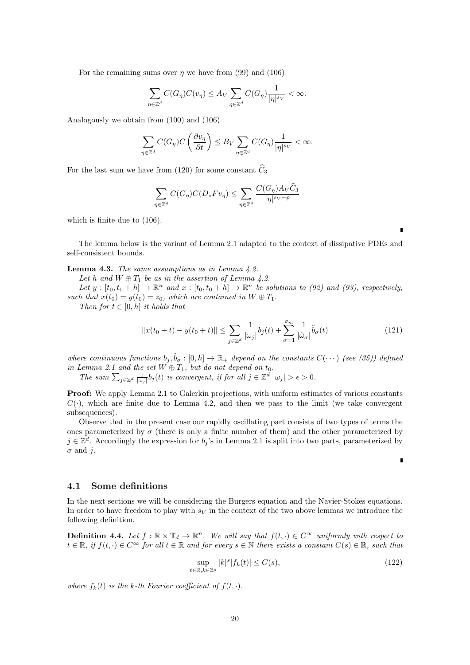For the remaining sums over  $\eta$  we have from (99) and (106)

$$
\sum_{\eta \in \mathbb{Z}^d} C(G_{\eta}) C(v_{\eta}) \le A_V \sum_{\eta \in \mathbb{Z}^d} C(G_{\eta}) \frac{1}{|\eta|^{s_V}} < \infty.
$$

Analogously we obtain from (100) and (106)

$$
\sum_{\eta \in \mathbb{Z}^d} C(G_{\eta}) C\left(\frac{\partial v_{\eta}}{\partial t}\right) \leq B_V \sum_{\eta \in \mathbb{Z}^d} C(G_{\eta}) \frac{1}{|\eta|^{s_V}} < \infty.
$$

For the last sum we have from (120) for some constant  $\hat{C}_3$ 

$$
\sum_{\eta \in \mathbb{Z}^d} C(G_{\eta}) C(D_z F v_{\eta}) \le \sum_{\eta \in \mathbb{Z}^d} \frac{C(G_{\eta}) A_V C_3}{|\eta|^{s_V - p}}
$$

which is finite due to (106).

The lemma below is the variant of Lemma 2.1 adapted to the context of dissipative PDEs and self-consistent bounds.

**Lemma 4.3.** *The same assumptions as in Lemma 4.2.*

*Let h* and  $W \oplus T_1$  *be as in the assertion of Lemma 4.2.* 

*Let*  $y : [t_0, t_0 + h] \to \mathbb{R}^n$  *and*  $x : [t_0, t_0 + h] \to \mathbb{R}^n$  *be solutions to (92) and (93), respectively, such that*  $x(t_0) = y(t_0) = z_0$ *, which are contained in*  $W \oplus T_1$ *.* 

*Then for*  $t \in [0, h]$  *it holds that* 

$$
||x(t_0+t) - y(t_0+t)|| \le \sum_{j \in \mathbb{Z}^d} \frac{1}{|\omega_j|} b_j(t) + \sum_{\sigma=1}^{\sigma_m} \frac{1}{|\tilde{\omega}_{\sigma}|} \tilde{b}_{\sigma}(t)
$$
(121)

*where continuous functions*  $b_j$ ,  $\tilde{b}_\sigma$ :  $[0, h] \to \mathbb{R}_+$  *depend on the constants*  $C(\cdots)$  *(see (35)) defined in Lemma 2.1 and the set*  $W \oplus T_1$ *, but do not depend on*  $t_0$ *.* 

The sum  $\sum_{j\in\mathbb{Z}^d} \frac{1}{|\omega_j|} b_j(t)$  is convergent, if for all  $j\in\mathbb{Z}^d$   $|\omega_j| > \epsilon > 0$ .

**Proof:** We apply Lemma 2.1 to Galerkin projections, with uniform estimates of various constants  $C(\cdot)$ , which are finite due to Lemma 4.2, and then we pass to the limit (we take convergent subsequences).

Observe that in the present case our rapidly oscillating part consists of two types of terms the ones parameterized by  $\sigma$  (there is only a finite number of them) and the other parameterized by  $j \in \mathbb{Z}^d$ . Accordingly the expression for *b<sub>j</sub>*'s in Lemma 2.1 is split into two parts, parameterized by *σ* and *j*.

### **4.1 Some definitions**

In the next sections we will be considering the Burgers equation and the Navier-Stokes equations. In order to have freedom to play with  $s_V$  in the context of the two above lemmas we introduce the following definition.

**Definition 4.4.** Let  $f : \mathbb{R} \times \mathbb{T}_d \to \mathbb{R}^n$ . We will say that  $f(t, \cdot) \in C^\infty$  uniformly with respect to  $t \in \mathbb{R}$ , if  $f(t, \cdot) \in C^{\infty}$  for all  $t \in \mathbb{R}$  and for every  $s \in \mathbb{N}$  there exists a constant  $C(s) \in \mathbb{R}$ , such that

$$
\sup_{t \in \mathbb{R}, k \in \mathbb{Z}^d} |k|^s |f_k(t)| \le C(s),\tag{122}
$$

*where*  $f_k(t)$  *is the k-th Fourier coefficient of*  $f(t, \cdot)$ *.* 

 $\blacksquare$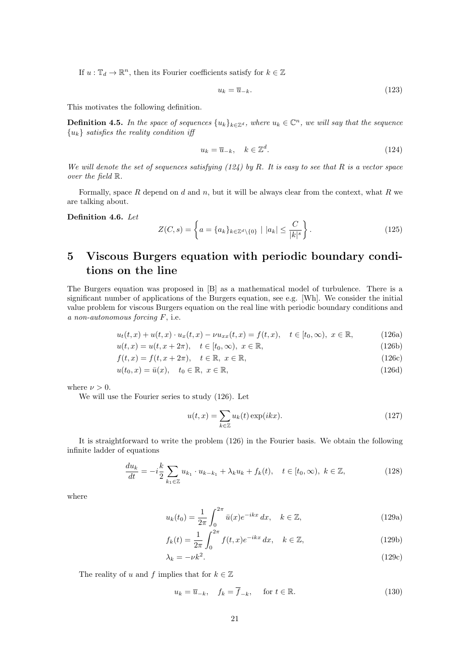If  $u: \mathbb{T}_d \to \mathbb{R}^n$ , then its Fourier coefficients satisfy for  $k \in \mathbb{Z}$ 

$$
u_k = \overline{u}_{-k}.\tag{123}
$$

This motivates the following definition.

**Definition 4.5.** In the space of sequences  $\{u_k\}_{k\in\mathbb{Z}^d}$ , where  $u_k \in \mathbb{C}^n$ , we will say that the sequence *{uk} satisfies the reality condition iff*

$$
u_k = \overline{u}_{-k}, \quad k \in \mathbb{Z}^d. \tag{124}
$$

*We will denote the set of sequences satisfying (124) by R. It is easy to see that R is a vector space over the field* R*.*

Formally, space *R* depend on *d* and *n*, but it will be always clear from the context, what *R* we are talking about.

**Definition 4.6.** *Let*

$$
Z(C,s) = \left\{ a = \{a_k\}_{k \in \mathbb{Z}^d \setminus \{0\}} \mid |a_k| \le \frac{C}{|k|^s} \right\}.
$$
 (125)

# **5 Viscous Burgers equation with periodic boundary conditions on the line**

The Burgers equation was proposed in [B] as a mathematical model of turbulence. There is a significant number of applications of the Burgers equation, see e.g. [Wh]. We consider the initial value problem for viscous Burgers equation on the real line with periodic boundary conditions and *a non-autonomous forcing F*, i.e.

$$
u_t(t, x) + u(t, x) \cdot u_x(t, x) - \nu u_{xx}(t, x) = f(t, x), \quad t \in [t_0, \infty), \ x \in \mathbb{R}, \tag{126a}
$$

$$
u(t, x) = u(t, x + 2\pi), \quad t \in [t_0, \infty), \ x \in \mathbb{R},
$$
\n(126b)

$$
f(t,x) = f(t, x + 2\pi), \quad t \in \mathbb{R}, \ x \in \mathbb{R}, \tag{126c}
$$

$$
u(t_0, x) = \bar{u}(x), \quad t_0 \in \mathbb{R}, \ x \in \mathbb{R}, \tag{126d}
$$

where  $\nu > 0$ .

We will use the Fourier series to study (126). Let

$$
u(t,x) = \sum_{k \in \mathbb{Z}} u_k(t) \exp(ikx).
$$
 (127)

It is straightforward to write the problem (126) in the Fourier basis. We obtain the following infinite ladder of equations

$$
\frac{du_k}{dt} = -i\frac{k}{2} \sum_{k_1 \in \mathbb{Z}} u_{k_1} \cdot u_{k-k_1} + \lambda_k u_k + f_k(t), \quad t \in [t_0, \infty), \ k \in \mathbb{Z},
$$
\n(128)

where

$$
u_k(t_0) = \frac{1}{2\pi} \int_0^{2\pi} \bar{u}(x) e^{-ikx} dx, \quad k \in \mathbb{Z},
$$
 (129a)

$$
f_k(t) = \frac{1}{2\pi} \int_0^{2\pi} f(t, x) e^{-ikx} dx, \quad k \in \mathbb{Z},
$$
 (129b)

$$
\lambda_k = -\nu k^2. \tag{129c}
$$

The reality of *u* and *f* implies that for  $k \in \mathbb{Z}$ 

$$
u_k = \overline{u}_{-k}, \quad f_k = \overline{f}_{-k}, \quad \text{for } t \in \mathbb{R}.
$$
 (130)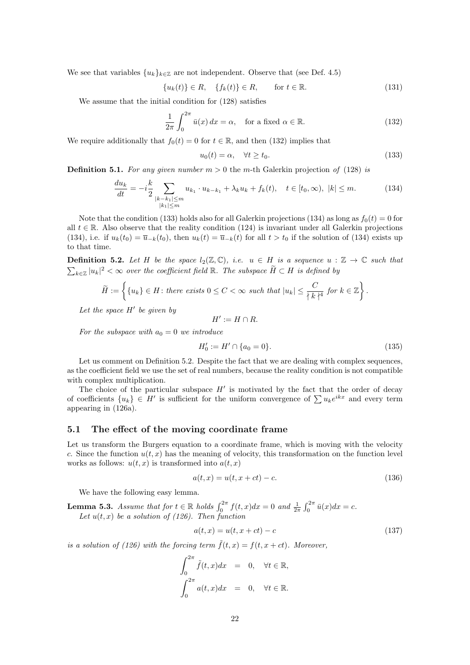We see that variables  $\{u_k\}_{k\in\mathbb{Z}}$  are not independent. Observe that (see Def. 4.5)

$$
\{u_k(t)\} \in R, \quad \{f_k(t)\} \in R, \qquad \text{for } t \in \mathbb{R}.\tag{131}
$$

We assume that the initial condition for (128) satisfies

$$
\frac{1}{2\pi} \int_0^{2\pi} \bar{u}(x) dx = \alpha, \quad \text{for a fixed } \alpha \in \mathbb{R}.
$$
 (132)

We require additionally that  $f_0(t) = 0$  for  $t \in \mathbb{R}$ , and then (132) implies that

$$
u_0(t) = \alpha, \quad \forall t \ge t_0. \tag{133}
$$

**Definition 5.1.** For any given number  $m > 0$  the m-th Galerkin projection of (128) is

$$
\frac{du_k}{dt} = -i\frac{k}{2} \sum_{\substack{|k-k_1| \le m \\ |k_1| \le m}} u_{k_1} \cdot u_{k-k_1} + \lambda_k u_k + f_k(t), \quad t \in [t_0, \infty), \ |k| \le m. \tag{134}
$$

Note that the condition (133) holds also for all Galerkin projections (134) as long as  $f_0(t) = 0$  for all  $t \in \mathbb{R}$ . Also observe that the reality condition (124) is invariant under all Galerkin projections (134), i.e. if  $u_k(t_0) = \overline{u}_{-k}(t_0)$ , then  $u_k(t) = \overline{u}_{-k}(t)$  for all  $t > t_0$  if the solution of (134) exists up to that time.

**Definition 5.2.** Let H be the space  $l_2(\mathbb{Z}, \mathbb{C})$ , *i.e.*  $u \in H$  *is a sequence*  $u : \mathbb{Z} \to \mathbb{C}$  such that  $\sum_{k \in \mathbb{Z}} |u_k|^2 < \infty$  over the coefficient field ℝ. The subspace  $\hat{H} \subset H$  is defined by

$$
\widetilde{H} := \left\{ \{u_k\} \in H \colon \text{there exists } 0 \leq C < \infty \text{ such that } |u_k| \leq \frac{C}{\left\{k\right\}^4} \text{ for } k \in \mathbb{Z} \right\}.
$$

*Let the space H′ be given by*

$$
H':=H\cap R.
$$

*For the subspace with*  $a_0 = 0$  *we introduce* 

$$
H_0' := H' \cap \{a_0 = 0\}.\tag{135}
$$

Let us comment on Definition 5.2. Despite the fact that we are dealing with complex sequences, as the coefficient field we use the set of real numbers, because the reality condition is not compatible with complex multiplication.

The choice of the particular subspace  $H'$  is motivated by the fact that the order of decay of coefficients  $\{u_k\} \in H'$  is sufficient for the uniform convergence of  $\sum u_k e^{ikx}$  and every term appearing in (126a).

### **5.1 The effect of the moving coordinate frame**

Let us transform the Burgers equation to a coordinate frame, which is moving with the velocity *c*. Since the function  $u(t, x)$  has the meaning of velocity, this transformation on the function level works as follows:  $u(t, x)$  is transformed into  $a(t, x)$ 

$$
a(t, x) = u(t, x + ct) - c.
$$
 (136)

We have the following easy lemma.

**Lemma 5.3.** *Assume that for*  $t \in \mathbb{R}$  *holds*  $\int_0^{2\pi} f(t, x) dx = 0$  *and*  $\frac{1}{2\pi} \int_0^{2\pi} \bar{u}(x) dx = c$ *.* Let  $u(t, x)$  be a solution of (126). Then function

$$
a(t, x) = u(t, x + ct) - c \tag{137}
$$

*is a solution of (126) with the forcing term*  $\tilde{f}(t,x) = f(t,x+ct)$ *. Moreover,* 

$$
\int_0^{2\pi} \tilde{f}(t, x) dx = 0, \quad \forall t \in \mathbb{R},
$$

$$
\int_0^{2\pi} a(t, x) dx = 0, \quad \forall t \in \mathbb{R}.
$$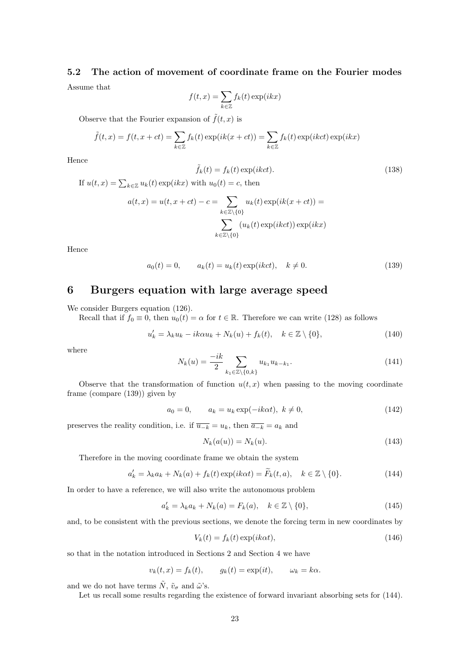# **5.2 The action of movement of coordinate frame on the Fourier modes** Assume that

$$
f(t,x) = \sum_{k \in \mathbb{Z}} f_k(t) \exp(ikx)
$$

Observe that the Fourier expansion of  $\tilde{f}(t, x)$  is

$$
\tilde{f}(t,x) = f(t,x+ct) = \sum_{k \in \mathbb{Z}} f_k(t) \exp(ik(x+ct)) = \sum_{k \in \mathbb{Z}} f_k(t) \exp(ikct) \exp(ikx)
$$

Hence

$$
\tilde{f}_k(t) = f_k(t) \exp(ikct).
$$
\n(138)

If  $u(t, x) = \sum_{k \in \mathbb{Z}} u_k(t) \exp(ikx)$  with  $u_0(t) = c$ , then

$$
a(t,x) = u(t,x+ct) - c = \sum_{k \in \mathbb{Z} \setminus \{0\}} u_k(t) \exp(ik(x+ct)) = \sum_{k \in \mathbb{Z} \setminus \{0\}} (u_k(t) \exp(ikct)) \exp(ikx)
$$

Hence

$$
a_0(t) = 0, \qquad a_k(t) = u_k(t) \exp(ikct), \quad k \neq 0.
$$
 (139)

## **6 Burgers equation with large average speed**

We consider Burgers equation (126).

Recall that if  $f_0 \equiv 0$ , then  $u_0(t) = \alpha$  for  $t \in \mathbb{R}$ . Therefore we can write (128) as follows

$$
u'_k = \lambda_k u_k - ik\alpha u_k + N_k(u) + f_k(t), \quad k \in \mathbb{Z} \setminus \{0\},\tag{140}
$$

where

$$
N_k(u) = \frac{-ik}{2} \sum_{k_1 \in \mathbb{Z} \setminus \{0, k\}} u_{k_1} u_{k - k_1}.
$$
 (141)

Observe that the transformation of function  $u(t, x)$  when passing to the moving coordinate frame (compare (139)) given by

$$
a_0 = 0, \qquad a_k = u_k \exp(-ik\alpha t), \ k \neq 0,
$$
\n
$$
(142)
$$

preserves the reality condition, i.e. if  $\overline{u_{-k}} = u_k$ , then  $\overline{a_{-k}} = a_k$  and

$$
N_k(a(u)) = N_k(u). \tag{143}
$$

Therefore in the moving coordinate frame we obtain the system

$$
a'_k = \lambda_k a_k + N_k(a) + f_k(t) \exp(ik\alpha t) = \widetilde{F}_k(t, a), \quad k \in \mathbb{Z} \setminus \{0\}. \tag{144}
$$

In order to have a reference, we will also write the autonomous problem

$$
a'_k = \lambda_k a_k + N_k(a) = F_k(a), \quad k \in \mathbb{Z} \setminus \{0\},\tag{145}
$$

and, to be consistent with the previous sections, we denote the forcing term in new coordinates by

$$
V_k(t) = f_k(t) \exp(ik\alpha t), \qquad (146)
$$

so that in the notation introduced in Sections 2 and Section 4 we have

$$
v_k(t, x) = f_k(t), \qquad g_k(t) = \exp(it), \qquad \omega_k = k\alpha.
$$

and we do not have terms  $\tilde{N}$ ,  $\tilde{v}_{\sigma}$  and  $\tilde{\omega}$ 's.

Let us recall some results regarding the existence of forward invariant absorbing sets for (144).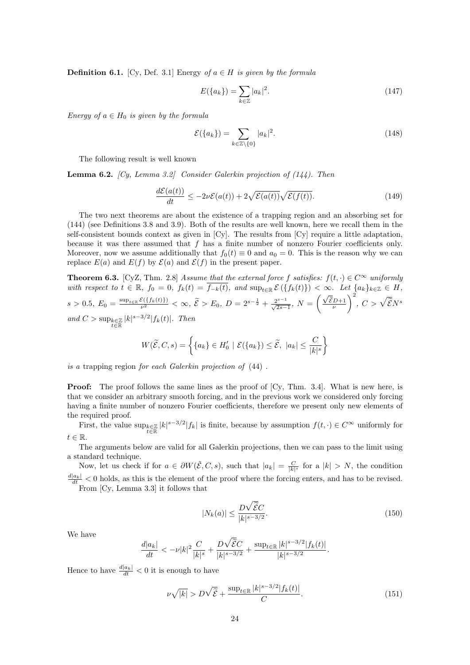**Definition 6.1.** [Cy, Def. 3.1] Energy *of*  $a \in H$  *is given by the formula* 

$$
E(\{a_k\}) = \sum_{k \in \mathbb{Z}} |a_k|^2.
$$
 (147)

*Energy of*  $a \in H_0$  *is given by the formula* 

$$
\mathcal{E}(\{a_k\}) = \sum_{k \in \mathbb{Z} \setminus \{0\}} |a_k|^2. \tag{148}
$$

The following result is well known

**Lemma 6.2.** *[Cy, Lemma 3.2] Consider Galerkin projection of (144). Then*

$$
\frac{d\mathcal{E}(a(t))}{dt} \le -2\nu \mathcal{E}(a(t)) + 2\sqrt{\mathcal{E}(a(t))}\sqrt{\mathcal{E}(f(t))}.
$$
\n(149)

The two next theorems are about the existence of a trapping region and an absorbing set for (144) (see Definitions 3.8 and 3.9). Both of the results are well known, here we recall them in the self-consistent bounds context as given in [Cy]. The results from [Cy] require a little adaptation, because it was there assumed that *f* has a finite number of nonzero Fourier coefficients only. Moreover, now we assume additionally that  $f_0(t) \equiv 0$  and  $a_0 = 0$ . This is the reason why we can replace  $E(a)$  and  $E(f)$  by  $\mathcal{E}(a)$  and  $\mathcal{E}(f)$  in the present paper.

**Theorem 6.3.** [CyZ, Thm. 2.8] *Assume that the external force f satisfies:*  $f(t, \cdot) \in C^{\infty}$  *uniformly* with respect to  $t \in \mathbb{R}$ ,  $f_0 = 0$ ,  $f_k(t) = \overline{f_{-k}(t)}$ , and  $\sup_{t \in \mathbb{R}} \mathcal{E}(\{f_k(t)\}) < \infty$ . Let  $\{a_k\}_{k \in \mathbb{Z}} \in H$ ,  $s > 0.5, E_0 = \frac{\sup_{t \in \mathbb{R}} \mathcal{E}(\{f_k(t)\})}{\nu^2} < \infty, \ \tilde{\mathcal{E}} > E_0, D = 2^{s - \frac{1}{2}} + \frac{2^{s - 1}}{\sqrt{2s - 1}}, N = \left(\frac{\sqrt{\tilde{\mathcal{E}}D + 1}}{\nu}\right)$  $\int$ <sup>2</sup>, *C* >  $\sqrt{\tilde{\mathcal{E}}N^s}$ *and*  $C > \sup_{t \in \mathbb{R}} |k|^{s-3/2} |f_k(t)|$ *. Then* 

$$
W(\widetilde{\mathcal{E}},C,s) = \left\{ \{a_k\} \in H'_0 \mid \mathcal{E}(\{a_k\}) \le \widetilde{\mathcal{E}}, \ |a_k| \le \frac{C}{|k|^s} \right\}
$$

*is a* trapping region *for each Galerkin projection of* (44) *.*

**Proof:** The proof follows the same lines as the proof of  $\left[\text{Cy}, \text{Thm. } 3.4\right]$ . What is new here, is that we consider an arbitrary smooth forcing, and in the previous work we considered only forcing having a finite number of nonzero Fourier coefficients, therefore we present only new elements of the required proof.

First, the value  $\sup_{k\in\mathbb{Z}}|k|^{s-3/2}|f_k|$  is finite, because by assumption  $f(t, \cdot) \in C^{\infty}$  uniformly for *t ∈* R.

The arguments below are valid for all Galerkin projections, then we can pass to the limit using a standard technique.

Now, let us check if for  $a \in \partial W(\tilde{\mathcal{E}}, C, s)$ , such that  $|a_k| = \frac{C}{|k|^s}$  for a  $|k| > N$ , the condition  $\frac{d|a_k|}{dt}$  < 0 holds, as this is the element of the proof where the forcing enters, and has to be revised.

From [Cy, Lemma 3.3] it follows that

$$
|N_k(a)| \le \frac{D\sqrt{\tilde{\mathcal{E}}C}}{|k|^{s-3/2}}.\tag{150}
$$

We have

$$
\frac{d|a_k|}{dt} < -\nu |k|^2 \frac{C}{|k|^s} + \frac{D\sqrt{\tilde{\mathcal{E}}C}}{|k|^{s-3/2}} + \frac{\sup_{t \in \mathbb{R}} |k|^{s-3/2} |f_k(t)|}{|k|^{s-3/2}}.
$$

Hence to have  $\frac{d|a_k|}{dt} < 0$  it is enough to have

$$
\nu\sqrt{|k|} > D\sqrt{\tilde{\mathcal{E}}} + \frac{\sup_{t \in \mathbb{R}} |k|^{s-3/2} |f_k(t)|}{C}.
$$
\n(151)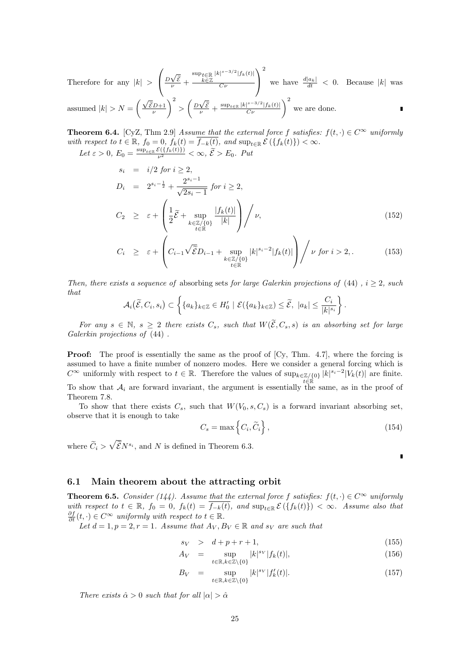Therefore for any  $|k| >$  $\sqrt{ }$  $\left(\frac{D\sqrt{2}}{\nu}\right)$ *E*e *<sup>ν</sup>* + sup*t∈*<sup>R</sup> *k∈*Z *|k| s−*3*/*2 *|fk*(*t*)*| Cν*  $\setminus$  $\overline{1}$ 2 we have  $\frac{d|a_k|}{dt} < 0$ . Because  $|k|$  was assumed  $|k| > N = \left(\frac{\sqrt{\tilde{\varepsilon}}D + 1}{\nu}\right)$  $\left(\frac{D\sqrt{2}}{N}\right)^2 > \left(\frac{D\sqrt{2}}{N}\right)^2$  $\frac{\sqrt{\tilde{\varepsilon}}}{\nu}$  +  $\frac{\sup_{t \in \mathbb{R}} |k|^{s-3/2} |f_k(t)|}{C\nu}$   $\bigg)^2$  we are done.

**Theorem 6.4.** [CyZ, Thm 2.9] *Assume that the external force*  $f$  *satisfies:*  $f(t, \cdot) \in C^{\infty}$  *uniformly* with respect to  $t \in \mathbb{R}$ ,  $f_0 = 0$ ,  $f_k(t) = f_{-k}(t)$ , and  $\sup_{t \in \mathbb{R}} \mathcal{E}(\{f_k(t)\}) < \infty$ .

 $Let \varepsilon > 0, E_0 = \frac{\sup_{t \in \mathbb{R}} \mathcal{E}(\{f_k(t)\})}{\nu^2} < \infty, \tilde{\mathcal{E}} > E_0$ . Put

$$
s_i = i/2 \text{ for } i \ge 2,
$$
  
\n
$$
D_i = 2^{s_i - \frac{1}{2}} + \frac{2^{s_i - 1}}{\sqrt{2s_i - 1}} \text{ for } i \ge 2,
$$
  
\n
$$
C_2 \ge \varepsilon + \left(\frac{1}{2}\tilde{\mathcal{E}} + \sup_{\substack{k \in \mathbb{Z}/\{0\} \\ t \in \mathbb{R}}} \frac{|f_k(t)|}{|k|}\right) / \nu,
$$
\n(152)

$$
C_i \geq \varepsilon + \left( C_{i-1} \sqrt{\tilde{\mathcal{E}}} D_{i-1} + \sup_{\substack{k \in \mathbb{Z}/\{0\} \\ t \in \mathbb{R}}} |k|^{s_i - 2} |f_k(t)| \right) / \nu \text{ for } i > 2, \tag{153}
$$

*Then, there exists a sequence of* absorbing sets *for large Galerkin projections of* (44) *, i ≥* 2*, such that*

$$
\mathcal{A}_i(\widetilde{\mathcal{E}},C_i,s_i)\subset \left\{\{a_k\}_{k\in\mathbb{Z}}\in H'_0\mid \mathcal{E}(\{a_k\}_{k\in\mathbb{Z}})\leq \widetilde{\mathcal{E}},\ |a_k|\leq \frac{C_i}{|k|^{s_i}}\right\}.
$$

*For any*  $s \in \mathbb{N}$ ,  $s \geq 2$  *there exists*  $C_s$ *, such that*  $W(\widetilde{\mathcal{E}}, C_s, s)$  *is an absorbing set for large Galerkin projections of* (44) *.*

**Proof:** The proof is essentially the same as the proof of [Cy, Thm. 4.7], where the forcing is assumed to have a finite number of nonzero modes. Here we consider a general forcing which is  $C^{\infty}$  uniformly with respect to  $t \in \mathbb{R}$ . Therefore the values of  $\sup_{k \in \mathbb{Z}/\{0\}} |k|^{s_i-2} |V_k(t)|$  are finite. To show that  $A_i$  are forward invariant, the argument is essentially the same, as in the proof of Theorem 7.8.

To show that there exists  $C_s$ , such that  $W(V_0, s, C_s)$  is a forward invariant absorbing set, observe that it is enough to take

$$
C_s = \max\left\{C_i, \widetilde{C}_i\right\},\tag{154}
$$

where  $\widetilde{C}_i > \sqrt{\widetilde{\mathcal{E}}N^{s_i}}$ , and *N* is defined in Theorem 6.3.

 $\blacksquare$ 

### **6.1 Main theorem about the attracting orbit**

**Theorem 6.5.** *Consider* (144). Assume that the external force f satisfies:  $f(t, \cdot) \in C^{\infty}$  uniformly with respect to  $t \in \mathbb{R}$ ,  $f_0 = 0$ ,  $f_k(t) = \overline{f_{-k}(t)}$ , and  $\sup_{t \in \mathbb{R}} \mathcal{E}(\{f_k(t)\}) < \infty$ . Assume also that  $\frac{\partial f}{\partial t}(t, \cdot) \in C^{\infty}$  *<i>uniformly with respect to*  $t \in \mathbb{R}$ *.* 

*Let*  $d = 1, p = 2, r = 1$ *. Assume that*  $A_V, B_V \in \mathbb{R}$  and  $s_V$  are such that

$$
s_V \quad > \quad d + p + r + 1,\tag{155}
$$

$$
A_V = \sup_{t \in \mathbb{R}, k \in \mathbb{Z} \setminus \{0\}} |k|^{s_V} |f_k(t)|,\tag{156}
$$

$$
B_V = \sup_{t \in \mathbb{R}, k \in \mathbb{Z} \setminus \{0\}} |k|^{s_V} |f'_k(t)|. \tag{157}
$$

*There exists*  $\hat{\alpha} > 0$  *such that for all*  $|\alpha| > \hat{\alpha}$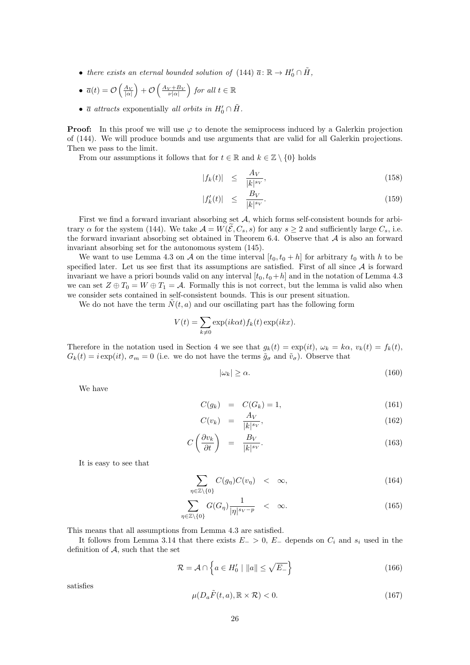• *there exists an eternal bounded solution of*  $(144)$   $\overline{a}: \mathbb{R} \to H'_0 \cap \tilde{H}$ ,

• 
$$
\overline{a}(t) = \mathcal{O}\left(\frac{A_V}{|\alpha|}\right) + \mathcal{O}\left(\frac{A_V + B_V}{\nu |\alpha|}\right)
$$
 for all  $t \in \mathbb{R}$ 

•  $\bar{a}$  *attracts* exponentially *all orbits in*  $H'_0 \cap \tilde{H}$ .

**Proof:** In this proof we will use  $\varphi$  to denote the semiprocess induced by a Galerkin projection of (144). We will produce bounds and use arguments that are valid for all Galerkin projections. Then we pass to the limit.

From our assumptions it follows that for  $t \in \mathbb{R}$  and  $k \in \mathbb{Z} \setminus \{0\}$  holds

$$
|f_k(t)| \le \frac{A_V}{|k|^{s_V}},\tag{158}
$$

$$
|f_k'(t)| \leq \frac{B_V}{|k|^{s_V}}.\tag{159}
$$

First we find a forward invariant absorbing set A, which forms self-consistent bounds for arbitrary *α* for the system (144). We take  $A = W(\tilde{\mathcal{E}}, C_s, s)$  for any  $s \geq 2$  and sufficiently large  $C_s$ , i.e. the forward invariant absorbing set obtained in Theorem 6.4. Observe that *A* is also an forward invariant absorbing set for the autonomous system (145).

We want to use Lemma 4.3 on *A* on the time interval  $[t_0, t_0 + h]$  for arbitrary  $t_0$  with *h* to be specified later. Let us see first that its assumptions are satisfied. First of all since  $A$  is forward invariant we have a priori bounds valid on any interval  $[t_0, t_0 + h]$  and in the notation of Lemma 4.3 we can set  $Z \oplus T_0 = W \oplus T_1 = A$ . Formally this is not correct, but the lemma is valid also when we consider sets contained in self-consistent bounds. This is our present situation.

We do not have the term  $\tilde{N}(t, a)$  and our oscillating part has the following form

$$
V(t) = \sum_{k \neq 0} \exp(ik\alpha t) f_k(t) \exp(ikx).
$$

Therefore in the notation used in Section 4 we see that  $g_k(t) = \exp(it)$ ,  $\omega_k = k\alpha$ ,  $v_k(t) = f_k(t)$ ,  $G_k(t) = i \exp(it)$ ,  $\sigma_m = 0$  (i.e. we do not have the terms  $\tilde{g}_{\sigma}$  and  $\tilde{v}_{\sigma}$ ). Observe that

$$
|\omega_k| \ge \alpha. \tag{160}
$$

We have

$$
C(g_k) = C(G_k) = 1,
$$
\n
$$
(161)
$$

$$
C(v_k) = \frac{A_V}{|k|^{s_V}},\tag{162}
$$

$$
C\left(\frac{\partial v_k}{\partial t}\right) = \frac{B_V}{|k|^{s_V}}.\tag{163}
$$

It is easy to see that

$$
\sum_{\eta \in \mathbb{Z} \setminus \{0\}} C(g_{\eta}) C(v_{\eta}) < \infty,\tag{164}
$$

$$
\sum_{\eta \in \mathbb{Z} \setminus \{0\}} G(G_{\eta}) \frac{1}{|\eta|^{s_V - p}} \quad < \quad \infty. \tag{165}
$$

This means that all assumptions from Lemma 4.3 are satisfied.

It follows from Lemma 3.14 that there exists  $E_$  *>* 0,  $E_$  depends on  $C_i$  and  $s_i$  used in the definition of *A*, such that the set

$$
\mathcal{R} = \mathcal{A} \cap \left\{ a \in H_0' \mid \|a\| \le \sqrt{E_{-}} \right\} \tag{166}
$$

satisfies

$$
\mu(D_a \tilde{F}(t, a), \mathbb{R} \times \mathcal{R}) < 0. \tag{167}
$$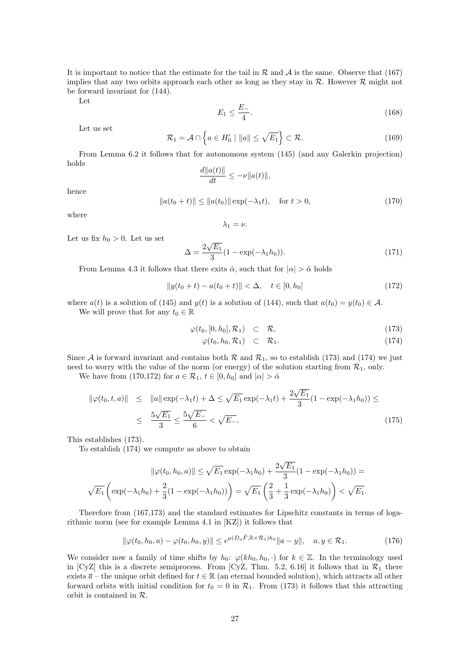It is important to notice that the estimate for the tail in  $R$  and  $A$  is the same. Observe that (167) implies that any two orbits approach each other as long as they stay in  $R$ . However  $R$  might not be forward invariant for (144).

Let

$$
E_1 \le \frac{E_-}{4}.\tag{168}
$$

Let us set

$$
\mathcal{R}_1 = \mathcal{A} \cap \left\{ a \in H'_0 \mid \|a\| \le \sqrt{E_1} \right\} \subset \mathcal{R}.\tag{169}
$$

From Lemma 6.2 it follows that for autonomous system (145) (and any Galerkin projection) holds *d∥a*(*t*)*∥*

$$
\frac{d||a(t)||}{dt} \le -\nu ||a(t)||,
$$
  

$$
||a(t_0 + t)|| \le ||a(t_0)|| \exp(-\lambda_1 t), \quad \text{for } t > 0,
$$
 (170)

where

hence

 $λ_1 = ν.$ 

Let us fix  $h_0 > 0$ . Let us set

$$
\Delta = \frac{2\sqrt{E_1}}{3} (1 - \exp(-\lambda_1 h_0)).
$$
\n(171)

From Lemma 4.3 it follows that there exits  $\hat{\alpha}$ , such that for  $|\alpha| > \hat{\alpha}$  holds

$$
||y(t_0 + t) - a(t_0 + t)|| < \Delta, \quad t \in [0, h_0]
$$
\n(172)

where  $a(t)$  is a solution of (145) and  $y(t)$  is a solution of (144), such that  $a(t_0) = y(t_0) \in A$ . We will prove that for any  $t_0 \in \mathbb{R}$ 

$$
\varphi(t_0, [0, h_0], \mathcal{R}_1) \quad \subset \quad \mathcal{R}, \tag{173}
$$

$$
\varphi(t_0, h_0, \mathcal{R}_1) \quad \subset \quad \mathcal{R}_1. \tag{174}
$$

Since *A* is forward invariant and contains both  $R$  and  $R_1$ , so to establish (173) and (174) we just need to worry with the value of the norm (or energy) of the solution starting from  $\mathcal{R}_1$ , only.

We have from (170,172) for  $a \in \mathcal{R}_1$ ,  $t \in [0, h_0]$  and  $|\alpha| > \hat{\alpha}$ 

$$
\|\varphi(t_0, t, a)\| \leq \|a\| \exp(-\lambda_1 t) + \Delta \leq \sqrt{E_1} \exp(-\lambda_1 t) + \frac{2\sqrt{E_1}}{3} (1 - \exp(-\lambda_1 h_0)) \leq
$$
  

$$
\leq \frac{5\sqrt{E_1}}{3} \leq \frac{5\sqrt{E_-}}{6} < \sqrt{E_-}.
$$
 (175)

This establishes (173).

To establish (174) we compute as above to obtain

$$
\|\varphi(t_0, h_0, a)\| \le \sqrt{E_1} \exp(-\lambda_1 h_0) + \frac{2\sqrt{E_1}}{3} (1 - \exp(-\lambda_1 h_0)) =
$$
  

$$
\sqrt{E_1} \left( \exp(-\lambda_1 h_0) + \frac{2}{3} (1 - \exp(-\lambda_1 h_0)) \right) = \sqrt{E_1} \left( \frac{2}{3} + \frac{1}{3} \exp(-\lambda_1 h_0) \right) < \sqrt{E_1}.
$$

Therefore from (167,173) and the standard estimates for Lipschitz constants in terms of logarithmic norm (see for example Lemma 4.1 in [KZ]) it follows that

$$
\|\varphi(t_0, h_0, a) - \varphi(t_0, h_0, y)\| \le e^{\mu(D_a \tilde{F}, \mathbb{R} \times \mathcal{R}_1) h_0} \|a - y\|, \quad a, y \in \mathcal{R}_1.
$$
 (176)

We consider now a family of time shifts by  $h_0$ :  $\varphi(kh_0, h_0, \cdot)$  for  $k \in \mathbb{Z}$ . In the terminology used in [CyZ] this is a discrete semiprocess. From [CyZ, Thm. 5.2, 6.16] it follows that in  $\mathcal{R}_1$  there exists  $\bar{a}$  – the unique orbit defined for  $t \in \mathbb{R}$  (an eternal bounded solution), which attracts all other forward orbits with initial condition for  $t_0 = 0$  in  $\mathcal{R}_1$ . From (173) it follows that this attracting orbit is contained in *R*.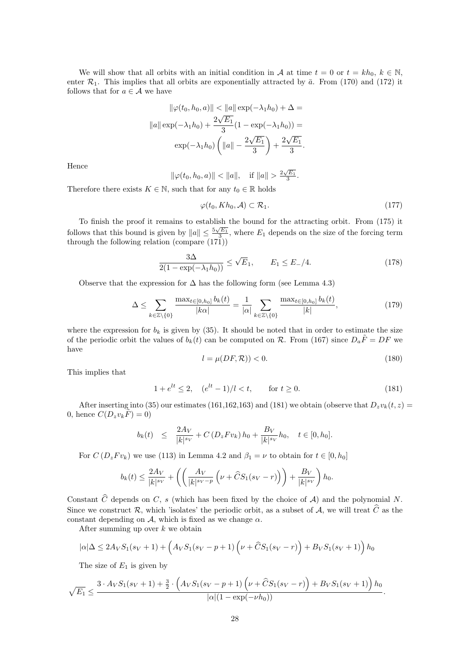We will show that all orbits with an initial condition in *A* at time  $t = 0$  or  $t = kh_0$ ,  $k \in \mathbb{N}$ , enter  $\mathcal{R}_1$ . This implies that all orbits are exponentially attracted by  $\bar{a}$ . From (170) and (172) it follows that for  $a \in \mathcal{A}$  we have

$$
\|\varphi(t_0, h_0, a)\| < \|a\| \exp(-\lambda_1 h_0) + \Delta =
$$
\n
$$
\|a\| \exp(-\lambda_1 h_0) + \frac{2\sqrt{E_1}}{3} (1 - \exp(-\lambda_1 h_0)) =
$$
\n
$$
\exp(-\lambda_1 h_0) \left( \|a\| - \frac{2\sqrt{E_1}}{3} \right) + \frac{2\sqrt{E_1}}{3}.
$$

Hence

$$
\|\varphi(t_0, h_0, a)\| < \|a\|
$$
, if  $\|a\| > \frac{2\sqrt{E_1}}{3}$ .

Therefore there exists  $K \in \mathbb{N}$ , such that for any  $t_0 \in \mathbb{R}$  holds

$$
\varphi(t_0, Kh_0, \mathcal{A}) \subset \mathcal{R}_1. \tag{177}
$$

To finish the proof it remains to establish the bound for the attracting orbit. From (175) it follows that this bound is given by  $||a|| \leq \frac{5\sqrt{E_1}}{3}$ , where  $E_1$  depends on the size of the forcing term through the following relation (compare (171))

$$
\frac{3\Delta}{2(1 - \exp(-\lambda_1 h_0))} \le \sqrt{E}_1, \qquad E_1 \le E_-/4.
$$
 (178)

Observe that the expression for  $\Delta$  has the following form (see Lemma 4.3)

$$
\Delta \le \sum_{k \in \mathbb{Z} \setminus \{0\}} \frac{\max_{t \in [0, h_0]} b_k(t)}{|k\alpha|} = \frac{1}{|\alpha|} \sum_{k \in \mathbb{Z} \setminus \{0\}} \frac{\max_{t \in [0, h_0]} b_k(t)}{|k|},\tag{179}
$$

where the expression for  $b_k$  is given by (35). It should be noted that in order to estimate the size of the periodic orbit the values of  $b_k(t)$  can be computed on  $\mathcal{R}$ . From (167) since  $D_a\tilde{F} = DF$  we have

$$
l = \mu(DF, \mathcal{R})) < 0. \tag{180}
$$

This implies that

$$
1 + e^{lt} \le 2, \quad (e^{lt} - 1)/l < t, \qquad \text{for } t \ge 0. \tag{181}
$$

After inserting into (35) our estimates (161,162,163) and (181) we obtain (observe that  $D_zv_k(t, z) =$ 0, hence  $C(D_z v_k \tilde{F}) = 0$ 

$$
b_k(t) \leq \frac{2A_V}{|k|^{s_V}} + C(D_z F v_k) h_0 + \frac{B_V}{|k|^{s_V}} h_0, \quad t \in [0, h_0].
$$

For  $C(D_z F v_k)$  we use (113) in Lemma 4.2 and  $\beta_1 = \nu$  to obtain for  $t \in [0, h_0]$ 

$$
b_k(t) \le \frac{2A_V}{|k|^{s_V}} + \left( \left( \frac{A_V}{|k|^{s_V - p}} \left( \nu + \widehat{C}S_1(s_V - r) \right) \right) + \frac{B_V}{|k|^{s_V}} \right) h_0.
$$

Constant  $\hat{C}$  depends on *C*, *s* (which has been fixed by the choice of *A*) and the polynomial *N*. Since we construct  $\mathcal{R}$ , which 'isolates' the periodic orbit, as a subset of  $\mathcal{A}$ , we will treat  $\hat{C}$  as the constant depending on  $A$ , which is fixed as we change  $\alpha$ .

After summing up over *k* we obtain

$$
|\alpha|\Delta \le 2A_V S_1(s_V+1) + \left(A_V S_1(s_V - p + 1)\left(\nu + \widehat{C}S_1(s_V - r)\right) + B_V S_1(s_V + 1)\right)h_0
$$

The size of  $E_1$  is given by

$$
\sqrt{E_1} \leq \frac{3 \cdot A_V S_1(s_V+1) + \frac{3}{2} \cdot \left(A_V S_1(s_V-p+1) \left(\nu + \widehat{C} S_1(s_V-r)\right) + B_V S_1(s_V+1)\right) h_0}{|\alpha|(1 - \exp(-\nu h_0))}.
$$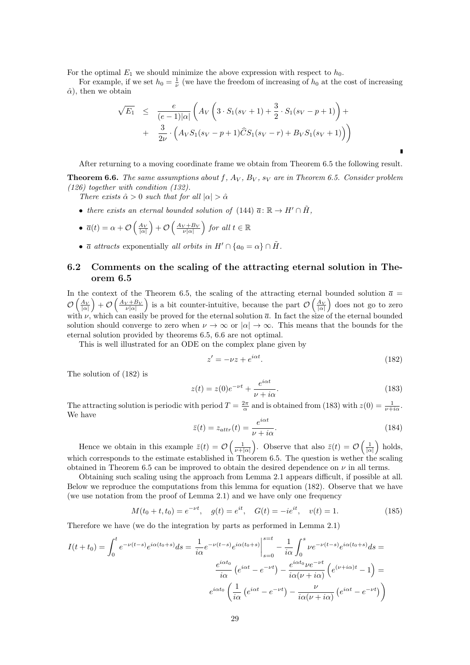For the optimal  $E_1$  we should minimize the above expression with respect to  $h_0$ .

For example, if we set  $h_0 = \frac{1}{\nu}$  (we have the freedom of increasing of  $h_0$  at the cost of increasing  $\hat{\alpha}$ , then we obtain

$$
\sqrt{E_1} \leq \frac{e}{(e-1)|\alpha|} \left( A_V \left( 3 \cdot S_1(s_V+1) + \frac{3}{2} \cdot S_1(s_V-p+1) \right) + \frac{3}{2\nu} \cdot \left( A_V S_1(s_V-p+1) \widehat{C} S_1(s_V-r) + B_V S_1(s_V+1) \right) \right)
$$

After returning to a moving coordinate frame we obtain from Theorem 6.5 the following result.

**Theorem 6.6.** *The same assumptions about f, A<sup>V</sup> , B<sup>V</sup> , s<sup>V</sup> are in Theorem 6.5. Consider problem (126) together with condition (132).*

*There exists*  $\hat{\alpha} > 0$  *such that for all*  $|\alpha| > \hat{\alpha}$ 

• *there exists an eternal bounded solution of*  $(144)$   $\overline{a}: \mathbb{R} \to H' \cap \tilde{H}$ ,

• 
$$
\overline{a}(t) = \alpha + \mathcal{O}\left(\frac{A_V}{|\alpha|}\right) + \mathcal{O}\left(\frac{A_V + B_V}{\nu |\alpha|}\right)
$$
 for all  $t \in \mathbb{R}$ 

•  $\bar{a}$  *attracts* exponentially *all orbits in*  $H' \cap \{a_0 = \alpha\} \cap \tilde{H}$ .

### **6.2 Comments on the scaling of the attracting eternal solution in Theorem 6.5**

In the context of the Theorem 6.5, the scaling of the attracting eternal bounded solution  $\bar{a}$  =  $\mathcal{O}\left(\frac{A_V}{|\alpha|}\right) + \mathcal{O}\left(\frac{A_V + B_V}{\nu |\alpha|}\right)$  is a bit counter-intuitive, because the part  $\mathcal{O}\left(\frac{A_V}{|\alpha|}\right)$  does not go to zero with  $\nu$ , which can easily be proved for the eternal solution  $\bar{a}$ . In fact the size of the eternal bounded solution should converge to zero when  $\nu \to \infty$  or  $|\alpha| \to \infty$ . This means that the bounds for the eternal solution provided by theorems 6.5, 6.6 are not optimal.

This is well illustrated for an ODE on the complex plane given by

$$
z' = -\nu z + e^{i\alpha t}.\tag{182}
$$

The solution of (182) is

$$
z(t) = z(0)e^{-\nu t} + \frac{e^{i\alpha t}}{\nu + i\alpha}.
$$
\n(183)

The attracting solution is periodic with period  $T = \frac{2\pi}{\alpha}$  and is obtained from (183) with  $z(0) = \frac{1}{\nu + i\alpha}$ . We have

$$
\bar{z}(t) = z_{attr}(t) = \frac{e^{i\alpha t}}{\nu + i\alpha}.\tag{184}
$$

Hence we obtain in this example  $\bar{z}(t) = \mathcal{O}\left(\frac{1}{\nu+|\alpha|}\right)$ . Observe that also  $\bar{z}(t) = \mathcal{O}\left(\frac{1}{|\alpha|}\right)$  holds, which corresponds to the estimate established in Theorem 6.5. The question is wether the scaling obtained in Theorem 6.5 can be improved to obtain the desired dependence on  $\nu$  in all terms.

Obtaining such scaling using the approach from Lemma 2.1 appears difficult, if possible at all. Below we reproduce the computations from this lemma for equation (182). Observe that we have (we use notation from the proof of Lemma 2.1) and we have only one frequency

$$
M(t_0 + t, t_0) = e^{-\nu t}, \quad g(t) = e^{it}, \quad G(t) = -ie^{it}, \quad v(t) = 1.
$$
 (185)

Therefore we have (we do the integration by parts as performed in Lemma 2.1)

$$
I(t+t_0) = \int_0^t e^{-\nu(t-s)} e^{i\alpha(t_0+s)} ds = \frac{1}{i\alpha} e^{-\nu(t-s)} e^{i\alpha(t_0+s)} \Big|_{s=0}^{s=t} - \frac{1}{i\alpha} \int_0^s \nu e^{-\nu(t-s)} e^{i\alpha(t_0+s)} ds =
$$

$$
\frac{e^{i\alpha t_0}}{i\alpha} \left( e^{i\alpha t} - e^{-\nu t} \right) - \frac{e^{i\alpha t_0} \nu e^{-\nu t}}{i\alpha(\nu + i\alpha)} \left( e^{(\nu + i\alpha)t} - 1 \right) =
$$

$$
e^{i\alpha t_0} \left( \frac{1}{i\alpha} \left( e^{i\alpha t} - e^{-\nu t} \right) - \frac{\nu}{i\alpha(\nu + i\alpha)} \left( e^{i\alpha t} - e^{-\nu t} \right) \right)
$$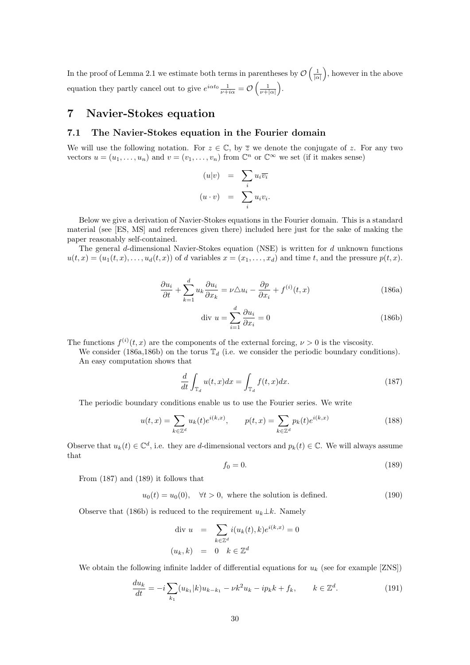In the proof of Lemma 2.1 we estimate both terms in parentheses by  $\mathcal{O}\left(\frac{1}{|\alpha|}\right)$ , however in the above equation they partly cancel out to give  $e^{i\alpha t_0} \frac{1}{\nu + i\alpha} = \mathcal{O}\left(\frac{1}{\nu + |\alpha|}\right)$ .

## **7 Navier-Stokes equation**

### **7.1 The Navier-Stokes equation in the Fourier domain**

We will use the following notation. For  $z \in \mathbb{C}$ , by  $\overline{z}$  we denote the conjugate of z. For any two vectors  $u = (u_1, \ldots, u_n)$  and  $v = (v_1, \ldots, v_n)$  from  $\mathbb{C}^n$  or  $\mathbb{C}^\infty$  we set (if it makes sense)

$$
(u|v) = \sum_{i} u_{i} \overline{v_{i}}
$$

$$
(u \cdot v) = \sum_{i} u_{i} v_{i}.
$$

Below we give a derivation of Navier-Stokes equations in the Fourier domain. This is a standard material (see [ES, MS] and references given there) included here just for the sake of making the paper reasonably self-contained.

The general *d*-dimensional Navier-Stokes equation (NSE) is written for *d* unknown functions  $u(t, x) = (u_1(t, x), \ldots, u_d(t, x))$  of *d* variables  $x = (x_1, \ldots, x_d)$  and time *t*, and the pressure  $p(t, x)$ .

$$
\frac{\partial u_i}{\partial t} + \sum_{k=1}^d u_k \frac{\partial u_i}{\partial x_k} = \nu \triangle u_i - \frac{\partial p}{\partial x_i} + f^{(i)}(t, x)
$$
\n(186a)

$$
\text{div } u = \sum_{i=1}^{d} \frac{\partial u_i}{\partial x_i} = 0 \tag{186b}
$$

The functions  $f^{(i)}(t, x)$  are the components of the external forcing,  $\nu > 0$  is the viscosity.

We consider (186a,186b) on the torus  $\mathbb{T}_d$  (i.e. we consider the periodic boundary conditions). An easy computation shows that

$$
\frac{d}{dt} \int_{\mathbb{T}_d} u(t, x) dx = \int_{\mathbb{T}_d} f(t, x) dx.
$$
\n(187)

The periodic boundary conditions enable us to use the Fourier series. We write

$$
u(t,x) = \sum_{k \in \mathbb{Z}^d} u_k(t) e^{i(k,x)}, \qquad p(t,x) = \sum_{k \in \mathbb{Z}^d} p_k(t) e^{i(k,x)} \tag{188}
$$

Observe that  $u_k(t) \in \mathbb{C}^d$ , i.e. they are *d*-dimensional vectors and  $p_k(t) \in \mathbb{C}$ . We will always assume that

$$
f_0 = 0.\tag{189}
$$

From (187) and (189) it follows that

$$
u_0(t) = u_0(0), \quad \forall t > 0, \text{ where the solution is defined.}
$$
 (190)

Observe that (186b) is reduced to the requirement  $u_k \perp k$ . Namely

$$
\begin{aligned}\n\text{div } u &= \sum_{k \in \mathbb{Z}^d} i(u_k(t), k) e^{i(k, x)} = 0 \\
(u_k, k) &= 0 \quad k \in \mathbb{Z}^d\n\end{aligned}
$$

We obtain the following infinite ladder of differential equations for  $u_k$  (see for example [ZNS])

$$
\frac{du_k}{dt} = -i \sum_{k_1} (u_{k_1}|k)u_{k-k_1} - \nu k^2 u_k - ip_k k + f_k, \qquad k \in \mathbb{Z}^d.
$$
 (191)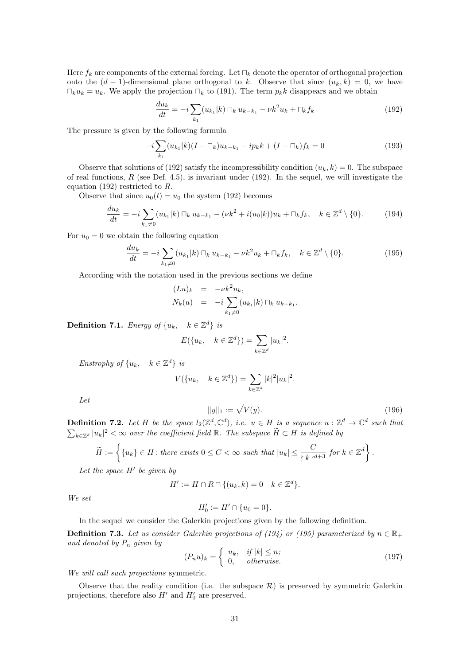Here *f<sup>k</sup>* are components of the external forcing. Let *⊓<sup>k</sup>* denote the operator of orthogonal projection onto the  $(d-1)$ -dimensional plane orthogonal to k. Observe that since  $(u_k, k) = 0$ , we have *⊓*<sup>*k*</sup>*u*<sup>*k*</sup> = *u<sub>k</sub>*. We apply the projection  $\Box_k$  to (191). The term *p<sub>k</sub>k* disappears and we obtain

$$
\frac{du_k}{dt} = -i \sum_{k_1} (u_{k_1}|k) \sqcap_k u_{k-k_1} - \nu k^2 u_k + \sqcap_k f_k \tag{192}
$$

The pressure is given by the following formula

$$
-i\sum_{k_1} (u_{k_1}|k)(I - \square_k)u_{k-k_1} - ip_k k + (I - \square_k)f_k = 0
$$
\n(193)

Observe that solutions of (192) satisfy the incompressibility condition  $(u_k, k) = 0$ . The subspace of real functions, *R* (see Def. 4.5), is invariant under (192). In the sequel, we will investigate the equation (192) restricted to *R*.

Observe that since  $u_0(t) = u_0$  the system (192) becomes

$$
\frac{du_k}{dt} = -i \sum_{k_1 \neq 0} (u_{k_1}|k) \sqcap_k u_{k-k_1} - (\nu k^2 + i(u_0|k))u_k + \sqcap_k f_k, \quad k \in \mathbb{Z}^d \setminus \{0\}.
$$
 (194)

For  $u_0 = 0$  we obtain the following equation

$$
\frac{du_k}{dt} = -i \sum_{k_1 \neq 0} (u_{k_1}|k) \sqcap_k u_{k-k_1} - \nu k^2 u_k + \sqcap_k f_k, \quad k \in \mathbb{Z}^d \setminus \{0\}.
$$
 (195)

According with the notation used in the previous sections we define

$$
(Lu)_k = -\nu k^2 u_k,
$$
  
\n
$$
N_k(u) = -i \sum_{k_1 \neq 0} (u_{k_1} | k) \sqcap_k u_{k-k_1}.
$$

**Definition 7.1.** *Energy of*  $\{u_k, \quad k \in \mathbb{Z}^d\}$  *is* 

$$
E({u_k, k \in \mathbb{Z}^d}) = \sum_{k \in \mathbb{Z}^d} |u_k|^2.
$$

*Enstrophy of*  $\{u_k, k \in \mathbb{Z}^d\}$  *is* 

$$
V(\{u_k, \quad k \in \mathbb{Z}^d\}) = \sum_{k \in \mathbb{Z}^d} |k|^2 |u_k|^2.
$$

*Let*

$$
||y||_1 := \sqrt{V(y)}.
$$
\n(196)

**Definition 7.2.** Let H be the space  $l_2(\mathbb{Z}^d, \mathbb{C}^d)$ , i.e.  $u \in H$  is a sequence  $u : \mathbb{Z}^d \to \mathbb{C}^d$  such that  $\sum_{k \in \mathbb{Z}^d} |u_k|^2 < \infty$  over the coefficient field R. The subspace  $\widetilde{H} \subset H$  is defined by

$$
\widetilde{H} := \left\{ \{u_k\} \in H \colon \text{there exists } 0 \le C < \infty \text{ such that } |u_k| \le \frac{C}{\left\{k \right\}^{d+3}} \text{ for } k \in \mathbb{Z}^d \right\}.
$$

*Let the space H′ be given by*

$$
H' := H \cap R \cap \{(u_k, k) = 0 \quad k \in \mathbb{Z}^d\}.
$$

*We set*

$$
H_0' := H' \cap \{u_0 = 0\}.
$$

In the sequel we consider the Galerkin projections given by the following definition.

**Definition 7.3.** Let us consider Galerkin projections of (194) or (195) parameterized by  $n \in \mathbb{R}_+$ *and denoted by P<sup>n</sup> given by*

$$
(P_n u)_k = \begin{cases} u_k, & if |k| \le n; \\ 0, & otherwise. \end{cases}
$$
 (197)

*We will call such projections* symmetric*.*

Observe that the reality condition (i.e. the subspace  $R$ ) is preserved by symmetric Galerkin projections, therefore also  $H'$  and  $H'_0$  are preserved.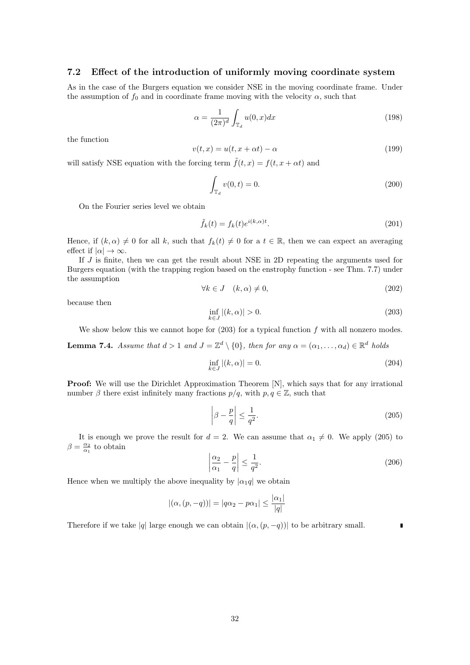### **7.2 Effect of the introduction of uniformly moving coordinate system**

As in the case of the Burgers equation we consider NSE in the moving coordinate frame. Under the assumption of  $f_0$  and in coordinate frame moving with the velocity  $\alpha$ , such that

$$
\alpha = \frac{1}{(2\pi)^d} \int_{\mathbb{T}_d} u(0, x) dx \tag{198}
$$

the function

$$
v(t,x) = u(t, x + \alpha t) - \alpha \tag{199}
$$

will satisfy NSE equation with the forcing term  $\tilde{f}(t, x) = f(t, x + \alpha t)$  and

$$
\int_{\mathbb{T}_d} v(0, t) = 0.
$$
\n(200)

On the Fourier series level we obtain

$$
\tilde{f}_k(t) = f_k(t)e^{i(k,\alpha)t}.\tag{201}
$$

Hence, if  $(k, \alpha) \neq 0$  for all k, such that  $f_k(t) \neq 0$  for a  $t \in \mathbb{R}$ , then we can expect an averaging effect if  $|\alpha| \to \infty$ .

If *J* is finite, then we can get the result about NSE in 2D repeating the arguments used for Burgers equation (with the trapping region based on the enstrophy function - see Thm. 7.7) under the assumption

$$
\forall k \in J \quad (k, \alpha) \neq 0,\tag{202}
$$

because then

$$
\inf_{k \in J} |(k, \alpha)| > 0. \tag{203}
$$

We show below this we cannot hope for (203) for a typical function *f* with all nonzero modes.

**Lemma 7.4.** *Assume that*  $d > 1$  *and*  $J = \mathbb{Z}^d \setminus \{0\}$ *, then for any*  $\alpha = (\alpha_1, \dots, \alpha_d) \in \mathbb{R}^d$  *holds* 

$$
\inf_{k \in J} |(k, \alpha)| = 0. \tag{204}
$$

**Proof:** We will use the Dirichlet Approximation Theorem [N], which says that for any irrational number  $\beta$  there exist infinitely many fractions  $p/q$ , with  $p, q \in \mathbb{Z}$ , such that

$$
\left|\beta - \frac{p}{q}\right| \le \frac{1}{q^2}.\tag{205}
$$

It is enough we prove the result for  $d = 2$ . We can assume that  $\alpha_1 \neq 0$ . We apply (205) to  $\beta = \frac{\alpha_2}{\alpha_1}$  to obtain

$$
\left|\frac{\alpha_2}{\alpha_1} - \frac{p}{q}\right| \le \frac{1}{q^2}.\tag{206}
$$

Hence when we multiply the above inequality by  $| \alpha_1 q |$  we obtain

$$
|(\alpha, (p, -q))| = |q\alpha_2 - p\alpha_1| \le \frac{|\alpha_1|}{|q|}
$$

Therefore if we take  $|q|$  large enough we can obtain  $|(\alpha, (p, -q))|$  to be arbitrary small.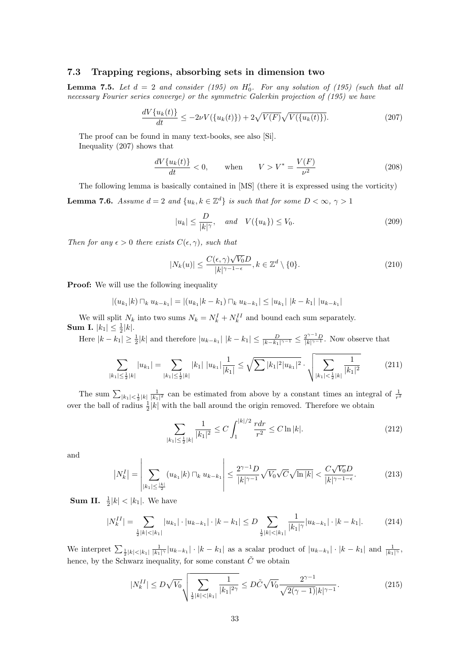### **7.3 Trapping regions, absorbing sets in dimension two**

**Lemma 7.5.** Let  $d = 2$  and consider (195) on  $H'_{0}$ . For any solution of (195) (such that all *necessary Fourier series converge) or the symmetric Galerkin projection of (195) we have*

$$
\frac{dV\{u_k(t)\}}{dt} \le -2\nu V(\{u_k(t)\}) + 2\sqrt{V(F)}\sqrt{V(\{u_k(t)\})}.
$$
\n(207)

The proof can be found in many text-books, see also [Si]. Inequality (207) shows that

$$
\frac{dV\{u_k(t)\}}{dt} < 0, \qquad \text{when} \qquad V > V^* = \frac{V(F)}{\nu^2} \tag{208}
$$

The following lemma is basically contained in [MS] (there it is expressed using the vorticity)

**Lemma 7.6.** *Assume*  $d = 2$  *and*  $\{u_k, k \in \mathbb{Z}^d\}$  *is such that for some*  $D < \infty$ ,  $\gamma > 1$ 

$$
|u_k| \le \frac{D}{|k|^\gamma}, \quad \text{and} \quad V(\{u_k\}) \le V_0. \tag{209}
$$

*Then for any*  $\epsilon > 0$  *there exists*  $C(\epsilon, \gamma)$ *, such that* 

$$
|N_k(u)| \le \frac{C(\epsilon, \gamma)\sqrt{V_0}D}{|k|^{\gamma - 1 - \epsilon}}, k \in \mathbb{Z}^d \setminus \{0\}.
$$
 (210)

**Proof:** We will use the following inequality

$$
|(u_{k_1}|k) \sqcap_k u_{k-k_1}| = |(u_{k_1}|k-k_1) \sqcap_k u_{k-k_1}| \leq |u_{k_1}| |k-k_1| |u_{k-k_1}|
$$

We will split  $N_k$  into two sums  $N_k = N_k^I + N_k^{II}$  and bound each sum separately. **Sum I.**  $|k_1| \leq \frac{1}{2}|k|$ .

Here  $|k - k_1| \geq \frac{1}{2}|k|$  and therefore  $|u_{k-k_1}| |k - k_1| \leq \frac{D}{|k - k_1|^{\gamma - 1}} \leq \frac{2^{\gamma - 1}D}{|k|^{\gamma - 1}}$ . Now observe that

$$
\sum_{|k_1| \leq \frac{1}{2}|k|} |u_{k_1}| = \sum_{|k_1| \leq \frac{1}{2}|k|} |k_1| |u_{k_1}| \frac{1}{|k_1|} \leq \sqrt{\sum |k_1|^2 |u_{k_1}|^2} \cdot \sqrt{\sum_{|k_1| \leq \frac{1}{2}|k|} \frac{1}{|k_1|^2}}
$$
(211)

The sum  $\sum_{|k_1| \leq \frac{1}{2}|k|} \frac{1}{|k_1|^2}$  can be estimated from above by a constant times an integral of  $\frac{1}{r^2}$ over the ball of radius  $\frac{1}{2}|k|$  with the ball around the origin removed. Therefore we obtain

$$
\sum_{|k_1| \le \frac{1}{2}|k|} \frac{1}{|k_1|^2} \le C \int_1^{|k|/2} \frac{r dr}{r^2} \le C \ln |k|.
$$
 (212)

and

$$
\left|N_k^I\right| = \left|\sum_{|k_1| \le \frac{|k|}{2}} (u_{k_1}|k) \sqcap_k u_{k-k_1}\right| \le \frac{2^{\gamma - 1} D}{|k|^{\gamma - 1}} \sqrt{V_0} \sqrt{C} \sqrt{\ln|k|} < \frac{C \sqrt{V_0} D}{|k|^{\gamma - 1 - \epsilon}}.\tag{213}
$$

**Sum II.**  $\frac{1}{2}|k| < |k_1|$ . We have

$$
|N_k^{II}| = \sum_{\frac{1}{2}|k| < |k_1|} |u_{k_1}| \cdot |u_{k-k_1}| \cdot |k - k_1| \le D \sum_{\frac{1}{2}|k| < |k_1|} \frac{1}{|k_1|^\gamma} |u_{k-k_1}| \cdot |k - k_1|.
$$
\n(214)

We interpret  $\sum_{\frac{1}{2}|k|<|k_1|} \frac{1}{|k_1|\gamma}|u_{k-k_1}|\cdot|k-k_1|$  as a scalar product of  $|u_{k-k_1}|\cdot|k-k_1|$  and  $\frac{1}{|k_1|\gamma}$ , hence, by the Schwarz inequality, for some constant  $\tilde{C}$  we obtain

$$
|N_k^{II}| \le D\sqrt{V_0} \sqrt{\sum_{\frac{1}{2}|k| < |k_1|} \frac{1}{|k_1|^{2\gamma}}} \le D\tilde{C}\sqrt{V_0} \frac{2^{\gamma - 1}}{\sqrt{2(\gamma - 1)}|k|^{\gamma - 1}}.\tag{215}
$$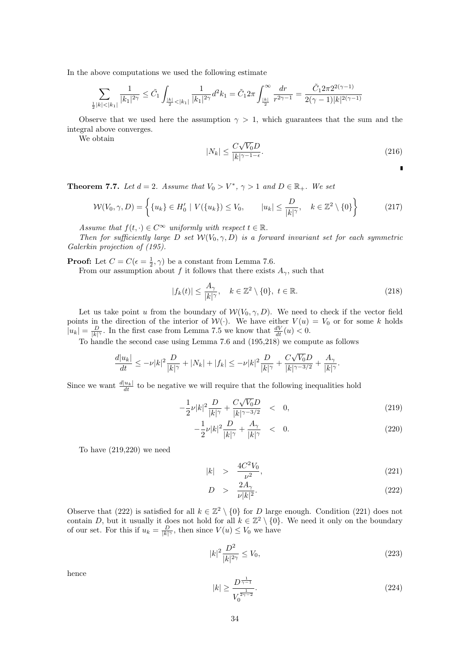In the above computations we used the following estimate

$$
\sum_{\frac{1}{2}|k|<|k_1|} \frac{1}{|k_1|^{2\gamma}} \leq \tilde{C}_1 \int_{\frac{|k|}{2} < |k_1|} \frac{1}{|k_1|^{2\gamma}} d^2 k_1 = \tilde{C}_1 2\pi \int_{\frac{|k|}{2}}^{\infty} \frac{dr}{r^{2\gamma-1}} = \frac{\tilde{C}_1 2\pi 2^{2(\gamma-1)}}{2(\gamma-1)|k|^{2(\gamma-1)}}
$$

Observe that we used here the assumption  $\gamma > 1$ , which guarantees that the sum and the integral above converges.

We obtain

$$
|N_k| \le \frac{C\sqrt{V_0}D}{|k|^{\gamma - 1 - \epsilon}}.\tag{216}
$$

 $\blacksquare$ 

**Theorem 7.7.** *Let*  $d = 2$ *. Assume that*  $V_0 > V^*$ ,  $\gamma > 1$  *and*  $D \in \mathbb{R}_+$ *. We set* 

$$
\mathcal{W}(V_0, \gamma, D) = \left\{ \{u_k\} \in H'_0 \mid V(\{u_k\}) \le V_0, \qquad |u_k| \le \frac{D}{|k|^\gamma}, \quad k \in \mathbb{Z}^2 \setminus \{0\} \right\} \tag{217}
$$

*Assume that*  $f(t, \cdot) \in C^{\infty}$  *uniformly with respect*  $t \in \mathbb{R}$ *.* 

*Then for sufficiently large D set*  $W(V_0, \gamma, D)$  *is a forward invariant set for each symmetric Galerkin projection of (195).*

**Proof:** Let  $C = C(\epsilon = \frac{1}{2}, \gamma)$  be a constant from Lemma 7.6.

From our assumption about *f* it follows that there exists  $A_{\gamma}$ , such that

$$
|f_k(t)| \le \frac{A_\gamma}{|k|^\gamma}, \quad k \in \mathbb{Z}^2 \setminus \{0\}, \ t \in \mathbb{R}.\tag{218}
$$

Let us take point *u* from the boundary of  $W(V_0, \gamma, D)$ . We need to check if the vector field points in the direction of the interior of  $W(\cdot)$ . We have either  $V(u) = V_0$  or for some k holds  $|u_k| = \frac{D}{|k|^\gamma}$ . In the first case from Lemma 7.5 we know that  $\frac{dV}{dt}(u) < 0$ .

To handle the second case using Lemma 7.6 and (195,218) we compute as follows

$$
\frac{d|u_k|}{dt} \le -\nu |k|^2 \frac{D}{|k|^\gamma} + |N_k| + |f_k| \le -\nu |k|^2 \frac{D}{|k|^\gamma} + \frac{C\sqrt{V_0}D}{|k|^{\gamma-3/2}} + \frac{A_\gamma}{|k|^\gamma}.
$$

Since we want  $\frac{d|u_k|}{dt}$  to be negative we will require that the following inequalities hold

$$
-\frac{1}{2}\nu|k|^2\frac{D}{|k|^\gamma} + \frac{C\sqrt{V_0}D}{|k|^{\gamma-3/2}} < 0,
$$
\n(219)

$$
-\frac{1}{2}\nu|k|^2\frac{D}{|k|^\gamma} + \frac{A_\gamma}{|k|^\gamma} < 0. \tag{220}
$$

To have (219,220) we need

$$
|k| \quad > \quad \frac{4C^2V_0}{\nu^2},\tag{221}
$$

$$
D > \frac{2A_{\gamma}}{\nu |k|^{2}}.
$$
\n(222)

Observe that (222) is satisfied for all  $k \in \mathbb{Z}^2 \setminus \{0\}$  for *D* large enough. Condition (221) does not contain *D*, but it usually it does not hold for all  $k \in \mathbb{Z}^2 \setminus \{0\}$ . We need it only on the boundary of our set. For this if  $u_k = \frac{D}{|k|^\gamma}$ , then since  $V(u) \leq V_0$  we have

$$
|k|^2 \frac{D^2}{|k|^{2\gamma}} \le V_0,\tag{223}
$$

hence

$$
|k| \ge \frac{D^{\frac{1}{\gamma - 1}}}{V_0^{\frac{1}{2\gamma - 2}}}.\tag{224}
$$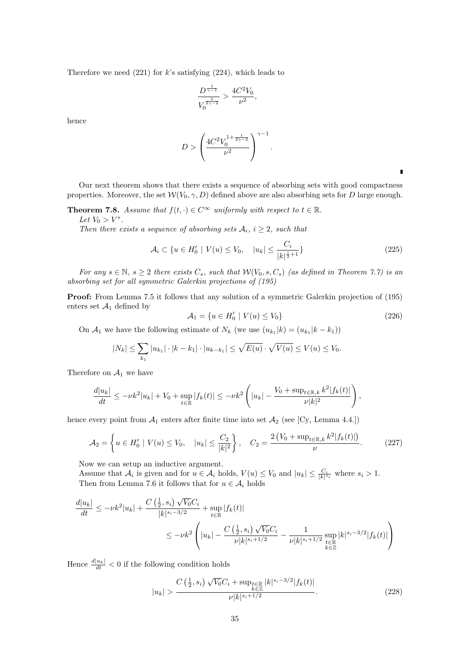Therefore we need (221) for *k*'s satisfying (224), which leads to

$$
\frac{D^{\frac{1}{\gamma-1}}}{V_0^{\frac{1}{2\gamma-2}}} > \frac{4C^2V_0}{\nu^2},
$$

hence

$$
D > \left(\frac{4C^2V_0^{1+\frac{1}{2\gamma-2}}}{\nu^2}\right)^{\gamma-1}.
$$

п

Our next theorem shows that there exists a sequence of absorbing sets with good compactness properties. Moreover, the set  $W(V_0, \gamma, D)$  defined above are also absorbing sets for *D* large enough.

**Theorem 7.8.** *Assume that*  $f(t, \cdot) \in C^{\infty}$  *uniformly with respect to*  $t \in \mathbb{R}$ *. Let*  $V_0 > V^*$ .

*Then there exists a sequence of absorbing sets*  $A_i$ ,  $i \geq 2$ , such that

$$
\mathcal{A}_i \subset \{ u \in H'_0 \mid V(u) \le V_0, \quad |u_k| \le \frac{C_i}{|k|^{\frac{i}{2}+1}} \} \tag{225}
$$

*For any*  $s \in \mathbb{N}$ ,  $s \geq 2$  *there exists*  $C_s$ *, such that*  $W(V_0, s, C_s)$  *(as defined in Theorem 7.7) is an absorbing set for all symmetric Galerkin projections of (195)*

**Proof:** From Lemma 7.5 it follows that any solution of a symmetric Galerkin projection of (195) enters set  $A_1$  defined by

$$
\mathcal{A}_1 = \{ u \in H'_0 \mid V(u) \le V_0 \} \tag{226}
$$

On  $\mathcal{A}_1$  we have the following estimate of  $N_k$  (we use  $(u_{k_1}|k) = (u_{k_1}|k - k_1)$ )

$$
|N_k| \leq \sum_{k_1} |u_{k_1}| \cdot |k - k_1| \cdot |u_{k - k_1}| \leq \sqrt{E(u)} \cdot \sqrt{V(u)} \leq V(u) \leq V_0.
$$

Therefore on  $A_1$  we have

$$
\frac{d|u_k|}{dt} \leq -\nu k^2|u_k| + V_0 + \sup_{t \in \mathbb{R}} |f_k(t)| \leq -\nu k^2 \left( |u_k| - \frac{V_0 + \sup_{t \in \mathbb{R},k} k^2 |f_k(t)|}{\nu |k|^2} \right),
$$

hence every point from  $A_1$  enters after finite time into set  $A_2$  (see [Cy, Lemma 4.4.])

$$
\mathcal{A}_2 = \left\{ u \in H'_0 \mid V(u) \le V_0, \quad |u_k| \le \frac{C_2}{|k|^2} \right\}, \quad C_2 = \frac{2\left(V_0 + \sup_{t \in \mathbb{R}, k} k^2 | f_k(t)|\right)}{\nu}.
$$
 (227)

Now we can setup an inductive argument.

Assume that  $A_i$  is given and for  $u \in A_i$  holds,  $V(u) \leq V_0$  and  $|u_k| \leq \frac{C_i}{|k|^{s_i}}$  where  $s_i > 1$ . Then from Lemma 7.6 it follows that for  $u \in A_i$  holds

$$
\frac{d|u_k|}{dt} \le -\nu k^2 |u_k| + \frac{C\left(\frac{1}{2}, s_i\right)\sqrt{V_0}C_i}{|k|^{s_i - 3/2}} + \sup_{t \in \mathbb{R}} |f_k(t)|
$$
  

$$
\le -\nu k^2 \left( |u_k| - \frac{C\left(\frac{1}{2}, s_i\right)\sqrt{V_0}C_i}{\nu |k|^{s_i + 1/2}} - \frac{1}{\nu |k|^{s_i + 1/2}} \sup_{\substack{t \in \mathbb{R} \\ k \in \mathbb{Z}}} |k|^{s_i - 3/2} |f_k(t)| \right)
$$

Hence  $\frac{d|u_k|}{dt} < 0$  if the following condition holds

$$
|u_k| > \frac{C\left(\frac{1}{2}, s_i\right) \sqrt{V_0} C_i + \sup_{\substack{k \in \mathbb{Z} \\ k \neq j}} |k|^{s_i - 3/2} |f_k(t)|}{\nu |k|^{s_i + 1/2}}.\tag{228}
$$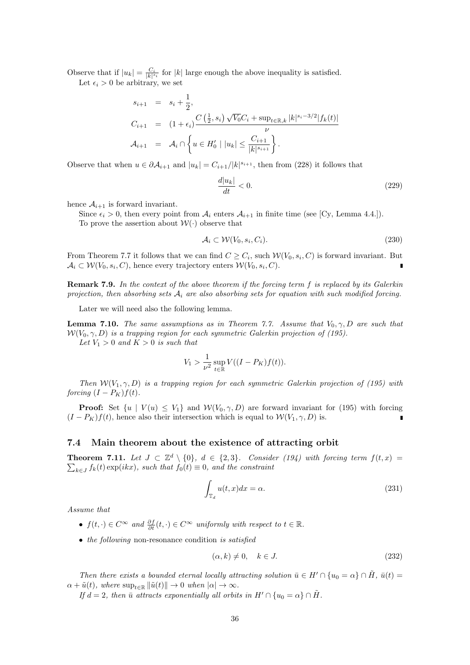Observe that if  $|u_k| = \frac{C_i}{|k|^{s_i}}$  for  $|k|$  large enough the above inequality is satisfied.

Let  $\epsilon_i > 0$  be arbitrary, we set

$$
s_{i+1} = s_i + \frac{1}{2},
$$
  
\n
$$
C_{i+1} = (1 + \epsilon_i) \frac{C(\frac{1}{2}, s_i) \sqrt{V_0} C_i + \sup_{t \in \mathbb{R}, k} |k|^{s_i - 3/2} |f_k(t)|}{\nu}
$$
  
\n
$$
\mathcal{A}_{i+1} = \mathcal{A}_i \cap \left\{ u \in H'_0 \mid |u_k| \le \frac{C_{i+1}}{|k|^{s_{i+1}}} \right\}.
$$

Observe that when  $u \in \partial \mathcal{A}_{i+1}$  and  $|u_k| = C_{i+1}/|k|^{s_{i+1}}$ , then from (228) it follows that

$$
\frac{d|u_k|}{dt} < 0.\tag{229}
$$

hence  $A_{i+1}$  is forward invariant.

Since  $\epsilon_i > 0$ , then every point from  $\mathcal{A}_i$  enters  $\mathcal{A}_{i+1}$  in finite time (see [Cy, Lemma 4.4.]). To prove the assertion about  $W(\cdot)$  observe that

$$
\mathcal{A}_i \subset \mathcal{W}(V_0, s_i, C_i). \tag{230}
$$

From Theorem 7.7 it follows that we can find  $C \geq C_i$ , such  $W(V_0, s_i, C)$  is forward invariant. But  $A_i \subset \mathcal{W}(V_0, s_i, C)$ , hence every trajectory enters  $\mathcal{W}(V_0, s_i, C)$ .

**Remark 7.9.** *In the context of the above theorem if the forcing term f is replaced by its Galerkin projection, then absorbing sets A<sup>i</sup> are also absorbing sets for equation with such modified forcing.*

Later we will need also the following lemma.

**Lemma 7.10.** *The same assumptions as in Theorem 7.7.* Assume that  $V_0$ ,  $\gamma$ ,  $D$  are such that  $W(V_0, \gamma, D)$  *is a trapping region for each symmetric Galerkin projection of (195).* Let  $V_1 > 0$  and  $K > 0$  is such that

$$
V_1 > \frac{1}{\nu^2} \sup_{t \in \mathbb{R}} V((I - P_K)f(t)).
$$

*Then*  $W(V_1, \gamma, D)$  *is a trapping region for each symmetric Galerkin projection of (195) with forcing*  $(I - P_K)f(t)$ *.* 

**Proof:** Set  $\{u \mid V(u) \leq V_1\}$  and  $W(V_0, \gamma, D)$  are forward invariant for (195) with forcing  $(I - P_K)f(t)$ , hence also their intersection which is equal to  $W(V_1, \gamma, D)$  is.

### **7.4 Main theorem about the existence of attracting orbit**

**Theorem 7.11.** Let  $J \subset \mathbb{Z}^d \setminus \{0\}$ ,  $d \in \{2,3\}$ . Consider (194) with forcing term  $f(t,x) =$  $\sum_{k \in J} f_k(t) \exp(ikx)$ , such that  $f_0(t) \equiv 0$ , and the constraint

$$
\int_{\mathbb{T}_d} u(t, x) dx = \alpha.
$$
\n(231)

*Assume that*

- *•*  $f(t, \cdot) \in C^{\infty}$  *and*  $\frac{\partial f}{\partial t}(t, \cdot) \in C^{\infty}$  *uniformly with respect to*  $t \in \mathbb{R}$ *.*
- *• the following* non-resonance condition *is satisfied*

$$
(\alpha, k) \neq 0, \quad k \in J. \tag{232}
$$

*Then there exists a bounded eternal locally attracting solution*  $\bar{u} \in H' \cap \{u_0 = \alpha\} \cap \bar{H}$ ,  $\bar{u}(t) =$  $\alpha + \tilde{u}(t)$ *, where*  $\sup_{t \in \mathbb{R}} ||\tilde{u}(t)|| \to 0$  *when*  $|\alpha| \to \infty$ *.* 

*If*  $d = 2$ , then  $\bar{u}$  attracts exponentially all orbits in  $H' \cap \{u_0 = \alpha\} \cap H$ .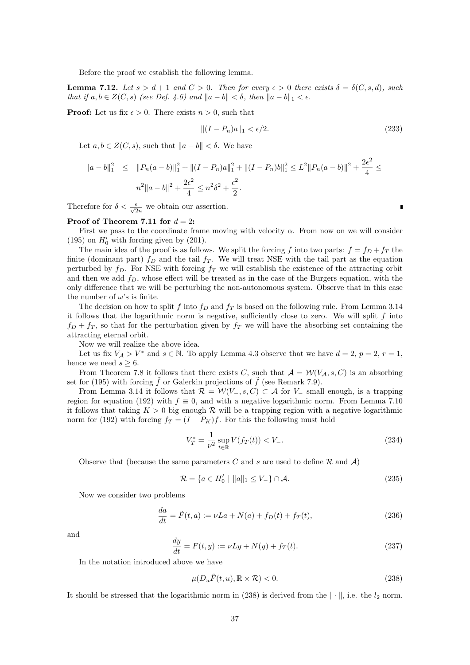Before the proof we establish the following lemma.

**Lemma 7.12.** *Let*  $s > d+1$  *and*  $C > 0$ *. Then for every*  $\epsilon > 0$  *there exists*  $\delta = \delta(C, s, d)$ *, such that if*  $a, b \in Z(C, s)$  *(see Def. 4.6)* and  $||a - b|| < \delta$ , then  $||a - b||_1 < \epsilon$ .

**Proof:** Let us fix  $\epsilon > 0$ . There exists  $n > 0$ , such that

$$
\|(I - P_n)a\|_1 < \epsilon/2. \tag{233}
$$

Let  $a, b \in Z(C, s)$ , such that  $||a - b|| < \delta$ . We have

$$
||a-b||_1^2 \le ||P_n(a-b)||_1^2 + ||(I-P_n)a||_1^2 + ||(I-P_n)b||_1^2 \le L^2 ||P_n(a-b)||^2 + \frac{2\epsilon^2}{4} \le n^2 ||a-b||^2 + \frac{2\epsilon^2}{4} \le n^2 \delta^2 + \frac{\epsilon^2}{2}.
$$

Therefore for  $\delta < \frac{\epsilon}{\sqrt{2n}}$  we obtain our assertion.

### **Proof of Theorem 7.11 for**  $d = 2$ :

First we pass to the coordinate frame moving with velocity *α*. From now on we will consider (195) on  $H'_0$  with forcing given by (201).

The main idea of the proof is as follows. We split the forcing *f* into two parts:  $f = f_D + f_T$  the finite (dominant part)  $f_D$  and the tail  $f_T$ . We will treat NSE with the tail part as the equation perturbed by  $f<sub>D</sub>$ . For NSE with forcing  $f<sub>T</sub>$  we will establish the existence of the attracting orbit and then we add *fD*, whose effect will be treated as in the case of the Burgers equation, with the only difference that we will be perturbing the non-autonomous system. Observe that in this case the number of  $\omega$ 's is finite.

The decision on how to split *f* into *f<sup>D</sup>* and *f<sup>T</sup>* is based on the following rule. From Lemma 3.14 it follows that the logarithmic norm is negative, sufficiently close to zero. We will split *f* into  $f_D + f_T$ , so that for the perturbation given by  $f_T$  we will have the absorbing set containing the attracting eternal orbit.

Now we will realize the above idea.

Let us fix  $V_A > V^*$  and  $s \in \mathbb{N}$ . To apply Lemma 4.3 observe that we have  $d = 2$ ,  $p = 2$ ,  $r = 1$ , hence we need  $s \geq 6$ .

From Theorem 7.8 it follows that there exists *C*, such that  $A = \mathcal{W}(V_A, s, C)$  is an absorbing set for (195) with forcing  $\tilde{f}$  or Galerkin projections of  $\tilde{f}$  (see Remark 7.9).

From Lemma 3.14 it follows that  $\mathcal{R} = \mathcal{W}(V_-, s, C) \subset \mathcal{A}$  for  $V_-$  small enough, is a trapping region for equation (192) with  $f \equiv 0$ , and with a negative logarithmic norm. From Lemma 7.10 it follows that taking  $K > 0$  big enough  $R$  will be a trapping region with a negative logarithmic norm for (192) with forcing  $f_T = (I - P_K)f$ . For this the following must hold

$$
V_T^* = \frac{1}{\nu^2} \sup_{t \in \mathbb{R}} V(f_T(t)) < V_-\,. \tag{234}
$$

Observe that (because the same parameters *C* and *s* are used to define *R* and *A*)

$$
\mathcal{R} = \{ a \in H'_0 \mid ||a||_1 \le V_-\} \cap \mathcal{A}.\tag{235}
$$

Now we consider two problems

$$
\frac{da}{dt} = \tilde{F}(t, a) := \nu La + N(a) + f_D(t) + f_T(t),
$$
\n(236)

and

$$
\frac{dy}{dt} = F(t, y) := \nu L y + N(y) + f_T(t).
$$
\n(237)

In the notation introduced above we have

$$
\mu(D_u \tilde{F}(t, u), \mathbb{R} \times \mathcal{R}) < 0. \tag{238}
$$

It should be stressed that the logarithmic norm in  $(238)$  is derived from the  $\|\cdot\|$ , i.e. the  $l_2$  norm.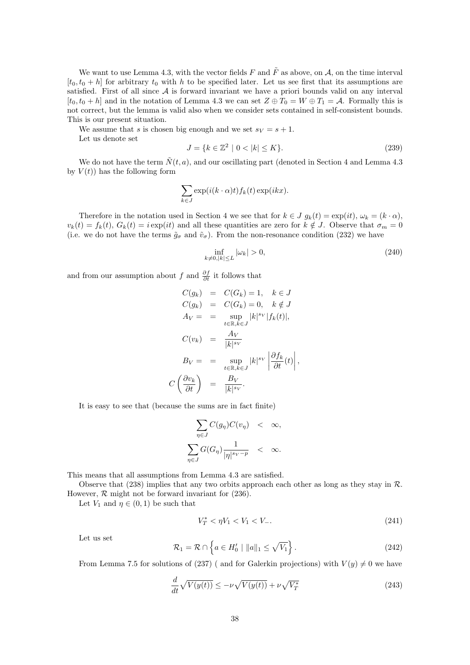We want to use Lemma 4.3, with the vector fields  $F$  and  $\tilde{F}$  as above, on  $A$ , on the time interval  $[t_0, t_0 + h]$  for arbitrary  $t_0$  with  $h$  to be specified later. Let us see first that its assumptions are satisfied. First of all since *A* is forward invariant we have a priori bounds valid on any interval  $[t_0, t_0 + h]$  and in the notation of Lemma 4.3 we can set  $Z \oplus T_0 = W \oplus T_1 = A$ . Formally this is not correct, but the lemma is valid also when we consider sets contained in self-consistent bounds. This is our present situation.

We assume that *s* is chosen big enough and we set  $s_V = s + 1$ .

Let us denote set

$$
J = \{k \in \mathbb{Z}^2 \mid 0 < |k| \le K\}.\tag{239}
$$

We do not have the term  $\tilde{N}(t, a)$ , and our oscillating part (denoted in Section 4 and Lemma 4.3) by  $V(t)$  has the following form

$$
\sum_{k \in J} \exp(i(k \cdot \alpha)t) f_k(t) \exp(ikx).
$$

Therefore in the notation used in Section 4 we see that for  $k \in J$   $g_k(t) = \exp(it)$ ,  $\omega_k = (k \cdot \alpha)$ ,  $v_k(t) = f_k(t)$ ,  $G_k(t) = i \exp(it)$  and all these quantities are zero for  $k \notin J$ . Observe that  $\sigma_m = 0$ (i.e. we do not have the terms  $\tilde{g}_{\sigma}$  and  $\tilde{v}_{\sigma}$ ). From the non-resonance condition (232) we have

$$
\inf_{k \neq 0, |k| \le L} |\omega_k| > 0,\tag{240}
$$

and from our assumption about *f* and  $\frac{\partial f}{\partial t}$  it follows that

$$
C(g_k) = C(G_k) = 1, \quad k \in J
$$
  
\n
$$
C(g_k) = C(G_k) = 0, \quad k \notin J
$$
  
\n
$$
A_V = \sum_{t \in \mathbb{R}, k \in J} |k|^{s_V} |f_k(t)|,
$$
  
\n
$$
C(v_k) = \frac{A_V}{|k|^{s_V}}
$$
  
\n
$$
B_V = \sum_{t \in \mathbb{R}, k \in J} |k|^{s_V} \left| \frac{\partial f_k}{\partial t}(t) \right|,
$$
  
\n
$$
C\left(\frac{\partial v_k}{\partial t}\right) = \frac{B_V}{|k|^{s_V}}.
$$

It is easy to see that (because the sums are in fact finite)

$$
\sum_{\eta \in J} C(g_{\eta}) C(v_{\eta}) < \infty,
$$
\n
$$
\sum_{\eta \in J} G(G_{\eta}) \frac{1}{|\eta|^{s_V - p}} < \infty.
$$

This means that all assumptions from Lemma 4.3 are satisfied.

Observe that (238) implies that any two orbits approach each other as long as they stay in *R*. However,  $\mathcal R$  might not be forward invariant for (236).

Let  $V_1$  and  $\eta \in (0,1)$  be such that

$$
V_T^* < \eta V_1 < V_1 < V_-\tag{241}
$$

Let us set

$$
\mathcal{R}_1 = \mathcal{R} \cap \left\{ a \in H'_0 \mid \|a\|_1 \le \sqrt{V_1} \right\}.
$$
\n(242)

From Lemma 7.5 for solutions of (237) ( and for Galerkin projections) with  $V(y) \neq 0$  we have

$$
\frac{d}{dt}\sqrt{V(y(t))} \le -\nu\sqrt{V(y(t))} + \nu\sqrt{V_T^*}
$$
\n(243)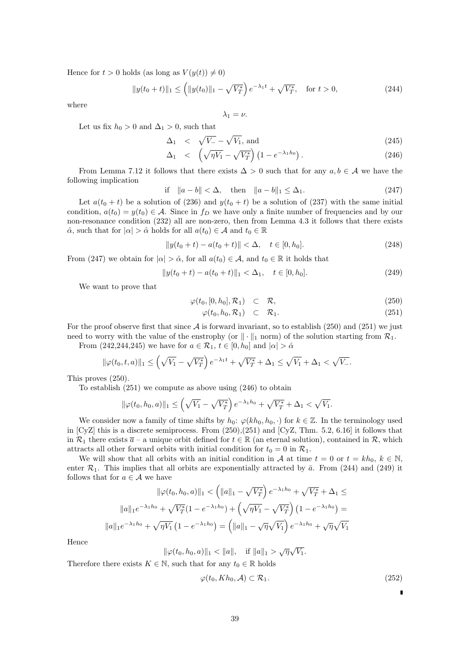Hence for  $t > 0$  holds (as long as  $V(y(t)) \neq 0$ )

$$
||y(t_0 + t)||_1 \le (||y(t_0)||_1 - \sqrt{V_T^*}) e^{-\lambda_1 t} + \sqrt{V_T^*}, \quad \text{for } t > 0,
$$
\n(244)

where

 $\lambda_1 = \nu$ .

Let us fix  $h_0 > 0$  and  $\Delta_1 > 0$ , such that

$$
\Delta_1 \quad < \quad \sqrt{V_-} - \sqrt{V_1}, \text{ and} \tag{245}
$$

$$
\Delta_1 \quad < \quad \left(\sqrt{\eta V_1} - \sqrt{V_T^*}\right) \left(1 - e^{-\lambda_1 h_0}\right). \tag{246}
$$

From Lemma 7.12 it follows that there exists  $\Delta > 0$  such that for any  $a, b \in \mathcal{A}$  we have the following implication

$$
\text{if} \quad \|a - b\| < \Delta, \quad \text{then} \quad \|a - b\|_1 \le \Delta_1. \tag{247}
$$

Let  $a(t_0 + t)$  be a solution of (236) and  $y(t_0 + t)$  be a solution of (237) with the same initial condition,  $a(t_0) = y(t_0) \in \mathcal{A}$ . Since in  $f_D$  we have only a finite number of frequencies and by our non-resonance condition (232) all are non-zero, then from Lemma 4.3 it follows that there exists  $\hat{\alpha}$ , such that for  $|\alpha| > \hat{\alpha}$  holds for all  $a(t_0) \in \mathcal{A}$  and  $t_0 \in \mathbb{R}$ 

$$
||y(t_0 + t) - a(t_0 + t)|| < \Delta, \quad t \in [0, h_0].
$$
\n(248)

From (247) we obtain for  $|\alpha| > \hat{\alpha}$ , for all  $a(t_0) \in \mathcal{A}$ , and  $t_0 \in \mathbb{R}$  it holds that

$$
||y(t_0 + t) - a(t_0 + t)||_1 < \Delta_1, \quad t \in [0, h_0].
$$
\n(249)

We want to prove that

$$
\varphi(t_0, [0, h_0], \mathcal{R}_1) \quad \subset \quad \mathcal{R}, \tag{250}
$$

$$
\varphi(t_0, h_0, \mathcal{R}_1) \quad \subset \quad \mathcal{R}_1. \tag{251}
$$

For the proof observe first that since  $A$  is forward invariant, so to establish (250) and (251) we just need to worry with the value of the enstrophy (or  $\|\cdot\|_1$  norm) of the solution starting from  $\mathcal{R}_1$ .

From (242,244,245) we have for  $a \in \mathcal{R}_1$ ,  $t \in [0, h_0]$  and  $|\alpha| > \hat{\alpha}$ 

$$
\|\varphi(t_0, t, a)\|_1 \le \left(\sqrt{V_1} - \sqrt{V_T^*}\right)e^{-\lambda_1 t} + \sqrt{V_T^*} + \Delta_1 \le \sqrt{V_1} + \Delta_1 < \sqrt{V_-}.
$$

This proves (250).

To establish (251) we compute as above using (246) to obtain

$$
\|\varphi(t_0, h_0, a)\|_1 \le \left(\sqrt{V_1} - \sqrt{V_T^*}\right) e^{-\lambda_1 h_0} + \sqrt{V_T^*} + \Delta_1 < \sqrt{V_1}.
$$

We consider now a family of time shifts by  $h_0$ :  $\varphi(kh_0, h_0, \cdot)$  for  $k \in \mathbb{Z}$ . In the terminology used in [CyZ] this is a discrete semiprocess. From (250),(251) and [CyZ, Thm. 5.2, 6.16] it follows that in  $\mathcal{R}_1$  there exists  $\bar{a}$  – a unique orbit defined for  $t \in \mathbb{R}$  (an eternal solution), contained in  $\mathcal{R}$ , which attracts all other forward orbits with initial condition for  $t_0 = 0$  in  $\mathcal{R}_1$ .

We will show that all orbits with an initial condition in *A* at time  $t = 0$  or  $t = kh_0$ ,  $k \in \mathbb{N}$ , enter  $\mathcal{R}_1$ . This implies that all orbits are exponentially attracted by  $\bar{a}$ . From (244) and (249) it follows that for  $a \in \mathcal{A}$  we have

$$
\|\varphi(t_0, h_0, a)\|_1 < \left(\|a\|_1 - \sqrt{V_T^*}\right) e^{-\lambda_1 h_0} + \sqrt{V_T^*} + \Delta_1 \le
$$

$$
\|a\|_1 e^{-\lambda_1 h_0} + \sqrt{V_T^*} (1 - e^{-\lambda_1 h_0}) + \left(\sqrt{\eta V_1} - \sqrt{V_T^*}\right) (1 - e^{-\lambda_1 h_0}) =
$$

$$
\|a\|_1 e^{-\lambda_1 h_0} + \sqrt{\eta V_1} (1 - e^{-\lambda_1 h_0}) = \left(\|a\|_1 - \sqrt{\eta}\sqrt{V_1}\right) e^{-\lambda_1 h_0} + \sqrt{\eta}\sqrt{V_1}
$$

Hence

$$
\|\varphi(t_0, h_0, a)\|_1 < \|a\|, \quad \text{if } \|a\|_1 > \sqrt{\eta}\sqrt{V_1}.
$$

Therefore there exists  $K \in \mathbb{N}$ , such that for any  $t_0 \in \mathbb{R}$  holds

$$
\varphi(t_0, Kh_0, \mathcal{A}) \subset \mathcal{R}_1. \tag{252}
$$

 $\blacksquare$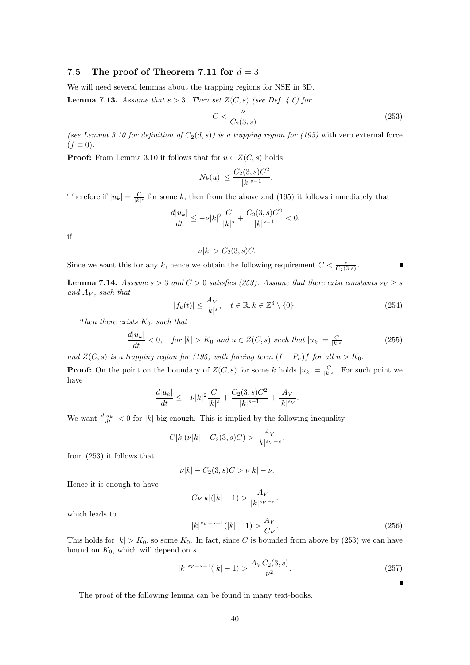### **7.5** The proof of Theorem 7.11 for  $d = 3$

We will need several lemmas about the trapping regions for NSE in 3D.

**Lemma 7.13.** *Assume that*  $s > 3$ *. Then set*  $Z(C, s)$  *(see Def. 4.6) for* 

$$
C < \frac{\nu}{C_2(3, s)}\tag{253}
$$

*(see Lemma 3.10 for definition of*  $C_2(d, s)$ *) is a trapping region for (195)* with zero external force  $(f \equiv 0)$ .

**Proof:** From Lemma 3.10 it follows that for  $u \in Z(C, s)$  holds

$$
|N_k(u)| \le \frac{C_2(3, s)C^2}{|k|^{s-1}}.
$$

Therefore if  $|u_k| = \frac{C}{|k|^s}$  for some *k*, then from the above and (195) it follows immediately that

$$
\frac{d|u_k|}{dt}\leq -\nu |k|^2 \frac{C}{|k|^s} + \frac{C_2(3,s)C^2}{|k|^{s-1}} <0,
$$

if

$$
\nu|k| > C_2(3, s)C.
$$

Since we want this for any *k*, hence we obtain the following requirement  $C < \frac{\nu}{C_2(3,s)}$ .

**Lemma 7.14.** *Assume*  $s > 3$  *and*  $C > 0$  *satisfies (253). Assume that there exist constants*  $s_V \geq s$ *and A<sup>V</sup> , such that*

$$
|f_k(t)| \le \frac{A_V}{|k|^s}, \quad t \in \mathbb{R}, k \in \mathbb{Z}^3 \setminus \{0\}.
$$
 (254)

*Then there exists K*0*, such that*

$$
\frac{d|u_k|}{dt} < 0, \quad \text{for } |k| > K_0 \text{ and } u \in Z(C, s) \text{ such that } |u_k| = \frac{C}{|k|^s} \tag{255}
$$

*and*  $Z(C, s)$  *is a trapping region for* (195) with forcing term  $(I - P_n)f$  for all  $n > K_0$ .

**Proof:** On the point on the boundary of  $Z(C, s)$  for some *k* holds  $|u_k| = \frac{C}{|k|^s}$ . For such point we have

$$
\frac{d|u_k|}{dt} \le -\nu |k|^2 \frac{C}{|k|^s} + \frac{C_2(3,s)C^2}{|k|^{s-1}} + \frac{A_V}{|k|^{s_V}}.
$$

We want  $\frac{d|u_k|}{dt} < 0$  for  $|k|$  big enough. This is implied by the following inequality

$$
C|k|(\nu|k| - C_2(3, s)C) > \frac{A_V}{|k|^{s_V - s}},
$$

from (253) it follows that

$$
\nu |k| - C_2(3, s)C > \nu |k| - \nu.
$$

Hence it is enough to have

$$
C\nu|k|(|k|-1) > \frac{A_V}{|k|^{s_V - s}}.
$$
\n
$$
|k|^{s_V - s + 1}(|k| - 1) > \frac{A_V}{C\nu}.
$$
\n
$$
(256)
$$

which leads to

This holds for 
$$
|k| > K_0
$$
, so some  $K_0$ . In fact, since C is bounded from above by (253) we can have  
bound on  $K_0$ , which will depend on s

$$
|k|^{s_V - s + 1} (|k| - 1) > \frac{A_V C_2(3, s)}{\nu^2}.\tag{257}
$$

 $\blacksquare$ 

The proof of the following lemma can be found in many text-books.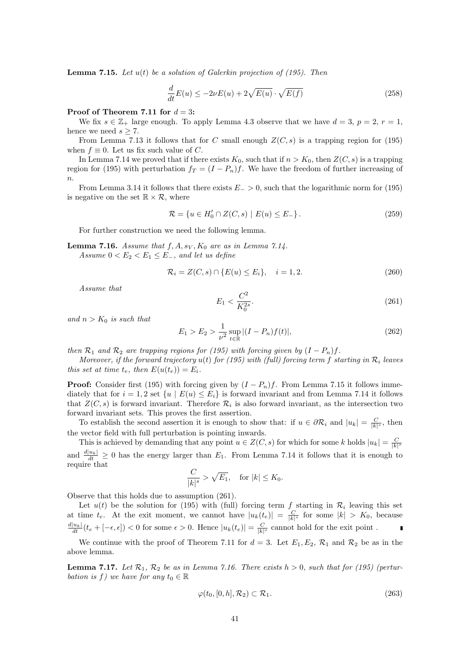**Lemma 7.15.** *Let u*(*t*) *be a solution of Galerkin projection of (195). Then*

$$
\frac{d}{dt}E(u) \le -2\nu E(u) + 2\sqrt{E(u)} \cdot \sqrt{E(f)}
$$
\n(258)

#### **Proof of Theorem 7.11 for** *d* = 3**:**

We fix  $s \in \mathbb{Z}_+$  large enough. To apply Lemma 4.3 observe that we have  $d = 3$ ,  $p = 2$ ,  $r = 1$ , hence we need  $s \geq 7$ .

From Lemma 7.13 it follows that for *C* small enough  $Z(C, s)$  is a trapping region for (195) when  $f \equiv 0$ . Let us fix such value of *C*.

In Lemma 7.14 we proved that if there exists  $K_0$ , such that if  $n > K_0$ , then  $Z(C, s)$  is a trapping region for (195) with perturbation  $f_T = (I - P_n)f$ . We have the freedom of further increasing of *n*.

From Lemma 3.14 it follows that there exists *E<sup>−</sup> >* 0, such that the logarithmic norm for (195) is negative on the set  $\mathbb{R} \times \mathcal{R}$ , where

$$
\mathcal{R} = \{ u \in H'_0 \cap Z(C, s) \mid E(u) \le E_- \}.
$$
\n(259)

For further construction we need the following lemma.

**Lemma 7.16.** *Assume that*  $f, A, s_V, K_0$  *are as in Lemma 7.14. Assume*  $0 < E_2 < E_1 < E_-$ *, and let us define* 

$$
\mathcal{R}_i = Z(C, s) \cap \{E(u) \le E_i\}, \quad i = 1, 2. \tag{260}
$$

*Assume that*

$$
E_1 < \frac{C^2}{K_0^{2s}}.\tag{261}
$$

*and*  $n > K_0$  *is such that* 

$$
E_1 > E_2 > \frac{1}{\nu^2} \sup_{t \in \mathbb{R}} |(I - P_n)f(t)|,
$$
\n(262)

*then*  $\mathcal{R}_1$  *and*  $\mathcal{R}_2$  *are trapping regions for* (195) with forcing given by  $(I - P_n)$  f.

*Moreover, if the forward trajectory*  $u(t)$  *for (195)* with *(full)* forcing term  $f$  *starting in*  $\mathcal{R}_i$  *leaves this set at time*  $t_e$ *, then*  $E(u(t_e)) = E_i$ *.* 

**Proof:** Consider first (195) with forcing given by  $(I - P_n)f$ . From Lemma 7.15 it follows immediately that for  $i = 1, 2$  set  $\{u \mid E(u) \leq E_i\}$  is forward invariant and from Lemma 7.14 it follows that  $Z(C, s)$  is forward invariant. Therefore  $\mathcal{R}_i$  is also forward invariant, as the intersection two forward invariant sets. This proves the first assertion.

To establish the second assertion it is enough to show that: if  $u \in \partial \mathcal{R}_i$  and  $|u_k| = \frac{C}{|k|^s}$ , then the vector field with full perturbation is pointing inwards.

This is achieved by demanding that any point  $u \in Z(C, s)$  for which for some *k* holds  $|u_k| = \frac{C}{|k|^s}$ and  $\frac{d|u_k|}{dt} \geq 0$  has the energy larger than  $E_1$ . From Lemma 7.14 it follows that it is enough to require that

$$
\frac{C}{|k|^s} > \sqrt{E_1}, \quad \text{for } |k| \le K_0.
$$

Observe that this holds due to assumption (261).

Let  $u(t)$  be the solution for (195) with (full) forcing term f starting in  $\mathcal{R}_i$  leaving this set at time  $t_e$ . At the exit moment, we cannot have  $|u_k(t_e)| = \frac{C}{|k|^s}$  for some  $|k| > K_0$ , because  $\frac{d|u_k|}{dt}(t_e + [-\epsilon, \epsilon]) < 0$  for some  $\epsilon > 0$ . Hence  $|u_k(t_e)| = \frac{C}{|k|^s}$  cannot hold for the exit point.

We continue with the proof of Theorem 7.11 for  $d = 3$ . Let  $E_1, E_2, \mathcal{R}_1$  and  $\mathcal{R}_2$  be as in the above lemma.

**Lemma 7.17.** Let  $\mathcal{R}_1$ ,  $\mathcal{R}_2$  be as in Lemma 7.16. There exists  $h > 0$ , such that for (195) (pertur*bation is f*) we have for any  $t_0 \in \mathbb{R}$ 

$$
\varphi(t_0, [0, h], \mathcal{R}_2) \subset \mathcal{R}_1. \tag{263}
$$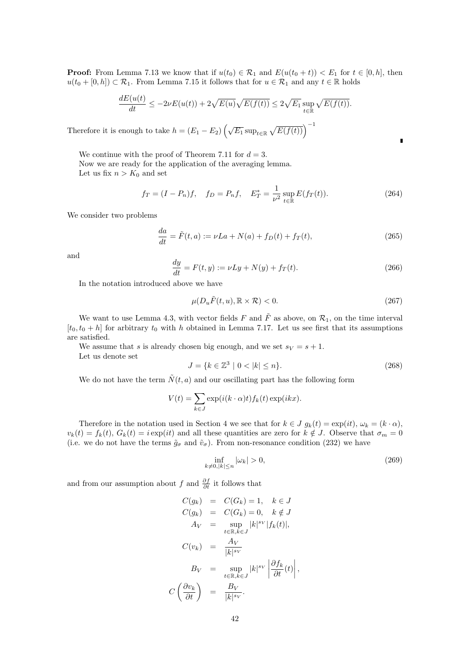**Proof:** From Lemma 7.13 we know that if  $u(t_0) \in \mathcal{R}_1$  and  $E(u(t_0 + t)) < E_1$  for  $t \in [0, h]$ , then *u*( $t_0$  + [0, *h*]) ⊂  $\mathcal{R}_1$ . From Lemma 7.15 it follows that for *u*  $\in \mathcal{R}_1$  and any *t*  $\in \mathbb{R}$  holds

$$
\frac{dE(u(t))}{dt} \le -2\nu E(u(t)) + 2\sqrt{E(u)}\sqrt{E(f(t))} \le 2\sqrt{E_1} \sup_{t \in \mathbb{R}} \sqrt{E(f(t))}.
$$

Therefore it is enough to take  $h = (E_1 - E_2) \left(\sqrt{E_1} \sup_{t \in \mathbb{R}} \sqrt{E(f(t))}\right)^{-1}$ 

We continue with the proof of Theorem 7.11 for  $d = 3$ .

Now we are ready for the application of the averaging lemma.

Let us fix  $n > K_0$  and set

$$
f_T = (I - P_n)f
$$
,  $f_D = P_n f$ ,  $E_T^* = \frac{1}{\nu^2} \sup_{t \in \mathbb{R}} E(f_T(t))$ . (264)

We consider two problems

$$
\frac{da}{dt} = \tilde{F}(t, a) := \nu La + N(a) + f_D(t) + f_T(t),
$$
\n(265)

and

$$
\frac{dy}{dt} = F(t, y) := \nu L y + N(y) + f_T(t).
$$
\n(266)

In the notation introduced above we have

$$
\mu(D_u \tilde{F}(t, u), \mathbb{R} \times \mathcal{R}) < 0. \tag{267}
$$

 $\blacksquare$ 

We want to use Lemma 4.3, with vector fields *F* and  $\tilde{F}$  as above, on  $\mathcal{R}_1$ , on the time interval  $[t_0, t_0 + h]$  for arbitrary  $t_0$  with *h* obtained in Lemma 7.17. Let us see first that its assumptions are satisfied.

We assume that *s* is already chosen big enough, and we set  $s_V = s + 1$ . Let us denote set

$$
J = \{k \in \mathbb{Z}^3 \mid 0 < |k| \le n\}.\tag{268}
$$

We do not have the term  $\tilde{N}(t, a)$  and our oscillating part has the following form

$$
V(t) = \sum_{k \in J} \exp(i(k \cdot \alpha)t) f_k(t) \exp(ikx).
$$

Therefore in the notation used in Section 4 we see that for  $k \in J$   $g_k(t) = \exp(it)$ ,  $\omega_k = (k \cdot \alpha)$ ,  $v_k(t) = f_k(t)$ ,  $G_k(t) = i \exp(it)$  and all these quantities are zero for  $k \notin J$ . Observe that  $\sigma_m = 0$ (i.e. we do not have the terms  $\tilde{g}_{\sigma}$  and  $\tilde{v}_{\sigma}$ ). From non-resonance condition (232) we have

$$
\inf_{k \neq 0, |k| \le n} |\omega_k| > 0,\tag{269}
$$

and from our assumption about *f* and  $\frac{\partial f}{\partial t}$  it follows that

$$
C(g_k) = C(G_k) = 1, \quad k \in J
$$
  
\n
$$
C(g_k) = C(G_k) = 0, \quad k \notin J
$$
  
\n
$$
A_V = \sup_{t \in \mathbb{R}, k \in J} |k|^{s_V} |f_k(t)|,
$$
  
\n
$$
C(v_k) = \frac{A_V}{|k|^{s_V}}
$$
  
\n
$$
B_V = \sup_{t \in \mathbb{R}, k \in J} |k|^{s_V} \left| \frac{\partial f_k}{\partial t}(t) \right|,
$$
  
\n
$$
C\left(\frac{\partial v_k}{\partial t}\right) = \frac{B_V}{|k|^{s_V}}.
$$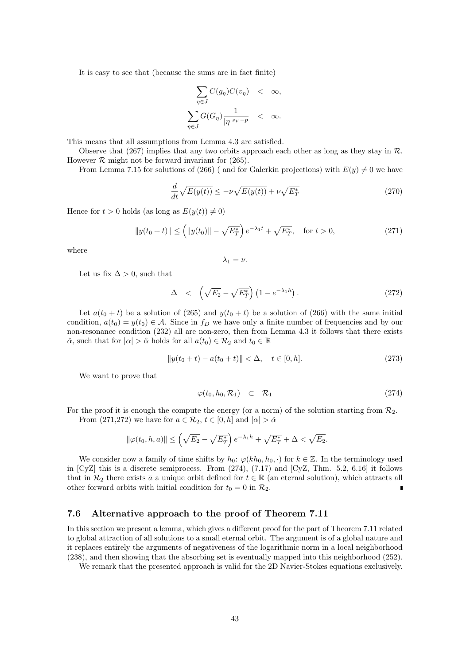It is easy to see that (because the sums are in fact finite)

$$
\sum_{\eta \in J} C(g_{\eta}) C(v_{\eta}) < \infty,
$$
\n
$$
\sum_{\eta \in J} G(G_{\eta}) \frac{1}{|\eta|^{s_V - p}} < \infty.
$$

This means that all assumptions from Lemma 4.3 are satisfied.

Observe that (267) implies that any two orbits approach each other as long as they stay in *R*. However  $R$  might not be forward invariant for  $(265)$ .

From Lemma 7.15 for solutions of (266) ( and for Galerkin projections) with  $E(y) \neq 0$  we have

$$
\frac{d}{dt}\sqrt{E(y(t))} \le -\nu\sqrt{E(y(t))} + \nu\sqrt{E_T^*}
$$
\n(270)

Hence for  $t > 0$  holds (as long as  $E(y(t)) \neq 0$ )

$$
||y(t_0 + t)|| \le (||y(t_0)|| - \sqrt{E_T^*}) e^{-\lambda_1 t} + \sqrt{E_T^*}, \quad \text{for } t > 0,
$$
\n(271)

where

$$
\lambda_1=\nu.
$$

Let us fix  $\Delta > 0$ , such that

$$
\Delta \quad < \quad \left(\sqrt{E_2} - \sqrt{E_T^*}\right) \left(1 - e^{-\lambda_1 h}\right). \tag{272}
$$

Let  $a(t_0 + t)$  be a solution of (265) and  $y(t_0 + t)$  be a solution of (266) with the same initial condition,  $a(t_0) = y(t_0) \in A$ . Since in  $f_D$  we have only a finite number of frequencies and by our non-resonance condition (232) all are non-zero, then from Lemma 4.3 it follows that there exists  $\hat{\alpha}$ , such that for  $|\alpha| > \hat{\alpha}$  holds for all  $a(t_0) \in \mathcal{R}_2$  and  $t_0 \in \mathbb{R}$ 

$$
||y(t_0 + t) - a(t_0 + t)|| < \Delta, \quad t \in [0, h].
$$
\n(273)

We want to prove that

$$
\varphi(t_0, h_0, \mathcal{R}_1) \quad \subset \quad \mathcal{R}_1 \tag{274}
$$

For the proof it is enough the compute the energy (or a norm) of the solution starting from  $\mathcal{R}_2$ . From (271,272) we have for  $a \in \mathcal{R}_2$ ,  $t \in [0, h]$  and  $|\alpha| > \hat{\alpha}$ 

$$
\|\varphi(t_0, h, a)\| \le \left(\sqrt{E_2} - \sqrt{E_T^*}\right)e^{-\lambda_1 h} + \sqrt{E_T^*} + \Delta < \sqrt{E_2}.
$$

We consider now a family of time shifts by  $h_0$ :  $\varphi(kh_0, h_0, \cdot)$  for  $k \in \mathbb{Z}$ . In the terminology used in [CyZ] this is a discrete semiprocess. From (274), (7.17) and [CyZ, Thm. 5.2, 6.16] it follows that in  $\mathcal{R}_2$  there exists  $\bar{a}$  a unique orbit defined for  $t \in \mathbb{R}$  (an eternal solution), which attracts all other forward orbits with initial condition for  $t_0 = 0$  in  $\mathcal{R}_2$ . Ė

### **7.6 Alternative approach to the proof of Theorem 7.11**

In this section we present a lemma, which gives a different proof for the part of Theorem 7.11 related to global attraction of all solutions to a small eternal orbit. The argument is of a global nature and it replaces entirely the arguments of negativeness of the logarithmic norm in a local neighborhood (238), and then showing that the absorbing set is eventually mapped into this neighborhood (252).

We remark that the presented approach is valid for the 2D Navier-Stokes equations exclusively.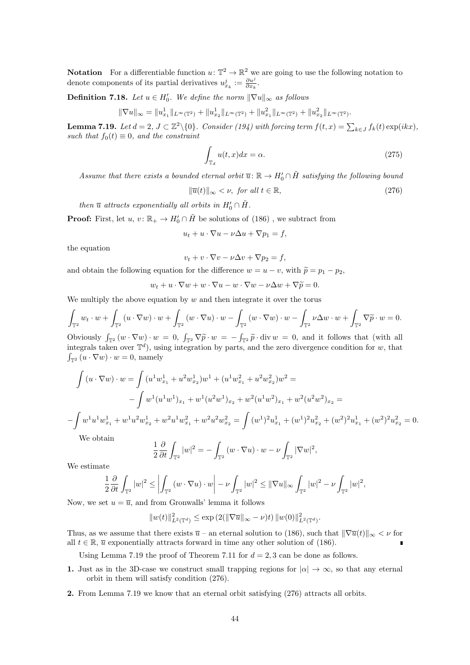**Notation** For a differentiable function  $u: \mathbb{T}^2 \to \mathbb{R}^2$  we are going to use the following notation to denote components of its partial derivatives  $u_{x_k}^j := \frac{\partial u^j}{\partial x_k}$ .

**Definition 7.18.** *Let*  $u \in H'_0$ *. We define the norm*  $\|\nabla u\|_{\infty}$  *as follows* 

$$
\|\nabla u\|_{\infty} = \|u_{x_1}^1\|_{L^{\infty}(\mathbb{T}^2)} + \|u_{x_2}^1\|_{L^{\infty}(\mathbb{T}^2)} + \|u_{x_1}^2\|_{L^{\infty}(\mathbb{T}^2)} + \|u_{x_2}^2\|_{L^{\infty}(\mathbb{T}^2)}
$$

**Lemma 7.19.** Let  $d = 2$ ,  $J \subset \mathbb{Z}^2 \setminus \{0\}$ . Consider (194) with forcing term  $f(t, x) = \sum_{k \in J} f_k(t) \exp(ikx)$ , *such that*  $f_0(t) \equiv 0$ *, and the constraint* 

$$
\int_{\mathbb{T}_d} u(t, x) dx = \alpha.
$$
\n(275)

*.*

*Assume that there exists a bounded eternal orbit*  $\overline{u}$ :  $\mathbb{R} \to H'_0 \cap \tilde{H}$  *satisfying the following bound* 

 $\|\overline{u}(t)\|_{\infty} < \nu$ , *for all*  $t \in \mathbb{R}$ , (276)

*then*  $\overline{u}$  *attracts exponentially all orbits in*  $H'_0 \cap \tilde{H}$ .

**Proof:** First, let  $u, v: \mathbb{R}_+ \to H'_0 \cap \tilde{H}$  be solutions of (186), we subtract from

$$
u_t + u \cdot \nabla u - \nu \Delta u + \nabla p_1 = f,
$$

the equation

$$
v_t + v \cdot \nabla v - \nu \Delta v + \nabla p_2 = f,
$$

and obtain the following equation for the difference  $w = u - v$ , with  $\tilde{p} = p_1 - p_2$ ,

$$
w_t + u \cdot \nabla w + w \cdot \nabla u - w \cdot \nabla w - \nu \Delta w + \nabla \widetilde{p} = 0.
$$

We multiply the above equation by *w* and then integrate it over the torus

$$
\int_{\mathbb{T}^2} w_t \cdot w + \int_{\mathbb{T}^2} \left( u \cdot \nabla w \right) \cdot w + \int_{\mathbb{T}^2} \left( w \cdot \nabla u \right) \cdot w - \int_{\mathbb{T}^2} \left( w \cdot \nabla w \right) \cdot w - \int_{\mathbb{T}^2} \nu \Delta w \cdot w + \int_{\mathbb{T}^2} \nabla \widetilde{p} \cdot w = 0.
$$

Obviously  $\int_{\mathbb{T}^2} (w \cdot \nabla w) \cdot w = 0$ ,  $\int_{\mathbb{T}^2} \nabla \tilde{p} \cdot w = -\int_{\mathbb{T}^2} \tilde{p} \cdot \text{div} \, w = 0$ , and it follows that (with all integrals taken over  $\mathbb{T}^d$ ), using integration by parts, and the zero divergence condi integrals taken over  $\mathbb{T}^d$ ), using integration by parts, and the zero divergence condition for *w*, that  $\int_{\mathbb{T}^2} (u \cdot \nabla w) \cdot w = 0$ , namely

$$
\int (u \cdot \nabla w) \cdot w = \int (u^1 w_{x_1}^1 + u^2 w_{x_2}^1) w^1 + (u^1 w_{x_1}^2 + u^2 w_{x_2}^2) w^2 =
$$
  

$$
- \int w^1 (u^1 w^1)_{x_1} + w^1 (u^2 w^1)_{x_2} + w^2 (u^1 w^2)_{x_1} + w^2 (u^2 w^2)_{x_2} =
$$
  

$$
- \int w^1 u^1 w_{x_1}^1 + w^1 u^2 w_{x_2}^1 + w^2 u^1 w_{x_1}^2 + w^2 u^2 w_{x_2}^2 = \int (w^1)^2 u_{x_1}^1 + (w^1)^2 u_{x_2}^2 + (w^2)^2 u_{x_1}^1 + (w^2)^2 u_{x_2}^2 = 0.
$$

We obtain

$$
\frac{1}{2}\frac{\partial}{\partial t}\int_{\mathbb{T}^2}|w|^2=-\int_{\mathbb{T}^2}\left(w\cdot\nabla u\right)\cdot w-\nu\int_{\mathbb{T}^2}|\nabla w|^2,
$$

We estimate

$$
\frac{1}{2}\frac{\partial}{\partial t}\int_{\mathbb{T}^2}|w|^2\leq \left|\int_{\mathbb{T}^2}\left(w\cdot \nabla u\right)\cdot w\right|-\nu\int_{\mathbb{T}^2}|w|^2\leq \|\nabla u\|_\infty\int_{\mathbb{T}^2}|w|^2-\nu\int_{\mathbb{T}^2}|w|^2,
$$

Now, we set  $u = \overline{u}$ , and from Gronwalls' lemma it follows

$$
||w(t)||_{L^2(\mathbb{T}^d)}^2 \le \exp(2(||\nabla \overline{u}||_{\infty} - \nu)t) ||w(0)||_{L^2(\mathbb{T}^d)}^2.
$$

Thus, as we assume that there exists  $\bar{u}$  – an eternal solution to (186), such that  $\|\nabla \bar{u}(t)\|_{\infty} < \nu$  for all  $t \in \mathbb{R}$ ,  $\overline{u}$  exponentially attracts forward in time any other solution of (186).

Using Lemma 7.19 the proof of Theorem 7.11 for  $d = 2, 3$  can be done as follows.

- **1.** Just as in the 3D-case we construct small trapping regions for  $|\alpha| \to \infty$ , so that any eternal orbit in them will satisfy condition (276).
- **2.** From Lemma 7.19 we know that an eternal orbit satisfying (276) attracts all orbits.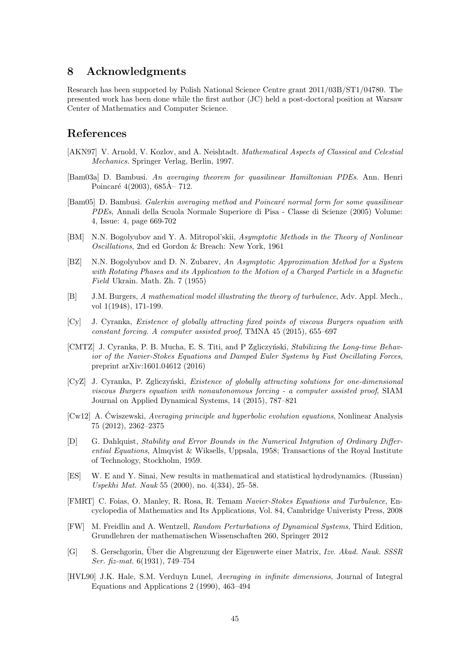## **8 Acknowledgments**

Research has been supported by Polish National Science Centre grant 2011/03B/ST1/04780. The presented work has been done while the first author (JC) held a post-doctoral position at Warsaw Center of Mathematics and Computer Science.

# **References**

- [AKN97] V. Arnold, V. Kozlov, and A. Neishtadt. *Mathematical Aspects of Classical and Celestial Mechanics.* Springer Verlag, Berlin, 1997.
- [Bam03a] D. Bambusi. *An averaging theorem for quasilinear Hamiltonian PDEs*. Ann. Henri Poincaré  $4(2003)$ , 685 $\AA$ – 712.
- [Bam05] D. Bambusi. *Galerkin averaging method and Poincaré normal form for some quasilinear PDEs*, Annali della Scuola Normale Superiore di Pisa - Classe di Scienze (2005) Volume: 4, Issue: 4, page 669-702
- [BM] N.N. Bogolyubov and Y. A. Mitropol'skii, *Asymptotic Methods in the Theory of Nonlinear Oscillations*, 2nd ed Gordon & Breach: New York, 1961
- [BZ] N.N. Bogolyubov and D. N. Zubarev, *An Asymptotic Approximation Method for a System with Rotating Phases and its Application to the Motion of a Charged Particle in a Magnetic Field* Ukrain. Math. Zh. 7 (1955)
- [B] J.M. Burgers, *A mathematical model illustrating the theory of turbulence*, Adv. Appl. Mech., vol 1(1948), 171-199.
- [Cy] J. Cyranka, *Existence of globally attracting fixed points of viscous Burgers equation with constant forcing. A computer assisted proof*, TMNA 45 (2015), 655–697
- [CMTZ] J. Cyranka, P. B. Mucha, E. S. Titi, and P Zgliczyński, *Stabilizing the Long-time Behavior of the Navier-Stokes Equations and Damped Euler Systems by Fast Oscillating Forces*, preprint arXiv:1601.04612 (2016)
- [CyZ] J. Cyranka, P. Zgliczyński, *Existence of globally attracting solutions for one-dimensional viscous Burgers equation with nonautonomous forcing - a computer assisted proof*, SIAM Journal on Applied Dynamical Systems, 14 (2015), 787–821
- [Cw12] A. Cwiszewski, *Averaging principle and hyperbolic evolution equations*, Nonlinear Analysis 75 (2012), 2362–2375
- [D] G. Dahlquist, *Stability and Error Bounds in the Numerical Intgration of Ordinary Differential Equations*, Almqvist & Wiksells, Uppsala, 1958; Transactions of the Royal Institute of Technology, Stockholm, 1959.
- [ES] W. E and Y. Sinai, New results in mathematical and statistical hydrodynamics. (Russian) *Uspekhi Mat. Nauk* 55 (2000), no. 4(334), 25–58.
- [FMRT] C. Foias, O. Manley, R. Rosa, R. Temam *Navier-Stokes Equations and Turbulence*, Encyclopedia of Mathematics and Its Applications, Vol. 84, Cambridge Univeristy Press, 2008
- [FW] M. Freidlin and A. Wentzell, *Random Perturbations of Dynamical Systems*, Third Edition, Grundlehren der mathematischen Wissenschaften 260, Springer 2012
- [G] S. Gerschgorin, Über die Abgrenzung der Eigenwerte einer Matrix, *Izv. Akad. Nauk. SSSR Ser. fiz-mat.* 6(1931), 749–754
- [HVL90] J.K. Hale, S.M. Verduyn Lunel, *Averaging in infinite dimensions*, Journal of Integral Equations and Applications 2 (1990), 463–494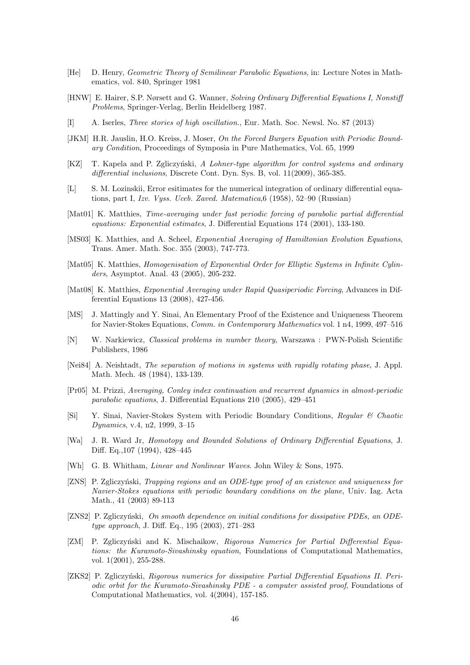- [He] D. Henry, *Geometric Theory of Semilinear Parabolic Equations*, in: Lecture Notes in Mathematics, vol. 840, Springer 1981
- [HNW] E. Hairer, S.P. Nørsett and G. Wanner, *Solving Ordinary Differential Equations I, Nonstiff Problems*, Springer-Verlag, Berlin Heidelberg 1987.
- [I] A. Iserles, *Three stories of high oscillation.*, Eur. Math. Soc. Newsl. No. 87 (2013)
- [JKM] H.R. Jauslin, H.O. Kreiss, J. Moser, *On the Forced Burgers Equation with Periodic Boundary Condition*, Proceedings of Symposia in Pure Mathematics, Vol. 65, 1999
- [KZ] T. Kapela and P. Zgliczyński, *A Lohner-type algorithm for control systems and ordinary differential inclusions*, Discrete Cont. Dyn. Sys. B, vol. 11(2009), 365-385.
- [L] S. M. Lozinskii, Error esitimates for the numerical integration of ordinary differential equations, part I, *Izv. Vyss. Uceb. Zaved. Matematica*,6 (1958), 52–90 (Russian)
- [Mat01] K. Matthies, *Time-averaging under fast periodic forcing of parabolic partial differential equations: Exponential estimates*, J. Differential Equations 174 (2001), 133-180.
- [MS03] K. Matthies, and A. Scheel, *Exponential Averaging of Hamiltonian Evolution Equations*, Trans. Amer. Math. Soc. 355 (2003), 747-773.
- [Mat05] K. Matthies, *Homogenisation of Exponential Order for Elliptic Systems in Infinite Cylinders*, Asymptot. Anal. 43 (2005), 205-232.
- [Mat08] K. Matthies, *Exponential Averaging under Rapid Quasiperiodic Forcing*, Advances in Differential Equations 13 (2008), 427-456.
- [MS] J. Mattingly and Y. Sinai, An Elementary Proof of the Existence and Uniqueness Theorem for Navier-Stokes Equations, *Comm. in Contemporary Mathematics* vol. 1 n4, 1999, 497–516
- [N] W. Narkiewicz, *Classical problems in number theory*, Warszawa : PWN-Polish Scientific Publishers, 1986
- [Nei84] A. Neishtadt, *The separation of motions in systems with rapidly rotating phase*, J. Appl. Math. Mech. 48 (1984), 133-139.
- [Pr05] M. Prizzi, *Averaging, Conley index continuation and recurrent dynamics in almost-periodic parabolic equations*, J. Differential Equations 210 (2005), 429–451
- [Si] Y. Sinai, Navier-Stokes System with Periodic Boundary Conditions, *Regular & Chaotic Dynamics*, v.4, n2, 1999, 3–15
- [Wa] J. R. Ward Jr, *Homotopy and Bounded Solutions of Ordinary Differential Equations*, J. Diff. Eq.,107 (1994), 428–445
- [Wh] G. B. Whitham, *Linear and Nonlinear Waves*. John Wiley & Sons, 1975.
- [ZNS] P. Zgliczyński, *Trapping regions and an ODE-type proof of an existence and uniqueness for Navier-Stokes equations with periodic boundary conditions on the plane*, Univ. Iag. Acta Math., 41 (2003) 89-113
- [ZNS2] P. Zgliczyński, *On smooth dependence on initial conditions for dissipative PDEs, an ODEtype approach*, J. Diff. Eq., 195 (2003), 271–283
- [ZM] P. Zgliczyński and K. Mischaikow, *Rigorous Numerics for Partial Differential Equations: the Kuramoto-Sivashinsky equation*, Foundations of Computational Mathematics, vol. 1(2001), 255-288.
- [ZKS2] P. Zgliczyński, *Rigorous numerics for dissipative Partial Differential Equations II. Periodic orbit for the Kuramoto-Sivashinsky PDE - a computer assisted proof*, Foundations of Computational Mathematics, vol. 4(2004), 157-185.